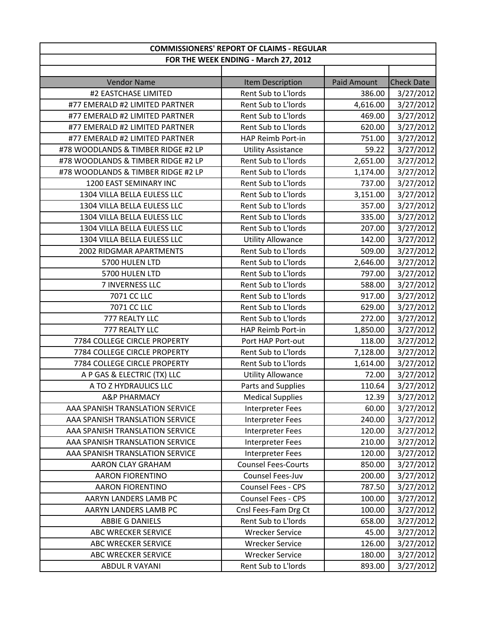| <b>COMMISSIONERS' REPORT OF CLAIMS - REGULAR</b> |                                      |                    |                   |
|--------------------------------------------------|--------------------------------------|--------------------|-------------------|
|                                                  | FOR THE WEEK ENDING - March 27, 2012 |                    |                   |
|                                                  |                                      |                    |                   |
| <b>Vendor Name</b>                               | <b>Item Description</b>              | <b>Paid Amount</b> | <b>Check Date</b> |
| #2 EASTCHASE LIMITED                             | Rent Sub to L'Iords                  | 386.00             | 3/27/2012         |
| #77 EMERALD #2 LIMITED PARTNER                   | Rent Sub to L'Iords                  | 4,616.00           | 3/27/2012         |
| #77 EMERALD #2 LIMITED PARTNER                   | Rent Sub to L'Iords                  | 469.00             | 3/27/2012         |
| #77 EMERALD #2 LIMITED PARTNER                   | Rent Sub to L'Iords                  | 620.00             | 3/27/2012         |
| #77 EMERALD #2 LIMITED PARTNER                   | HAP Reimb Port-in                    | 751.00             | 3/27/2012         |
| #78 WOODLANDS & TIMBER RIDGE #2 LP               | <b>Utility Assistance</b>            | 59.22              | 3/27/2012         |
| #78 WOODLANDS & TIMBER RIDGE #2 LP               | Rent Sub to L'Iords                  | 2,651.00           | 3/27/2012         |
| #78 WOODLANDS & TIMBER RIDGE #2 LP               | Rent Sub to L'Iords                  | 1,174.00           | 3/27/2012         |
| 1200 EAST SEMINARY INC                           | Rent Sub to L'Iords                  | 737.00             | 3/27/2012         |
| 1304 VILLA BELLA EULESS LLC                      | Rent Sub to L'Iords                  | 3,151.00           | 3/27/2012         |
| 1304 VILLA BELLA EULESS LLC                      | Rent Sub to L'Iords                  | 357.00             | 3/27/2012         |
| 1304 VILLA BELLA EULESS LLC                      | Rent Sub to L'Iords                  | 335.00             | 3/27/2012         |
| 1304 VILLA BELLA EULESS LLC                      | Rent Sub to L'Iords                  | 207.00             | 3/27/2012         |
| 1304 VILLA BELLA EULESS LLC                      | <b>Utility Allowance</b>             | 142.00             | 3/27/2012         |
| 2002 RIDGMAR APARTMENTS                          | Rent Sub to L'Iords                  | 509.00             | 3/27/2012         |
| 5700 HULEN LTD                                   | Rent Sub to L'Iords                  | 2,646.00           | 3/27/2012         |
| 5700 HULEN LTD                                   | Rent Sub to L'Iords                  | 797.00             | 3/27/2012         |
| 7 INVERNESS LLC                                  | Rent Sub to L'Iords                  | 588.00             | 3/27/2012         |
| 7071 CC LLC                                      | Rent Sub to L'Iords                  | 917.00             | 3/27/2012         |
| 7071 CC LLC                                      | Rent Sub to L'Iords                  | 629.00             | 3/27/2012         |
| 777 REALTY LLC                                   | Rent Sub to L'Iords                  | 272.00             | 3/27/2012         |
| 777 REALTY LLC                                   | HAP Reimb Port-in                    | 1,850.00           | 3/27/2012         |
| 7784 COLLEGE CIRCLE PROPERTY                     | Port HAP Port-out                    | 118.00             | 3/27/2012         |
| 7784 COLLEGE CIRCLE PROPERTY                     | Rent Sub to L'Iords                  | 7,128.00           | 3/27/2012         |
| 7784 COLLEGE CIRCLE PROPERTY                     | Rent Sub to L'Iords                  | 1,614.00           | 3/27/2012         |
| A P GAS & ELECTRIC (TX) LLC                      | <b>Utility Allowance</b>             | 72.00              | 3/27/2012         |
| A TO Z HYDRAULICS LLC                            | Parts and Supplies                   | 110.64             | 3/27/2012         |
| A&P PHARMACY                                     | <b>Medical Supplies</b>              | 12.39              | 3/27/2012         |
| AAA SPANISH TRANSLATION SERVICE                  | <b>Interpreter Fees</b>              | 60.00              | 3/27/2012         |
| AAA SPANISH TRANSLATION SERVICE                  | <b>Interpreter Fees</b>              | 240.00             | 3/27/2012         |
| AAA SPANISH TRANSLATION SERVICE                  | <b>Interpreter Fees</b>              | 120.00             | 3/27/2012         |
| AAA SPANISH TRANSLATION SERVICE                  | Interpreter Fees                     | 210.00             | 3/27/2012         |
| AAA SPANISH TRANSLATION SERVICE                  | <b>Interpreter Fees</b>              | 120.00             | 3/27/2012         |
| AARON CLAY GRAHAM                                | <b>Counsel Fees-Courts</b>           | 850.00             | 3/27/2012         |
| <b>AARON FIORENTINO</b>                          | Counsel Fees-Juv                     | 200.00             | 3/27/2012         |
| <b>AARON FIORENTINO</b>                          | <b>Counsel Fees - CPS</b>            | 787.50             | 3/27/2012         |
| AARYN LANDERS LAMB PC                            | Counsel Fees - CPS                   | 100.00             | 3/27/2012         |
| AARYN LANDERS LAMB PC                            | Cnsl Fees-Fam Drg Ct                 | 100.00             | 3/27/2012         |
| ABBIE G DANIELS                                  | Rent Sub to L'Iords                  | 658.00             | 3/27/2012         |
| ABC WRECKER SERVICE                              | <b>Wrecker Service</b>               | 45.00              | 3/27/2012         |
| ABC WRECKER SERVICE                              | <b>Wrecker Service</b>               | 126.00             | 3/27/2012         |
| ABC WRECKER SERVICE                              | <b>Wrecker Service</b>               | 180.00             | 3/27/2012         |
| <b>ABDUL R VAYANI</b>                            | Rent Sub to L'Iords                  | 893.00             | 3/27/2012         |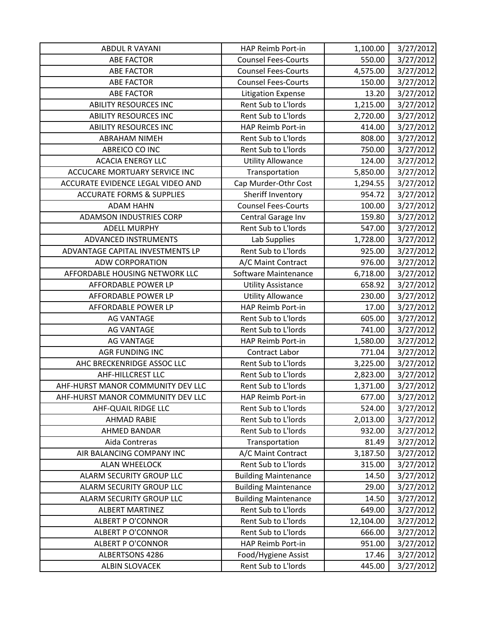| <b>ABDUL R VAYANI</b>                | HAP Reimb Port-in           | 1,100.00  | 3/27/2012 |
|--------------------------------------|-----------------------------|-----------|-----------|
| <b>ABE FACTOR</b>                    | <b>Counsel Fees-Courts</b>  | 550.00    | 3/27/2012 |
| <b>ABE FACTOR</b>                    | <b>Counsel Fees-Courts</b>  | 4,575.00  | 3/27/2012 |
| <b>ABE FACTOR</b>                    | <b>Counsel Fees-Courts</b>  | 150.00    | 3/27/2012 |
| <b>ABE FACTOR</b>                    | <b>Litigation Expense</b>   | 13.20     | 3/27/2012 |
| <b>ABILITY RESOURCES INC</b>         | Rent Sub to L'Iords         | 1,215.00  | 3/27/2012 |
| <b>ABILITY RESOURCES INC</b>         | Rent Sub to L'Iords         | 2,720.00  | 3/27/2012 |
| <b>ABILITY RESOURCES INC</b>         | HAP Reimb Port-in           | 414.00    | 3/27/2012 |
| <b>ABRAHAM NIMEH</b>                 | Rent Sub to L'Iords         | 808.00    | 3/27/2012 |
| ABREICO CO INC                       | Rent Sub to L'Iords         | 750.00    | 3/27/2012 |
| <b>ACACIA ENERGY LLC</b>             | <b>Utility Allowance</b>    | 124.00    | 3/27/2012 |
| ACCUCARE MORTUARY SERVICE INC        | Transportation              | 5,850.00  | 3/27/2012 |
| ACCURATE EVIDENCE LEGAL VIDEO AND    | Cap Murder-Othr Cost        | 1,294.55  | 3/27/2012 |
| <b>ACCURATE FORMS &amp; SUPPLIES</b> | Sheriff Inventory           | 954.72    | 3/27/2012 |
| <b>ADAM HAHN</b>                     | <b>Counsel Fees-Courts</b>  | 100.00    | 3/27/2012 |
| ADAMSON INDUSTRIES CORP              | Central Garage Inv          | 159.80    | 3/27/2012 |
| <b>ADELL MURPHY</b>                  | Rent Sub to L'Iords         | 547.00    | 3/27/2012 |
| ADVANCED INSTRUMENTS                 | Lab Supplies                | 1,728.00  | 3/27/2012 |
| ADVANTAGE CAPITAL INVESTMENTS LP     | Rent Sub to L'Iords         | 925.00    | 3/27/2012 |
| <b>ADW CORPORATION</b>               | A/C Maint Contract          | 976.00    | 3/27/2012 |
| AFFORDABLE HOUSING NETWORK LLC       | Software Maintenance        | 6,718.00  | 3/27/2012 |
| AFFORDABLE POWER LP                  | <b>Utility Assistance</b>   | 658.92    | 3/27/2012 |
| AFFORDABLE POWER LP                  | <b>Utility Allowance</b>    | 230.00    | 3/27/2012 |
| AFFORDABLE POWER LP                  | HAP Reimb Port-in           | 17.00     | 3/27/2012 |
| <b>AG VANTAGE</b>                    | Rent Sub to L'Iords         | 605.00    | 3/27/2012 |
| <b>AG VANTAGE</b>                    | Rent Sub to L'Iords         | 741.00    | 3/27/2012 |
| <b>AG VANTAGE</b>                    | HAP Reimb Port-in           | 1,580.00  | 3/27/2012 |
| AGR FUNDING INC                      | <b>Contract Labor</b>       | 771.04    | 3/27/2012 |
| AHC BRECKENRIDGE ASSOC LLC           | Rent Sub to L'Iords         | 3,225.00  | 3/27/2012 |
| <b>AHF-HILLCREST LLC</b>             | Rent Sub to L'Iords         | 2,823.00  | 3/27/2012 |
| AHF-HURST MANOR COMMUNITY DEV LLC    | Rent Sub to L'Iords         | 1,371.00  | 3/27/2012 |
| AHF-HURST MANOR COMMUNITY DEV LLC    | HAP Reimb Port-in           | 677.00    | 3/27/2012 |
| AHF-QUAIL RIDGE LLC                  | Rent Sub to L'Iords         | 524.00    | 3/27/2012 |
| <b>AHMAD RABIE</b>                   | Rent Sub to L'Iords         | 2,013.00  | 3/27/2012 |
| <b>AHMED BANDAR</b>                  | Rent Sub to L'Iords         | 932.00    | 3/27/2012 |
| Aida Contreras                       | Transportation              | 81.49     | 3/27/2012 |
| AIR BALANCING COMPANY INC            | A/C Maint Contract          | 3,187.50  | 3/27/2012 |
| <b>ALAN WHEELOCK</b>                 | Rent Sub to L'Iords         | 315.00    | 3/27/2012 |
| ALARM SECURITY GROUP LLC             | <b>Building Maintenance</b> | 14.50     | 3/27/2012 |
| ALARM SECURITY GROUP LLC             | <b>Building Maintenance</b> | 29.00     | 3/27/2012 |
| ALARM SECURITY GROUP LLC             | <b>Building Maintenance</b> | 14.50     | 3/27/2012 |
| <b>ALBERT MARTINEZ</b>               | Rent Sub to L'Iords         | 649.00    | 3/27/2012 |
| <b>ALBERT P O'CONNOR</b>             | Rent Sub to L'Iords         | 12,104.00 | 3/27/2012 |
| <b>ALBERT P O'CONNOR</b>             | Rent Sub to L'Iords         | 666.00    | 3/27/2012 |
| <b>ALBERT P O'CONNOR</b>             | HAP Reimb Port-in           | 951.00    | 3/27/2012 |
| <b>ALBERTSONS 4286</b>               | Food/Hygiene Assist         | 17.46     | 3/27/2012 |
| <b>ALBIN SLOVACEK</b>                | Rent Sub to L'Iords         | 445.00    | 3/27/2012 |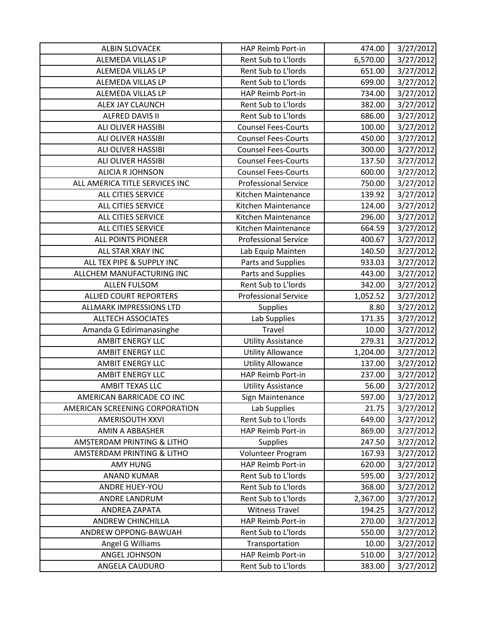| <b>ALBIN SLOVACEK</b>          | HAP Reimb Port-in           | 474.00   | 3/27/2012 |
|--------------------------------|-----------------------------|----------|-----------|
| ALEMEDA VILLAS LP              | Rent Sub to L'Iords         | 6,570.00 | 3/27/2012 |
| ALEMEDA VILLAS LP              | Rent Sub to L'Iords         | 651.00   | 3/27/2012 |
| <b>ALEMEDA VILLAS LP</b>       | Rent Sub to L'Iords         | 699.00   | 3/27/2012 |
| ALEMEDA VILLAS LP              | HAP Reimb Port-in           | 734.00   | 3/27/2012 |
| ALEX JAY CLAUNCH               | Rent Sub to L'Iords         | 382.00   | 3/27/2012 |
| <b>ALFRED DAVIS II</b>         | Rent Sub to L'Iords         | 686.00   | 3/27/2012 |
| ALI OLIVER HASSIBI             | <b>Counsel Fees-Courts</b>  | 100.00   | 3/27/2012 |
| <b>ALI OLIVER HASSIBI</b>      | <b>Counsel Fees-Courts</b>  | 450.00   | 3/27/2012 |
| <b>ALI OLIVER HASSIBI</b>      | <b>Counsel Fees-Courts</b>  | 300.00   | 3/27/2012 |
| <b>ALI OLIVER HASSIBI</b>      | <b>Counsel Fees-Courts</b>  | 137.50   | 3/27/2012 |
| <b>ALICIA R JOHNSON</b>        | <b>Counsel Fees-Courts</b>  | 600.00   | 3/27/2012 |
| ALL AMERICA TITLE SERVICES INC | <b>Professional Service</b> | 750.00   | 3/27/2012 |
| ALL CITIES SERVICE             | Kitchen Maintenance         | 139.92   | 3/27/2012 |
| ALL CITIES SERVICE             | Kitchen Maintenance         | 124.00   | 3/27/2012 |
| ALL CITIES SERVICE             | Kitchen Maintenance         | 296.00   | 3/27/2012 |
| ALL CITIES SERVICE             | Kitchen Maintenance         | 664.59   | 3/27/2012 |
| <b>ALL POINTS PIONEER</b>      | <b>Professional Service</b> | 400.67   | 3/27/2012 |
| ALL STAR XRAY INC              | Lab Equip Mainten           | 140.50   | 3/27/2012 |
| ALL TEX PIPE & SUPPLY INC      | Parts and Supplies          | 933.03   | 3/27/2012 |
| ALLCHEM MANUFACTURING INC      | Parts and Supplies          | 443.00   | 3/27/2012 |
| <b>ALLEN FULSOM</b>            | Rent Sub to L'Iords         | 342.00   | 3/27/2012 |
| <b>ALLIED COURT REPORTERS</b>  | <b>Professional Service</b> | 1,052.52 | 3/27/2012 |
| ALLMARK IMPRESSIONS LTD        | <b>Supplies</b>             | 8.80     | 3/27/2012 |
| <b>ALLTECH ASSOCIATES</b>      | Lab Supplies                | 171.35   | 3/27/2012 |
| Amanda G Edirimanasinghe       | Travel                      | 10.00    | 3/27/2012 |
| <b>AMBIT ENERGY LLC</b>        | <b>Utility Assistance</b>   | 279.31   | 3/27/2012 |
| <b>AMBIT ENERGY LLC</b>        | <b>Utility Allowance</b>    | 1,204.00 | 3/27/2012 |
| <b>AMBIT ENERGY LLC</b>        | <b>Utility Allowance</b>    | 137.00   | 3/27/2012 |
| <b>AMBIT ENERGY LLC</b>        | HAP Reimb Port-in           | 237.00   | 3/27/2012 |
| <b>AMBIT TEXAS LLC</b>         | <b>Utility Assistance</b>   | 56.00    | 3/27/2012 |
| AMERICAN BARRICADE CO INC      | Sign Maintenance            | 597.00   | 3/27/2012 |
| AMERICAN SCREENING CORPORATION | Lab Supplies                | 21.75    | 3/27/2012 |
| <b>AMERISOUTH XXVI</b>         | Rent Sub to L'Iords         | 649.00   | 3/27/2012 |
| AMIN A ABBASHER                | HAP Reimb Port-in           | 869.00   | 3/27/2012 |
| AMSTERDAM PRINTING & LITHO     | <b>Supplies</b>             | 247.50   | 3/27/2012 |
| AMSTERDAM PRINTING & LITHO     | Volunteer Program           | 167.93   | 3/27/2012 |
| <b>AMY HUNG</b>                | HAP Reimb Port-in           | 620.00   | 3/27/2012 |
| <b>ANAND KUMAR</b>             | Rent Sub to L'Iords         | 595.00   | 3/27/2012 |
| <b>ANDRE HUEY-YOU</b>          | Rent Sub to L'Iords         | 368.00   | 3/27/2012 |
| ANDRE LANDRUM                  | Rent Sub to L'Iords         | 2,367.00 | 3/27/2012 |
| <b>ANDREA ZAPATA</b>           | <b>Witness Travel</b>       | 194.25   | 3/27/2012 |
| <b>ANDREW CHINCHILLA</b>       | HAP Reimb Port-in           | 270.00   | 3/27/2012 |
| ANDREW OPPONG-BAWUAH           | Rent Sub to L'Iords         | 550.00   | 3/27/2012 |
| Angel G Williams               | Transportation              | 10.00    | 3/27/2012 |
| ANGEL JOHNSON                  | HAP Reimb Port-in           | 510.00   | 3/27/2012 |
| ANGELA CAUDURO                 | Rent Sub to L'Iords         | 383.00   | 3/27/2012 |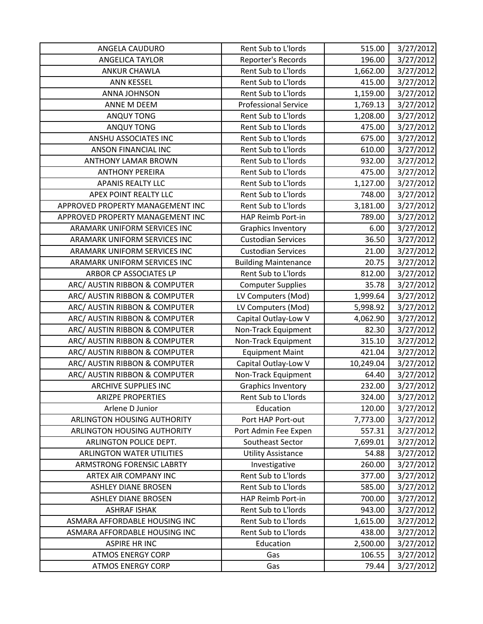| ANGELA CAUDURO                   | Rent Sub to L'Iords         | 515.00    | 3/27/2012 |
|----------------------------------|-----------------------------|-----------|-----------|
| <b>ANGELICA TAYLOR</b>           | Reporter's Records          | 196.00    | 3/27/2012 |
| <b>ANKUR CHAWLA</b>              | Rent Sub to L'Iords         | 1,662.00  | 3/27/2012 |
| <b>ANN KESSEL</b>                | Rent Sub to L'Iords         | 415.00    | 3/27/2012 |
| ANNA JOHNSON                     | Rent Sub to L'Iords         | 1,159.00  | 3/27/2012 |
| ANNE M DEEM                      | <b>Professional Service</b> | 1,769.13  | 3/27/2012 |
| <b>ANQUY TONG</b>                | Rent Sub to L'Iords         | 1,208.00  | 3/27/2012 |
| <b>ANQUY TONG</b>                | Rent Sub to L'Iords         | 475.00    | 3/27/2012 |
| ANSHU ASSOCIATES INC             | Rent Sub to L'Iords         | 675.00    | 3/27/2012 |
| ANSON FINANCIAL INC              | Rent Sub to L'Iords         | 610.00    | 3/27/2012 |
| <b>ANTHONY LAMAR BROWN</b>       | Rent Sub to L'Iords         | 932.00    | 3/27/2012 |
| <b>ANTHONY PEREIRA</b>           | Rent Sub to L'Iords         | 475.00    | 3/27/2012 |
| <b>APANIS REALTY LLC</b>         | Rent Sub to L'Iords         | 1,127.00  | 3/27/2012 |
| APEX POINT REALTY LLC            | Rent Sub to L'Iords         | 748.00    | 3/27/2012 |
| APPROVED PROPERTY MANAGEMENT INC | Rent Sub to L'Iords         | 3,181.00  | 3/27/2012 |
| APPROVED PROPERTY MANAGEMENT INC | HAP Reimb Port-in           | 789.00    | 3/27/2012 |
| ARAMARK UNIFORM SERVICES INC     | <b>Graphics Inventory</b>   | 6.00      | 3/27/2012 |
| ARAMARK UNIFORM SERVICES INC     | <b>Custodian Services</b>   | 36.50     | 3/27/2012 |
| ARAMARK UNIFORM SERVICES INC     | <b>Custodian Services</b>   | 21.00     | 3/27/2012 |
| ARAMARK UNIFORM SERVICES INC     | <b>Building Maintenance</b> | 20.75     | 3/27/2012 |
| ARBOR CP ASSOCIATES LP           | Rent Sub to L'Iords         | 812.00    | 3/27/2012 |
| ARC/ AUSTIN RIBBON & COMPUTER    | <b>Computer Supplies</b>    | 35.78     | 3/27/2012 |
| ARC/ AUSTIN RIBBON & COMPUTER    | LV Computers (Mod)          | 1,999.64  | 3/27/2012 |
| ARC/ AUSTIN RIBBON & COMPUTER    | LV Computers (Mod)          | 5,998.92  | 3/27/2012 |
| ARC/ AUSTIN RIBBON & COMPUTER    | Capital Outlay-Low V        | 4,062.90  | 3/27/2012 |
| ARC/ AUSTIN RIBBON & COMPUTER    | Non-Track Equipment         | 82.30     | 3/27/2012 |
| ARC/ AUSTIN RIBBON & COMPUTER    | Non-Track Equipment         | 315.10    | 3/27/2012 |
| ARC/ AUSTIN RIBBON & COMPUTER    | <b>Equipment Maint</b>      | 421.04    | 3/27/2012 |
| ARC/ AUSTIN RIBBON & COMPUTER    | Capital Outlay-Low V        | 10,249.04 | 3/27/2012 |
| ARC/ AUSTIN RIBBON & COMPUTER    | Non-Track Equipment         | 64.40     | 3/27/2012 |
| <b>ARCHIVE SUPPLIES INC</b>      | <b>Graphics Inventory</b>   | 232.00    | 3/27/2012 |
| <b>ARIZPE PROPERTIES</b>         | Rent Sub to L'Iords         | 324.00    | 3/27/2012 |
| Arlene D Junior                  | Education                   | 120.00    | 3/27/2012 |
| ARLINGTON HOUSING AUTHORITY      | Port HAP Port-out           | 7,773.00  | 3/27/2012 |
| ARLINGTON HOUSING AUTHORITY      | Port Admin Fee Expen        | 557.31    | 3/27/2012 |
| ARLINGTON POLICE DEPT.           | Southeast Sector            | 7,699.01  | 3/27/2012 |
| <b>ARLINGTON WATER UTILITIES</b> | <b>Utility Assistance</b>   | 54.88     | 3/27/2012 |
| ARMSTRONG FORENSIC LABRTY        | Investigative               | 260.00    | 3/27/2012 |
| ARTEX AIR COMPANY INC            | Rent Sub to L'Iords         | 377.00    | 3/27/2012 |
| <b>ASHLEY DIANE BROSEN</b>       | Rent Sub to L'Iords         | 585.00    | 3/27/2012 |
| <b>ASHLEY DIANE BROSEN</b>       | HAP Reimb Port-in           | 700.00    | 3/27/2012 |
| <b>ASHRAF ISHAK</b>              | Rent Sub to L'Iords         | 943.00    | 3/27/2012 |
| ASMARA AFFORDABLE HOUSING INC    | Rent Sub to L'Iords         | 1,615.00  | 3/27/2012 |
| ASMARA AFFORDABLE HOUSING INC    | Rent Sub to L'Iords         | 438.00    | 3/27/2012 |
| <b>ASPIRE HR INC</b>             | Education                   | 2,500.00  | 3/27/2012 |
| <b>ATMOS ENERGY CORP</b>         | Gas                         | 106.55    | 3/27/2012 |
| <b>ATMOS ENERGY CORP</b>         | Gas                         | 79.44     | 3/27/2012 |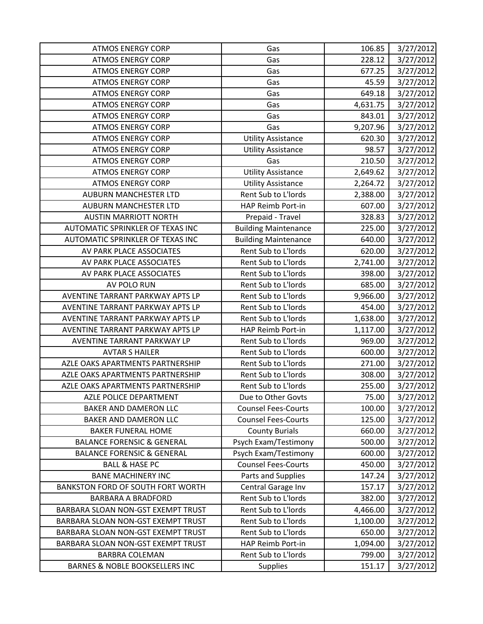| <b>ATMOS ENERGY CORP</b>              | Gas                         | 106.85   | 3/27/2012 |
|---------------------------------------|-----------------------------|----------|-----------|
| <b>ATMOS ENERGY CORP</b>              | Gas                         | 228.12   | 3/27/2012 |
| <b>ATMOS ENERGY CORP</b>              | Gas                         | 677.25   | 3/27/2012 |
| <b>ATMOS ENERGY CORP</b>              | Gas                         | 45.59    | 3/27/2012 |
| <b>ATMOS ENERGY CORP</b>              | Gas                         | 649.18   | 3/27/2012 |
| <b>ATMOS ENERGY CORP</b>              | Gas                         | 4,631.75 | 3/27/2012 |
| <b>ATMOS ENERGY CORP</b>              | Gas                         | 843.01   | 3/27/2012 |
| <b>ATMOS ENERGY CORP</b>              | Gas                         | 9,207.96 | 3/27/2012 |
| <b>ATMOS ENERGY CORP</b>              | <b>Utility Assistance</b>   | 620.30   | 3/27/2012 |
| <b>ATMOS ENERGY CORP</b>              | <b>Utility Assistance</b>   | 98.57    | 3/27/2012 |
| <b>ATMOS ENERGY CORP</b>              | Gas                         | 210.50   | 3/27/2012 |
| <b>ATMOS ENERGY CORP</b>              | <b>Utility Assistance</b>   | 2,649.62 | 3/27/2012 |
| <b>ATMOS ENERGY CORP</b>              | <b>Utility Assistance</b>   | 2,264.72 | 3/27/2012 |
| <b>AUBURN MANCHESTER LTD</b>          | Rent Sub to L'Iords         | 2,388.00 | 3/27/2012 |
| <b>AUBURN MANCHESTER LTD</b>          | HAP Reimb Port-in           | 607.00   | 3/27/2012 |
| <b>AUSTIN MARRIOTT NORTH</b>          | Prepaid - Travel            | 328.83   | 3/27/2012 |
| AUTOMATIC SPRINKLER OF TEXAS INC      | <b>Building Maintenance</b> | 225.00   | 3/27/2012 |
| AUTOMATIC SPRINKLER OF TEXAS INC      | <b>Building Maintenance</b> | 640.00   | 3/27/2012 |
| AV PARK PLACE ASSOCIATES              | Rent Sub to L'Iords         | 620.00   | 3/27/2012 |
| AV PARK PLACE ASSOCIATES              | Rent Sub to L'Iords         | 2,741.00 | 3/27/2012 |
| AV PARK PLACE ASSOCIATES              | Rent Sub to L'Iords         | 398.00   | 3/27/2012 |
| AV POLO RUN                           | Rent Sub to L'Iords         | 685.00   | 3/27/2012 |
| AVENTINE TARRANT PARKWAY APTS LP      | Rent Sub to L'Iords         | 9,966.00 | 3/27/2012 |
| AVENTINE TARRANT PARKWAY APTS LP      | Rent Sub to L'Iords         | 454.00   | 3/27/2012 |
| AVENTINE TARRANT PARKWAY APTS LP      | Rent Sub to L'Iords         | 1,638.00 | 3/27/2012 |
| AVENTINE TARRANT PARKWAY APTS LP      | HAP Reimb Port-in           | 1,117.00 | 3/27/2012 |
| AVENTINE TARRANT PARKWAY LP           | Rent Sub to L'Iords         | 969.00   | 3/27/2012 |
| <b>AVTAR S HAILER</b>                 | Rent Sub to L'Iords         | 600.00   | 3/27/2012 |
| AZLE OAKS APARTMENTS PARTNERSHIP      | Rent Sub to L'Iords         | 271.00   | 3/27/2012 |
| AZLE OAKS APARTMENTS PARTNERSHIP      | Rent Sub to L'Iords         | 308.00   | 3/27/2012 |
| AZLE OAKS APARTMENTS PARTNERSHIP      | Rent Sub to L'Iords         | 255.00   | 3/27/2012 |
| AZLE POLICE DEPARTMENT                | Due to Other Govts          | 75.00    | 3/27/2012 |
| <b>BAKER AND DAMERON LLC</b>          | <b>Counsel Fees-Courts</b>  | 100.00   | 3/27/2012 |
| BAKER AND DAMERON LLC                 | <b>Counsel Fees-Courts</b>  | 125.00   | 3/27/2012 |
| <b>BAKER FUNERAL HOME</b>             | <b>County Burials</b>       | 660.00   | 3/27/2012 |
| <b>BALANCE FORENSIC &amp; GENERAL</b> | Psych Exam/Testimony        | 500.00   | 3/27/2012 |
| <b>BALANCE FORENSIC &amp; GENERAL</b> | Psych Exam/Testimony        | 600.00   | 3/27/2012 |
| <b>BALL &amp; HASE PC</b>             | <b>Counsel Fees-Courts</b>  | 450.00   | 3/27/2012 |
| <b>BANE MACHINERY INC</b>             | Parts and Supplies          | 147.24   | 3/27/2012 |
| BANKSTON FORD OF SOUTH FORT WORTH     | Central Garage Inv          | 157.17   | 3/27/2012 |
| <b>BARBARA A BRADFORD</b>             | Rent Sub to L'Iords         | 382.00   | 3/27/2012 |
| BARBARA SLOAN NON-GST EXEMPT TRUST    | Rent Sub to L'Iords         | 4,466.00 | 3/27/2012 |
| BARBARA SLOAN NON-GST EXEMPT TRUST    | Rent Sub to L'Iords         | 1,100.00 | 3/27/2012 |
| BARBARA SLOAN NON-GST EXEMPT TRUST    | Rent Sub to L'Iords         | 650.00   | 3/27/2012 |
| BARBARA SLOAN NON-GST EXEMPT TRUST    | HAP Reimb Port-in           | 1,094.00 | 3/27/2012 |
| <b>BARBRA COLEMAN</b>                 | Rent Sub to L'Iords         | 799.00   | 3/27/2012 |
| BARNES & NOBLE BOOKSELLERS INC        | <b>Supplies</b>             | 151.17   | 3/27/2012 |
|                                       |                             |          |           |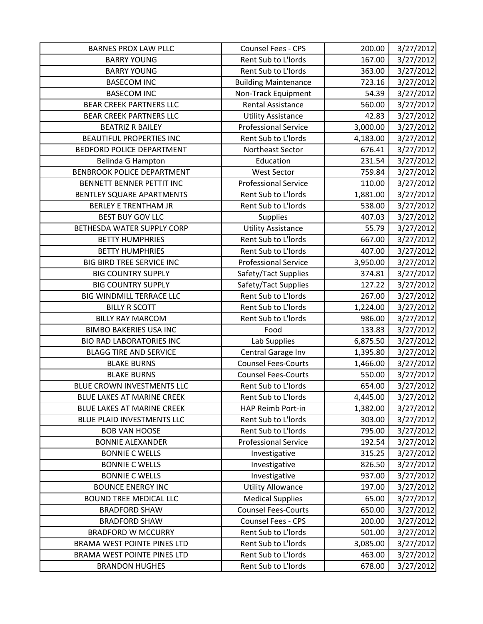| <b>BARNES PROX LAW PLLC</b>     | Counsel Fees - CPS          | 200.00   | 3/27/2012 |
|---------------------------------|-----------------------------|----------|-----------|
| <b>BARRY YOUNG</b>              | Rent Sub to L'Iords         | 167.00   | 3/27/2012 |
| <b>BARRY YOUNG</b>              | Rent Sub to L'Iords         | 363.00   | 3/27/2012 |
| <b>BASECOM INC</b>              | <b>Building Maintenance</b> | 723.16   | 3/27/2012 |
| <b>BASECOM INC</b>              | Non-Track Equipment         | 54.39    | 3/27/2012 |
| <b>BEAR CREEK PARTNERS LLC</b>  | <b>Rental Assistance</b>    | 560.00   | 3/27/2012 |
| <b>BEAR CREEK PARTNERS LLC</b>  | <b>Utility Assistance</b>   | 42.83    | 3/27/2012 |
| <b>BEATRIZ R BAILEY</b>         | <b>Professional Service</b> | 3,000.00 | 3/27/2012 |
| <b>BEAUTIFUL PROPERTIES INC</b> | Rent Sub to L'Iords         | 4,183.00 | 3/27/2012 |
| BEDFORD POLICE DEPARTMENT       | Northeast Sector            | 676.41   | 3/27/2012 |
| Belinda G Hampton               | Education                   | 231.54   | 3/27/2012 |
| BENBROOK POLICE DEPARTMENT      | <b>West Sector</b>          | 759.84   | 3/27/2012 |
| BENNETT BENNER PETTIT INC       | <b>Professional Service</b> | 110.00   | 3/27/2012 |
| BENTLEY SQUARE APARTMENTS       | Rent Sub to L'Iords         | 1,881.00 | 3/27/2012 |
| <b>BERLEY E TRENTHAM JR</b>     | Rent Sub to L'Iords         | 538.00   | 3/27/2012 |
| <b>BEST BUY GOV LLC</b>         | <b>Supplies</b>             | 407.03   | 3/27/2012 |
| BETHESDA WATER SUPPLY CORP      | <b>Utility Assistance</b>   | 55.79    | 3/27/2012 |
| <b>BETTY HUMPHRIES</b>          | Rent Sub to L'Iords         | 667.00   | 3/27/2012 |
| <b>BETTY HUMPHRIES</b>          | Rent Sub to L'Iords         | 407.00   | 3/27/2012 |
| BIG BIRD TREE SERVICE INC       | <b>Professional Service</b> | 3,950.00 | 3/27/2012 |
| <b>BIG COUNTRY SUPPLY</b>       | Safety/Tact Supplies        | 374.81   | 3/27/2012 |
| <b>BIG COUNTRY SUPPLY</b>       | Safety/Tact Supplies        | 127.22   | 3/27/2012 |
| BIG WINDMILL TERRACE LLC        | Rent Sub to L'Iords         | 267.00   | 3/27/2012 |
| <b>BILLY R SCOTT</b>            | Rent Sub to L'Iords         | 1,224.00 | 3/27/2012 |
| <b>BILLY RAY MARCOM</b>         | Rent Sub to L'Iords         | 986.00   | 3/27/2012 |
| <b>BIMBO BAKERIES USA INC</b>   | Food                        | 133.83   | 3/27/2012 |
| <b>BIO RAD LABORATORIES INC</b> | Lab Supplies                | 6,875.50 | 3/27/2012 |
| <b>BLAGG TIRE AND SERVICE</b>   | Central Garage Inv          | 1,395.80 | 3/27/2012 |
| <b>BLAKE BURNS</b>              | <b>Counsel Fees-Courts</b>  | 1,466.00 | 3/27/2012 |
| <b>BLAKE BURNS</b>              | <b>Counsel Fees-Courts</b>  | 550.00   | 3/27/2012 |
| BLUE CROWN INVESTMENTS LLC      | Rent Sub to L'Iords         | 654.00   | 3/27/2012 |
| BLUE LAKES AT MARINE CREEK      | Rent Sub to L'Iords         | 4,445.00 | 3/27/2012 |
| BLUE LAKES AT MARINE CREEK      | HAP Reimb Port-in           | 1,382.00 | 3/27/2012 |
| BLUE PLAID INVESTMENTS LLC      | Rent Sub to L'Iords         | 303.00   | 3/27/2012 |
| <b>BOB VAN HOOSE</b>            | Rent Sub to L'Iords         | 795.00   | 3/27/2012 |
| <b>BONNIE ALEXANDER</b>         | <b>Professional Service</b> | 192.54   | 3/27/2012 |
| <b>BONNIE C WELLS</b>           | Investigative               | 315.25   | 3/27/2012 |
| <b>BONNIE C WELLS</b>           | Investigative               | 826.50   | 3/27/2012 |
| <b>BONNIE C WELLS</b>           | Investigative               | 937.00   | 3/27/2012 |
| <b>BOUNCE ENERGY INC</b>        | <b>Utility Allowance</b>    | 197.00   | 3/27/2012 |
| <b>BOUND TREE MEDICAL LLC</b>   | <b>Medical Supplies</b>     | 65.00    | 3/27/2012 |
| <b>BRADFORD SHAW</b>            | <b>Counsel Fees-Courts</b>  | 650.00   | 3/27/2012 |
| <b>BRADFORD SHAW</b>            | Counsel Fees - CPS          | 200.00   | 3/27/2012 |
| <b>BRADFORD W MCCURRY</b>       | Rent Sub to L'Iords         | 501.00   | 3/27/2012 |
| BRAMA WEST POINTE PINES LTD     | Rent Sub to L'Iords         | 3,085.00 | 3/27/2012 |
| BRAMA WEST POINTE PINES LTD     | Rent Sub to L'Iords         | 463.00   | 3/27/2012 |
| <b>BRANDON HUGHES</b>           | Rent Sub to L'Iords         | 678.00   | 3/27/2012 |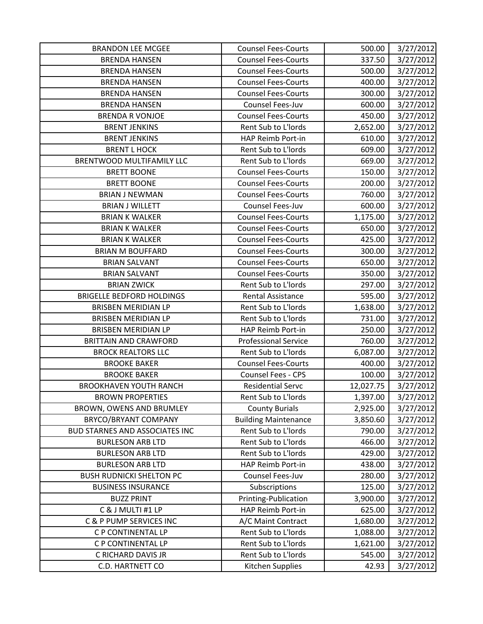| <b>BRANDON LEE MCGEE</b>              | <b>Counsel Fees-Courts</b>  | 500.00    | 3/27/2012 |
|---------------------------------------|-----------------------------|-----------|-----------|
| <b>BRENDA HANSEN</b>                  | <b>Counsel Fees-Courts</b>  | 337.50    | 3/27/2012 |
| <b>BRENDA HANSEN</b>                  | <b>Counsel Fees-Courts</b>  | 500.00    | 3/27/2012 |
| <b>BRENDA HANSEN</b>                  | <b>Counsel Fees-Courts</b>  | 400.00    | 3/27/2012 |
| <b>BRENDA HANSEN</b>                  | <b>Counsel Fees-Courts</b>  | 300.00    | 3/27/2012 |
| <b>BRENDA HANSEN</b>                  | Counsel Fees-Juv            | 600.00    | 3/27/2012 |
| <b>BRENDA R VONJOE</b>                | <b>Counsel Fees-Courts</b>  | 450.00    | 3/27/2012 |
| <b>BRENT JENKINS</b>                  | Rent Sub to L'Iords         | 2,652.00  | 3/27/2012 |
| <b>BRENT JENKINS</b>                  | HAP Reimb Port-in           | 610.00    | 3/27/2012 |
| <b>BRENT L HOCK</b>                   | Rent Sub to L'Iords         | 609.00    | 3/27/2012 |
| BRENTWOOD MULTIFAMILY LLC             | Rent Sub to L'Iords         | 669.00    | 3/27/2012 |
| <b>BRETT BOONE</b>                    | <b>Counsel Fees-Courts</b>  | 150.00    | 3/27/2012 |
| <b>BRETT BOONE</b>                    | <b>Counsel Fees-Courts</b>  | 200.00    | 3/27/2012 |
| <b>BRIAN J NEWMAN</b>                 | <b>Counsel Fees-Courts</b>  | 760.00    | 3/27/2012 |
| <b>BRIAN J WILLETT</b>                | Counsel Fees-Juv            | 600.00    | 3/27/2012 |
| <b>BRIAN K WALKER</b>                 | <b>Counsel Fees-Courts</b>  | 1,175.00  | 3/27/2012 |
| <b>BRIAN K WALKER</b>                 | <b>Counsel Fees-Courts</b>  | 650.00    | 3/27/2012 |
| <b>BRIAN K WALKER</b>                 | <b>Counsel Fees-Courts</b>  | 425.00    | 3/27/2012 |
| <b>BRIAN M BOUFFARD</b>               | <b>Counsel Fees-Courts</b>  | 300.00    | 3/27/2012 |
| <b>BRIAN SALVANT</b>                  | <b>Counsel Fees-Courts</b>  | 650.00    | 3/27/2012 |
| <b>BRIAN SALVANT</b>                  | <b>Counsel Fees-Courts</b>  | 350.00    | 3/27/2012 |
| <b>BRIAN ZWICK</b>                    | Rent Sub to L'Iords         | 297.00    | 3/27/2012 |
| <b>BRIGELLE BEDFORD HOLDINGS</b>      | Rental Assistance           | 595.00    | 3/27/2012 |
| <b>BRISBEN MERIDIAN LP</b>            | Rent Sub to L'Iords         | 1,638.00  | 3/27/2012 |
| BRISBEN MERIDIAN LP                   | Rent Sub to L'Iords         | 731.00    | 3/27/2012 |
| BRISBEN MERIDIAN LP                   | HAP Reimb Port-in           | 250.00    | 3/27/2012 |
| <b>BRITTAIN AND CRAWFORD</b>          | <b>Professional Service</b> | 760.00    | 3/27/2012 |
| <b>BROCK REALTORS LLC</b>             | Rent Sub to L'Iords         | 6,087.00  | 3/27/2012 |
| <b>BROOKE BAKER</b>                   | <b>Counsel Fees-Courts</b>  | 400.00    | 3/27/2012 |
| <b>BROOKE BAKER</b>                   | Counsel Fees - CPS          | 100.00    | 3/27/2012 |
| <b>BROOKHAVEN YOUTH RANCH</b>         | <b>Residential Servc</b>    | 12,027.75 | 3/27/2012 |
| <b>BROWN PROPERTIES</b>               | Rent Sub to L'Iords         | 1,397.00  | 3/27/2012 |
| BROWN, OWENS AND BRUMLEY              | <b>County Burials</b>       | 2,925.00  | 3/27/2012 |
| BRYCO/BRYANT COMPANY                  | <b>Building Maintenance</b> | 3,850.60  | 3/27/2012 |
| <b>BUD STARNES AND ASSOCIATES INC</b> | Rent Sub to L'Iords         | 790.00    | 3/27/2012 |
| <b>BURLESON ARB LTD</b>               | Rent Sub to L'Iords         | 466.00    | 3/27/2012 |
| <b>BURLESON ARB LTD</b>               | Rent Sub to L'Iords         | 429.00    | 3/27/2012 |
| <b>BURLESON ARB LTD</b>               | HAP Reimb Port-in           | 438.00    | 3/27/2012 |
| <b>BUSH RUDNICKI SHELTON PC</b>       | Counsel Fees-Juv            | 280.00    | 3/27/2012 |
| <b>BUSINESS INSURANCE</b>             | Subscriptions               | 125.00    | 3/27/2012 |
| <b>BUZZ PRINT</b>                     | Printing-Publication        | 3,900.00  | 3/27/2012 |
| C & J MULTI #1 LP                     | HAP Reimb Port-in           | 625.00    | 3/27/2012 |
| C & P PUMP SERVICES INC               | A/C Maint Contract          | 1,680.00  | 3/27/2012 |
| C P CONTINENTAL LP                    | Rent Sub to L'Iords         | 1,088.00  | 3/27/2012 |
| C P CONTINENTAL LP                    | Rent Sub to L'Iords         | 1,621.00  | 3/27/2012 |
| C RICHARD DAVIS JR                    | Rent Sub to L'Iords         | 545.00    | 3/27/2012 |
| <b>C.D. HARTNETT CO</b>               | Kitchen Supplies            | 42.93     | 3/27/2012 |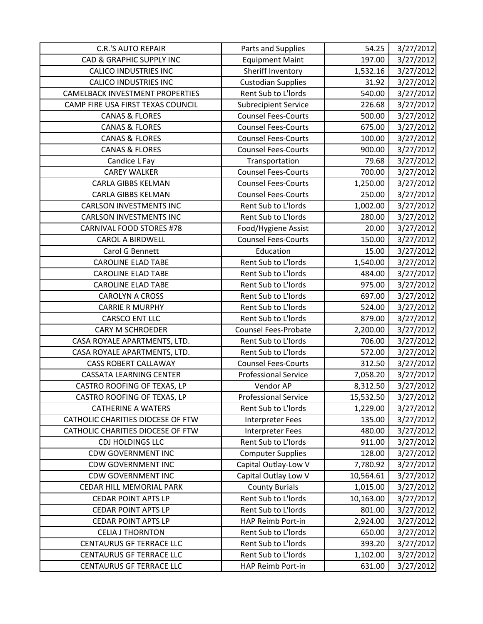| <b>C.R.'S AUTO REPAIR</b>              | Parts and Supplies          | 54.25     | 3/27/2012 |
|----------------------------------------|-----------------------------|-----------|-----------|
| <b>CAD &amp; GRAPHIC SUPPLY INC</b>    | <b>Equipment Maint</b>      | 197.00    | 3/27/2012 |
| <b>CALICO INDUSTRIES INC</b>           | Sheriff Inventory           | 1,532.16  | 3/27/2012 |
| <b>CALICO INDUSTRIES INC</b>           | <b>Custodian Supplies</b>   | 31.92     | 3/27/2012 |
| <b>CAMELBACK INVESTMENT PROPERTIES</b> | Rent Sub to L'Iords         | 540.00    | 3/27/2012 |
| CAMP FIRE USA FIRST TEXAS COUNCIL      | <b>Subrecipient Service</b> | 226.68    | 3/27/2012 |
| <b>CANAS &amp; FLORES</b>              | <b>Counsel Fees-Courts</b>  | 500.00    | 3/27/2012 |
| <b>CANAS &amp; FLORES</b>              | <b>Counsel Fees-Courts</b>  | 675.00    | 3/27/2012 |
| <b>CANAS &amp; FLORES</b>              | <b>Counsel Fees-Courts</b>  | 100.00    | 3/27/2012 |
| <b>CANAS &amp; FLORES</b>              | <b>Counsel Fees-Courts</b>  | 900.00    | 3/27/2012 |
| Candice L Fay                          | Transportation              | 79.68     | 3/27/2012 |
| <b>CAREY WALKER</b>                    | <b>Counsel Fees-Courts</b>  | 700.00    | 3/27/2012 |
| <b>CARLA GIBBS KELMAN</b>              | <b>Counsel Fees-Courts</b>  | 1,250.00  | 3/27/2012 |
| CARLA GIBBS KELMAN                     | <b>Counsel Fees-Courts</b>  | 250.00    | 3/27/2012 |
| <b>CARLSON INVESTMENTS INC</b>         | Rent Sub to L'Iords         | 1,002.00  | 3/27/2012 |
| <b>CARLSON INVESTMENTS INC</b>         | Rent Sub to L'Iords         | 280.00    | 3/27/2012 |
| <b>CARNIVAL FOOD STORES #78</b>        | Food/Hygiene Assist         | 20.00     | 3/27/2012 |
| <b>CAROL A BIRDWELL</b>                | <b>Counsel Fees-Courts</b>  | 150.00    | 3/27/2012 |
| Carol G Bennett                        | Education                   | 15.00     | 3/27/2012 |
| <b>CAROLINE ELAD TABE</b>              | Rent Sub to L'Iords         | 1,540.00  | 3/27/2012 |
| <b>CAROLINE ELAD TABE</b>              | Rent Sub to L'Iords         | 484.00    | 3/27/2012 |
| <b>CAROLINE ELAD TABE</b>              | Rent Sub to L'Iords         | 975.00    | 3/27/2012 |
| <b>CAROLYN A CROSS</b>                 | Rent Sub to L'Iords         | 697.00    | 3/27/2012 |
| <b>CARRIE R MURPHY</b>                 | Rent Sub to L'Iords         | 524.00    | 3/27/2012 |
| <b>CARSCO ENT LLC</b>                  | Rent Sub to L'Iords         | 879.00    | 3/27/2012 |
| <b>CARY M SCHROEDER</b>                | <b>Counsel Fees-Probate</b> | 2,200.00  | 3/27/2012 |
| CASA ROYALE APARTMENTS, LTD.           | Rent Sub to L'Iords         | 706.00    | 3/27/2012 |
| CASA ROYALE APARTMENTS, LTD.           | Rent Sub to L'Iords         | 572.00    | 3/27/2012 |
| <b>CASS ROBERT CALLAWAY</b>            | <b>Counsel Fees-Courts</b>  | 312.50    | 3/27/2012 |
| <b>CASSATA LEARNING CENTER</b>         | <b>Professional Service</b> | 7,058.20  | 3/27/2012 |
| CASTRO ROOFING OF TEXAS, LP            | Vendor AP                   | 8,312.50  | 3/27/2012 |
| CASTRO ROOFING OF TEXAS, LP            | <b>Professional Service</b> | 15,532.50 | 3/27/2012 |
| <b>CATHERINE A WATERS</b>              | Rent Sub to L'Iords         | 1,229.00  | 3/27/2012 |
| CATHOLIC CHARITIES DIOCESE OF FTW      | <b>Interpreter Fees</b>     | 135.00    | 3/27/2012 |
| CATHOLIC CHARITIES DIOCESE OF FTW      | Interpreter Fees            | 480.00    | 3/27/2012 |
| <b>CDJ HOLDINGS LLC</b>                | Rent Sub to L'Iords         | 911.00    | 3/27/2012 |
| <b>CDW GOVERNMENT INC</b>              | <b>Computer Supplies</b>    | 128.00    | 3/27/2012 |
| <b>CDW GOVERNMENT INC</b>              | Capital Outlay-Low V        | 7,780.92  | 3/27/2012 |
| <b>CDW GOVERNMENT INC</b>              | Capital Outlay Low V        | 10,564.61 | 3/27/2012 |
| CEDAR HILL MEMORIAL PARK               | <b>County Burials</b>       | 1,015.00  | 3/27/2012 |
| <b>CEDAR POINT APTS LP</b>             | Rent Sub to L'Iords         | 10,163.00 | 3/27/2012 |
| <b>CEDAR POINT APTS LP</b>             | Rent Sub to L'Iords         | 801.00    | 3/27/2012 |
| <b>CEDAR POINT APTS LP</b>             | HAP Reimb Port-in           | 2,924.00  | 3/27/2012 |
| <b>CELIA J THORNTON</b>                | Rent Sub to L'Iords         | 650.00    | 3/27/2012 |
| <b>CENTAURUS GF TERRACE LLC</b>        | Rent Sub to L'Iords         | 393.20    | 3/27/2012 |
| <b>CENTAURUS GF TERRACE LLC</b>        | Rent Sub to L'Iords         | 1,102.00  | 3/27/2012 |
| CENTAURUS GF TERRACE LLC               | HAP Reimb Port-in           | 631.00    | 3/27/2012 |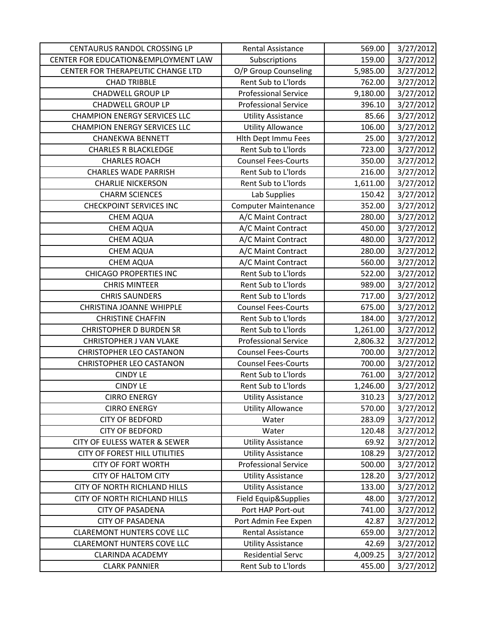| CENTAURUS RANDOL CROSSING LP        | <b>Rental Assistance</b>    | 569.00   | 3/27/2012 |
|-------------------------------------|-----------------------------|----------|-----------|
| CENTER FOR EDUCATION&EMPLOYMENT LAW | Subscriptions               | 159.00   | 3/27/2012 |
| CENTER FOR THERAPEUTIC CHANGE LTD   | O/P Group Counseling        | 5,985.00 | 3/27/2012 |
| <b>CHAD TRIBBLE</b>                 | Rent Sub to L'Iords         | 762.00   | 3/27/2012 |
| <b>CHADWELL GROUP LP</b>            | <b>Professional Service</b> | 9,180.00 | 3/27/2012 |
| <b>CHADWELL GROUP LP</b>            | <b>Professional Service</b> | 396.10   | 3/27/2012 |
| <b>CHAMPION ENERGY SERVICES LLC</b> | <b>Utility Assistance</b>   | 85.66    | 3/27/2012 |
| <b>CHAMPION ENERGY SERVICES LLC</b> | <b>Utility Allowance</b>    | 106.00   | 3/27/2012 |
| <b>CHANEKWA BENNETT</b>             | Hlth Dept Immu Fees         | 25.00    | 3/27/2012 |
| <b>CHARLES R BLACKLEDGE</b>         | Rent Sub to L'Iords         | 723.00   | 3/27/2012 |
| <b>CHARLES ROACH</b>                | <b>Counsel Fees-Courts</b>  | 350.00   | 3/27/2012 |
| <b>CHARLES WADE PARRISH</b>         | Rent Sub to L'Iords         | 216.00   | 3/27/2012 |
| <b>CHARLIE NICKERSON</b>            | Rent Sub to L'Iords         | 1,611.00 | 3/27/2012 |
| <b>CHARM SCIENCES</b>               | Lab Supplies                | 150.42   | 3/27/2012 |
| <b>CHECKPOINT SERVICES INC</b>      | <b>Computer Maintenance</b> | 352.00   | 3/27/2012 |
| <b>CHEM AQUA</b>                    | A/C Maint Contract          | 280.00   | 3/27/2012 |
| <b>CHEM AQUA</b>                    | A/C Maint Contract          | 450.00   | 3/27/2012 |
| <b>CHEM AQUA</b>                    | A/C Maint Contract          | 480.00   | 3/27/2012 |
| <b>CHEM AQUA</b>                    | A/C Maint Contract          | 280.00   | 3/27/2012 |
| <b>CHEM AQUA</b>                    | A/C Maint Contract          | 560.00   | 3/27/2012 |
| <b>CHICAGO PROPERTIES INC</b>       | Rent Sub to L'Iords         | 522.00   | 3/27/2012 |
| <b>CHRIS MINTEER</b>                | Rent Sub to L'Iords         | 989.00   | 3/27/2012 |
| <b>CHRIS SAUNDERS</b>               | Rent Sub to L'Iords         | 717.00   | 3/27/2012 |
| <b>CHRISTINA JOANNE WHIPPLE</b>     | <b>Counsel Fees-Courts</b>  | 675.00   | 3/27/2012 |
| <b>CHRISTINE CHAFFIN</b>            | Rent Sub to L'Iords         | 184.00   | 3/27/2012 |
| <b>CHRISTOPHER D BURDEN SR</b>      | Rent Sub to L'Iords         | 1,261.00 | 3/27/2012 |
| <b>CHRISTOPHER J VAN VLAKE</b>      | <b>Professional Service</b> | 2,806.32 | 3/27/2012 |
| <b>CHRISTOPHER LEO CASTANON</b>     | <b>Counsel Fees-Courts</b>  | 700.00   | 3/27/2012 |
| <b>CHRISTOPHER LEO CASTANON</b>     | <b>Counsel Fees-Courts</b>  | 700.00   | 3/27/2012 |
| <b>CINDY LE</b>                     | Rent Sub to L'Iords         | 761.00   | 3/27/2012 |
| <b>CINDY LE</b>                     | Rent Sub to L'Iords         | 1,246.00 | 3/27/2012 |
| <b>CIRRO ENERGY</b>                 | <b>Utility Assistance</b>   | 310.23   | 3/27/2012 |
| <b>CIRRO ENERGY</b>                 | <b>Utility Allowance</b>    | 570.00   | 3/27/2012 |
| <b>CITY OF BEDFORD</b>              | Water                       | 283.09   | 3/27/2012 |
| <b>CITY OF BEDFORD</b>              | Water                       | 120.48   | 3/27/2012 |
| CITY OF EULESS WATER & SEWER        | <b>Utility Assistance</b>   | 69.92    | 3/27/2012 |
| CITY OF FOREST HILL UTILITIES       | <b>Utility Assistance</b>   | 108.29   | 3/27/2012 |
| <b>CITY OF FORT WORTH</b>           | <b>Professional Service</b> | 500.00   | 3/27/2012 |
| <b>CITY OF HALTOM CITY</b>          | <b>Utility Assistance</b>   | 128.20   | 3/27/2012 |
| CITY OF NORTH RICHLAND HILLS        | <b>Utility Assistance</b>   | 133.00   | 3/27/2012 |
| CITY OF NORTH RICHLAND HILLS        | Field Equip&Supplies        | 48.00    | 3/27/2012 |
| <b>CITY OF PASADENA</b>             | Port HAP Port-out           | 741.00   | 3/27/2012 |
| <b>CITY OF PASADENA</b>             | Port Admin Fee Expen        | 42.87    | 3/27/2012 |
| <b>CLAREMONT HUNTERS COVE LLC</b>   | Rental Assistance           | 659.00   | 3/27/2012 |
| <b>CLAREMONT HUNTERS COVE LLC</b>   | <b>Utility Assistance</b>   | 42.69    | 3/27/2012 |
| <b>CLARINDA ACADEMY</b>             | <b>Residential Servc</b>    | 4,009.25 | 3/27/2012 |
| <b>CLARK PANNIER</b>                | Rent Sub to L'Iords         | 455.00   | 3/27/2012 |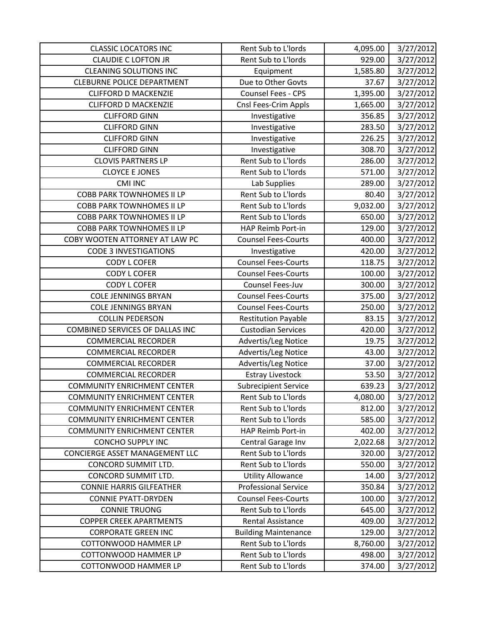| <b>CLASSIC LOCATORS INC</b>        | Rent Sub to L'Iords         | 4,095.00 | 3/27/2012 |
|------------------------------------|-----------------------------|----------|-----------|
| <b>CLAUDIE C LOFTON JR</b>         | Rent Sub to L'Iords         | 929.00   | 3/27/2012 |
| <b>CLEANING SOLUTIONS INC</b>      | Equipment                   | 1,585.80 | 3/27/2012 |
| <b>CLEBURNE POLICE DEPARTMENT</b>  | Due to Other Govts          | 37.67    | 3/27/2012 |
| <b>CLIFFORD D MACKENZIE</b>        | Counsel Fees - CPS          | 1,395.00 | 3/27/2012 |
| <b>CLIFFORD D MACKENZIE</b>        | Cnsl Fees-Crim Appls        | 1,665.00 | 3/27/2012 |
| <b>CLIFFORD GINN</b>               | Investigative               | 356.85   | 3/27/2012 |
| <b>CLIFFORD GINN</b>               | Investigative               | 283.50   | 3/27/2012 |
| <b>CLIFFORD GINN</b>               | Investigative               | 226.25   | 3/27/2012 |
| <b>CLIFFORD GINN</b>               | Investigative               | 308.70   | 3/27/2012 |
| <b>CLOVIS PARTNERS LP</b>          | Rent Sub to L'Iords         | 286.00   | 3/27/2012 |
| <b>CLOYCE E JONES</b>              | Rent Sub to L'Iords         | 571.00   | 3/27/2012 |
| <b>CMI INC</b>                     | Lab Supplies                | 289.00   | 3/27/2012 |
| <b>COBB PARK TOWNHOMES II LP</b>   | Rent Sub to L'Iords         | 80.40    | 3/27/2012 |
| <b>COBB PARK TOWNHOMES II LP</b>   | Rent Sub to L'Iords         | 9,032.00 | 3/27/2012 |
| <b>COBB PARK TOWNHOMES II LP</b>   | Rent Sub to L'Iords         | 650.00   | 3/27/2012 |
| <b>COBB PARK TOWNHOMES II LP</b>   | HAP Reimb Port-in           | 129.00   | 3/27/2012 |
| COBY WOOTEN ATTORNEY AT LAW PC     | <b>Counsel Fees-Courts</b>  | 400.00   | 3/27/2012 |
| <b>CODE 3 INVESTIGATIONS</b>       | Investigative               | 420.00   | 3/27/2012 |
| <b>CODY L COFER</b>                | <b>Counsel Fees-Courts</b>  | 118.75   | 3/27/2012 |
| <b>CODY L COFER</b>                | <b>Counsel Fees-Courts</b>  | 100.00   | 3/27/2012 |
| <b>CODY L COFER</b>                | Counsel Fees-Juv            | 300.00   | 3/27/2012 |
| <b>COLE JENNINGS BRYAN</b>         | <b>Counsel Fees-Courts</b>  | 375.00   | 3/27/2012 |
| <b>COLE JENNINGS BRYAN</b>         | <b>Counsel Fees-Courts</b>  | 250.00   | 3/27/2012 |
| <b>COLLIN PEDERSON</b>             | <b>Restitution Payable</b>  | 83.15    | 3/27/2012 |
| COMBINED SERVICES OF DALLAS INC    | <b>Custodian Services</b>   | 420.00   | 3/27/2012 |
| <b>COMMERCIAL RECORDER</b>         | Advertis/Leg Notice         | 19.75    | 3/27/2012 |
| <b>COMMERCIAL RECORDER</b>         | Advertis/Leg Notice         | 43.00    | 3/27/2012 |
| <b>COMMERCIAL RECORDER</b>         | Advertis/Leg Notice         | 37.00    | 3/27/2012 |
| <b>COMMERCIAL RECORDER</b>         | <b>Estray Livestock</b>     | 53.50    | 3/27/2012 |
| <b>COMMUNITY ENRICHMENT CENTER</b> | <b>Subrecipient Service</b> | 639.23   | 3/27/2012 |
| <b>COMMUNITY ENRICHMENT CENTER</b> | Rent Sub to L'Iords         | 4,080.00 | 3/27/2012 |
| <b>COMMUNITY ENRICHMENT CENTER</b> | Rent Sub to L'Iords         | 812.00   | 3/27/2012 |
| <b>COMMUNITY ENRICHMENT CENTER</b> | Rent Sub to L'Iords         | 585.00   | 3/27/2012 |
| <b>COMMUNITY ENRICHMENT CENTER</b> | HAP Reimb Port-in           | 402.00   | 3/27/2012 |
| <b>CONCHO SUPPLY INC</b>           | Central Garage Inv          | 2,022.68 | 3/27/2012 |
| CONCIERGE ASSET MANAGEMENT LLC     | Rent Sub to L'Iords         | 320.00   | 3/27/2012 |
| CONCORD SUMMIT LTD.                | Rent Sub to L'Iords         | 550.00   | 3/27/2012 |
| CONCORD SUMMIT LTD.                | <b>Utility Allowance</b>    | 14.00    | 3/27/2012 |
| <b>CONNIE HARRIS GILFEATHER</b>    | <b>Professional Service</b> | 350.84   | 3/27/2012 |
| <b>CONNIE PYATT-DRYDEN</b>         | <b>Counsel Fees-Courts</b>  | 100.00   | 3/27/2012 |
| <b>CONNIE TRUONG</b>               | Rent Sub to L'Iords         | 645.00   | 3/27/2012 |
| <b>COPPER CREEK APARTMENTS</b>     | Rental Assistance           | 409.00   | 3/27/2012 |
| <b>CORPORATE GREEN INC</b>         | <b>Building Maintenance</b> | 129.00   | 3/27/2012 |
| <b>COTTONWOOD HAMMER LP</b>        | Rent Sub to L'Iords         | 8,760.00 | 3/27/2012 |
| <b>COTTONWOOD HAMMER LP</b>        | Rent Sub to L'Iords         | 498.00   | 3/27/2012 |
| COTTONWOOD HAMMER LP               | Rent Sub to L'Iords         | 374.00   | 3/27/2012 |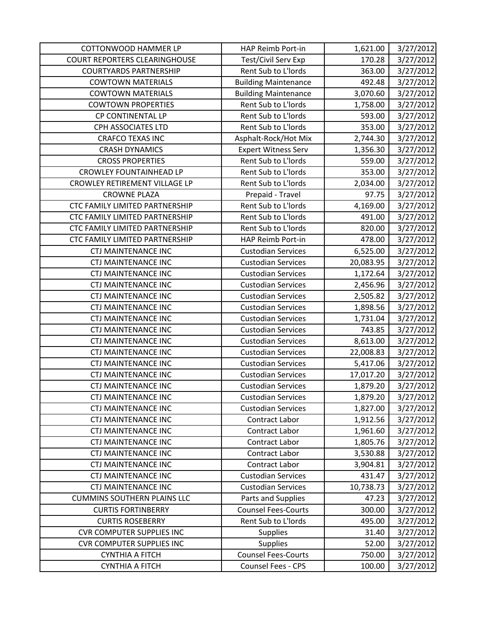| <b>COTTONWOOD HAMMER LP</b>           | HAP Reimb Port-in           | 1,621.00  | 3/27/2012 |
|---------------------------------------|-----------------------------|-----------|-----------|
| <b>COURT REPORTERS CLEARINGHOUSE</b>  | Test/Civil Serv Exp         | 170.28    | 3/27/2012 |
| <b>COURTYARDS PARTNERSHIP</b>         | Rent Sub to L'Iords         | 363.00    | 3/27/2012 |
| <b>COWTOWN MATERIALS</b>              | <b>Building Maintenance</b> | 492.48    | 3/27/2012 |
| <b>COWTOWN MATERIALS</b>              | <b>Building Maintenance</b> | 3,070.60  | 3/27/2012 |
| <b>COWTOWN PROPERTIES</b>             | Rent Sub to L'Iords         | 1,758.00  | 3/27/2012 |
| CP CONTINENTAL LP                     | Rent Sub to L'Iords         | 593.00    | 3/27/2012 |
| CPH ASSOCIATES LTD                    | Rent Sub to L'Iords         | 353.00    | 3/27/2012 |
| <b>CRAFCO TEXAS INC</b>               | Asphalt-Rock/Hot Mix        | 2,744.30  | 3/27/2012 |
| <b>CRASH DYNAMICS</b>                 | <b>Expert Witness Serv</b>  | 1,356.30  | 3/27/2012 |
| <b>CROSS PROPERTIES</b>               | Rent Sub to L'Iords         | 559.00    | 3/27/2012 |
| <b>CROWLEY FOUNTAINHEAD LP</b>        | Rent Sub to L'Iords         | 353.00    | 3/27/2012 |
| CROWLEY RETIREMENT VILLAGE LP         | Rent Sub to L'Iords         | 2,034.00  | 3/27/2012 |
| <b>CROWNE PLAZA</b>                   | Prepaid - Travel            | 97.75     | 3/27/2012 |
| <b>CTC FAMILY LIMITED PARTNERSHIP</b> | Rent Sub to L'Iords         | 4,169.00  | 3/27/2012 |
| CTC FAMILY LIMITED PARTNERSHIP        | Rent Sub to L'Iords         | 491.00    | 3/27/2012 |
| CTC FAMILY LIMITED PARTNERSHIP        | Rent Sub to L'Iords         | 820.00    | 3/27/2012 |
| CTC FAMILY LIMITED PARTNERSHIP        | HAP Reimb Port-in           | 478.00    | 3/27/2012 |
| <b>CTJ MAINTENANCE INC</b>            | <b>Custodian Services</b>   | 6,525.00  | 3/27/2012 |
| <b>CTJ MAINTENANCE INC</b>            | <b>Custodian Services</b>   | 20,083.95 | 3/27/2012 |
| <b>CTJ MAINTENANCE INC</b>            | <b>Custodian Services</b>   | 1,172.64  | 3/27/2012 |
| <b>CTJ MAINTENANCE INC</b>            | <b>Custodian Services</b>   | 2,456.96  | 3/27/2012 |
| <b>CTJ MAINTENANCE INC</b>            | <b>Custodian Services</b>   | 2,505.82  | 3/27/2012 |
| <b>CTJ MAINTENANCE INC</b>            | <b>Custodian Services</b>   | 1,898.56  | 3/27/2012 |
| <b>CTJ MAINTENANCE INC</b>            | <b>Custodian Services</b>   | 1,731.04  | 3/27/2012 |
| <b>CTJ MAINTENANCE INC</b>            | <b>Custodian Services</b>   | 743.85    | 3/27/2012 |
| <b>CTJ MAINTENANCE INC</b>            | <b>Custodian Services</b>   | 8,613.00  | 3/27/2012 |
| <b>CTJ MAINTENANCE INC</b>            | <b>Custodian Services</b>   | 22,008.83 | 3/27/2012 |
| <b>CTJ MAINTENANCE INC</b>            | <b>Custodian Services</b>   | 5,417.06  | 3/27/2012 |
| <b>CTJ MAINTENANCE INC</b>            | <b>Custodian Services</b>   | 17,017.20 | 3/27/2012 |
| <b>CTJ MAINTENANCE INC</b>            | <b>Custodian Services</b>   | 1,879.20  | 3/27/2012 |
| <b>CTJ MAINTENANCE INC</b>            | Custodian Services          | 1,879.20  | 3/27/2012 |
| <b>CTJ MAINTENANCE INC</b>            | <b>Custodian Services</b>   | 1,827.00  | 3/27/2012 |
| <b>CTJ MAINTENANCE INC</b>            | Contract Labor              | 1,912.56  | 3/27/2012 |
| <b>CTJ MAINTENANCE INC</b>            | Contract Labor              | 1,961.60  | 3/27/2012 |
| <b>CTJ MAINTENANCE INC</b>            | Contract Labor              | 1,805.76  | 3/27/2012 |
| <b>CTJ MAINTENANCE INC</b>            | Contract Labor              | 3,530.88  | 3/27/2012 |
| <b>CTJ MAINTENANCE INC</b>            | <b>Contract Labor</b>       | 3,904.81  | 3/27/2012 |
| <b>CTJ MAINTENANCE INC</b>            | <b>Custodian Services</b>   | 431.47    | 3/27/2012 |
| <b>CTJ MAINTENANCE INC</b>            | <b>Custodian Services</b>   | 10,738.73 | 3/27/2012 |
| <b>CUMMINS SOUTHERN PLAINS LLC</b>    | Parts and Supplies          | 47.23     | 3/27/2012 |
| <b>CURTIS FORTINBERRY</b>             | <b>Counsel Fees-Courts</b>  | 300.00    | 3/27/2012 |
| <b>CURTIS ROSEBERRY</b>               | Rent Sub to L'Iords         | 495.00    | 3/27/2012 |
| <b>CVR COMPUTER SUPPLIES INC</b>      | <b>Supplies</b>             | 31.40     | 3/27/2012 |
| <b>CVR COMPUTER SUPPLIES INC</b>      | <b>Supplies</b>             | 52.00     | 3/27/2012 |
| <b>CYNTHIA A FITCH</b>                | <b>Counsel Fees-Courts</b>  | 750.00    | 3/27/2012 |
| <b>CYNTHIA A FITCH</b>                | Counsel Fees - CPS          | 100.00    | 3/27/2012 |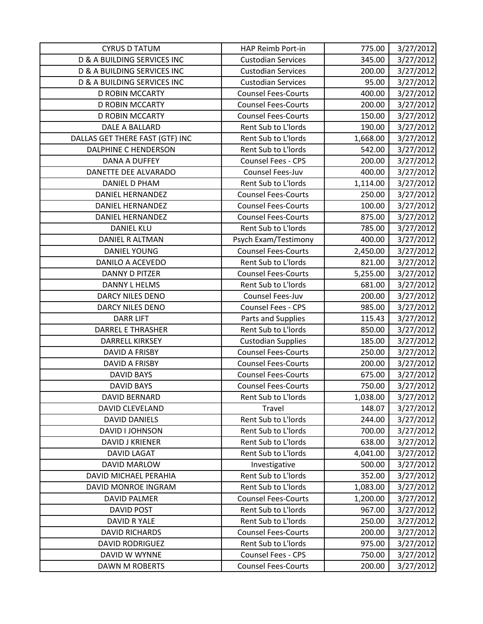| <b>CYRUS D TATUM</b>                   | HAP Reimb Port-in          | 775.00   | 3/27/2012 |
|----------------------------------------|----------------------------|----------|-----------|
| <b>D &amp; A BUILDING SERVICES INC</b> | <b>Custodian Services</b>  | 345.00   | 3/27/2012 |
| D & A BUILDING SERVICES INC            | <b>Custodian Services</b>  | 200.00   | 3/27/2012 |
| <b>D &amp; A BUILDING SERVICES INC</b> | <b>Custodian Services</b>  | 95.00    | 3/27/2012 |
| <b>D ROBIN MCCARTY</b>                 | <b>Counsel Fees-Courts</b> | 400.00   | 3/27/2012 |
| D ROBIN MCCARTY                        | <b>Counsel Fees-Courts</b> | 200.00   | 3/27/2012 |
| D ROBIN MCCARTY                        | <b>Counsel Fees-Courts</b> | 150.00   | 3/27/2012 |
| DALE A BALLARD                         | Rent Sub to L'Iords        | 190.00   | 3/27/2012 |
| DALLAS GET THERE FAST (GTF) INC        | Rent Sub to L'Iords        | 1,668.00 | 3/27/2012 |
| <b>DALPHINE C HENDERSON</b>            | Rent Sub to L'Iords        | 542.00   | 3/27/2012 |
| DANA A DUFFEY                          | <b>Counsel Fees - CPS</b>  | 200.00   | 3/27/2012 |
| DANETTE DEE ALVARADO                   | Counsel Fees-Juv           | 400.00   | 3/27/2012 |
| <b>DANIEL D PHAM</b>                   | Rent Sub to L'Iords        | 1,114.00 | 3/27/2012 |
| <b>DANIEL HERNANDEZ</b>                | <b>Counsel Fees-Courts</b> | 250.00   | 3/27/2012 |
| <b>DANIEL HERNANDEZ</b>                | <b>Counsel Fees-Courts</b> | 100.00   | 3/27/2012 |
| <b>DANIEL HERNANDEZ</b>                | <b>Counsel Fees-Courts</b> | 875.00   | 3/27/2012 |
| <b>DANIEL KLU</b>                      | Rent Sub to L'Iords        | 785.00   | 3/27/2012 |
| <b>DANIEL R ALTMAN</b>                 | Psych Exam/Testimony       | 400.00   | 3/27/2012 |
| <b>DANIEL YOUNG</b>                    | <b>Counsel Fees-Courts</b> | 2,450.00 | 3/27/2012 |
| <b>DANILO A ACEVEDO</b>                | Rent Sub to L'Iords        | 821.00   | 3/27/2012 |
| <b>DANNY D PITZER</b>                  | <b>Counsel Fees-Courts</b> | 5,255.00 | 3/27/2012 |
| <b>DANNY L HELMS</b>                   | Rent Sub to L'Iords        | 681.00   | 3/27/2012 |
| DARCY NILES DENO                       | Counsel Fees-Juv           | 200.00   | 3/27/2012 |
| DARCY NILES DENO                       | Counsel Fees - CPS         | 985.00   | 3/27/2012 |
| <b>DARR LIFT</b>                       | Parts and Supplies         | 115.43   | 3/27/2012 |
| <b>DARREL E THRASHER</b>               | Rent Sub to L'Iords        | 850.00   | 3/27/2012 |
| DARRELL KIRKSEY                        | <b>Custodian Supplies</b>  | 185.00   | 3/27/2012 |
| DAVID A FRISBY                         | <b>Counsel Fees-Courts</b> | 250.00   | 3/27/2012 |
| DAVID A FRISBY                         | <b>Counsel Fees-Courts</b> | 200.00   | 3/27/2012 |
| <b>DAVID BAYS</b>                      | <b>Counsel Fees-Courts</b> | 675.00   | 3/27/2012 |
| <b>DAVID BAYS</b>                      | <b>Counsel Fees-Courts</b> | 750.00   | 3/27/2012 |
| DAVID BERNARD                          | Rent Sub to L'Iords        | 1,038.00 | 3/27/2012 |
| <b>DAVID CLEVELAND</b>                 | Travel                     | 148.07   | 3/27/2012 |
| <b>DAVID DANIELS</b>                   | Rent Sub to L'Iords        | 244.00   | 3/27/2012 |
| DAVID I JOHNSON                        | Rent Sub to L'Iords        | 700.00   | 3/27/2012 |
| <b>DAVID J KRIENER</b>                 | Rent Sub to L'Iords        | 638.00   | 3/27/2012 |
| <b>DAVID LAGAT</b>                     | Rent Sub to L'Iords        | 4,041.00 | 3/27/2012 |
| DAVID MARLOW                           | Investigative              | 500.00   | 3/27/2012 |
| DAVID MICHAEL PERAHIA                  | Rent Sub to L'Iords        | 352.00   | 3/27/2012 |
| DAVID MONROE INGRAM                    | Rent Sub to L'Iords        | 1,083.00 | 3/27/2012 |
| <b>DAVID PALMER</b>                    | <b>Counsel Fees-Courts</b> | 1,200.00 | 3/27/2012 |
| <b>DAVID POST</b>                      | Rent Sub to L'Iords        | 967.00   | 3/27/2012 |
| DAVID R YALE                           | Rent Sub to L'Iords        | 250.00   | 3/27/2012 |
| <b>DAVID RICHARDS</b>                  | <b>Counsel Fees-Courts</b> | 200.00   | 3/27/2012 |
| <b>DAVID RODRIGUEZ</b>                 | Rent Sub to L'Iords        | 975.00   | 3/27/2012 |
| DAVID W WYNNE                          | Counsel Fees - CPS         | 750.00   | 3/27/2012 |
| DAWN M ROBERTS                         | <b>Counsel Fees-Courts</b> | 200.00   | 3/27/2012 |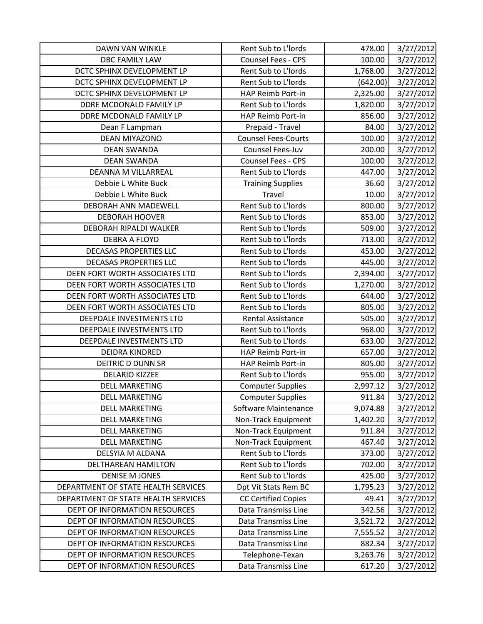| <b>DAWN VAN WINKLE</b>              | Rent Sub to L'Iords        | 478.00   | 3/27/2012 |
|-------------------------------------|----------------------------|----------|-----------|
| <b>DBC FAMILY LAW</b>               | <b>Counsel Fees - CPS</b>  | 100.00   | 3/27/2012 |
| DCTC SPHINX DEVELOPMENT LP          | Rent Sub to L'Iords        | 1,768.00 | 3/27/2012 |
| DCTC SPHINX DEVELOPMENT LP          | Rent Sub to L'Iords        | (642.00) | 3/27/2012 |
| DCTC SPHINX DEVELOPMENT LP          | HAP Reimb Port-in          | 2,325.00 | 3/27/2012 |
| DDRE MCDONALD FAMILY LP             | Rent Sub to L'Iords        | 1,820.00 | 3/27/2012 |
| DDRE MCDONALD FAMILY LP             | HAP Reimb Port-in          | 856.00   | 3/27/2012 |
| Dean F Lampman                      | Prepaid - Travel           | 84.00    | 3/27/2012 |
| <b>DEAN MIYAZONO</b>                | <b>Counsel Fees-Courts</b> | 100.00   | 3/27/2012 |
| <b>DEAN SWANDA</b>                  | Counsel Fees-Juv           | 200.00   | 3/27/2012 |
| <b>DEAN SWANDA</b>                  | Counsel Fees - CPS         | 100.00   | 3/27/2012 |
| DEANNA M VILLARREAL                 | Rent Sub to L'Iords        | 447.00   | 3/27/2012 |
| Debbie L White Buck                 | <b>Training Supplies</b>   | 36.60    | 3/27/2012 |
| Debbie L White Buck                 | Travel                     | 10.00    | 3/27/2012 |
| DEBORAH ANN MADEWELL                | Rent Sub to L'Iords        | 800.00   | 3/27/2012 |
| <b>DEBORAH HOOVER</b>               | Rent Sub to L'Iords        | 853.00   | 3/27/2012 |
| DEBORAH RIPALDI WALKER              | Rent Sub to L'Iords        | 509.00   | 3/27/2012 |
| <b>DEBRA A FLOYD</b>                | Rent Sub to L'Iords        | 713.00   | 3/27/2012 |
| DECASAS PROPERTIES LLC              | Rent Sub to L'Iords        | 453.00   | 3/27/2012 |
| <b>DECASAS PROPERTIES LLC</b>       | Rent Sub to L'Iords        | 445.00   | 3/27/2012 |
| DEEN FORT WORTH ASSOCIATES LTD      | Rent Sub to L'Iords        | 2,394.00 | 3/27/2012 |
| DEEN FORT WORTH ASSOCIATES LTD      | Rent Sub to L'Iords        | 1,270.00 | 3/27/2012 |
| DEEN FORT WORTH ASSOCIATES LTD      | Rent Sub to L'Iords        | 644.00   | 3/27/2012 |
| DEEN FORT WORTH ASSOCIATES LTD      | Rent Sub to L'Iords        | 805.00   | 3/27/2012 |
| DEEPDALE INVESTMENTS LTD            | Rental Assistance          | 505.00   | 3/27/2012 |
| DEEPDALE INVESTMENTS LTD            | Rent Sub to L'Iords        | 968.00   | 3/27/2012 |
| DEEPDALE INVESTMENTS LTD            | Rent Sub to L'Iords        | 633.00   | 3/27/2012 |
| <b>DEIDRA KINDRED</b>               | HAP Reimb Port-in          | 657.00   | 3/27/2012 |
| DEITRIC D DUNN SR                   | HAP Reimb Port-in          | 805.00   | 3/27/2012 |
| <b>DELARIO KIZZEE</b>               | Rent Sub to L'Iords        | 955.00   | 3/27/2012 |
| <b>DELL MARKETING</b>               | <b>Computer Supplies</b>   | 2,997.12 | 3/27/2012 |
| <b>DELL MARKETING</b>               | <b>Computer Supplies</b>   | 911.84   | 3/27/2012 |
| <b>DELL MARKETING</b>               | Software Maintenance       | 9,074.88 | 3/27/2012 |
| <b>DELL MARKETING</b>               | Non-Track Equipment        | 1,402.20 | 3/27/2012 |
| <b>DELL MARKETING</b>               | Non-Track Equipment        | 911.84   | 3/27/2012 |
| <b>DELL MARKETING</b>               | Non-Track Equipment        | 467.40   | 3/27/2012 |
| DELSYIA M ALDANA                    | Rent Sub to L'Iords        | 373.00   | 3/27/2012 |
| DELTHAREAN HAMILTON                 | Rent Sub to L'Iords        | 702.00   | 3/27/2012 |
| <b>DENISE M JONES</b>               | Rent Sub to L'Iords        | 425.00   | 3/27/2012 |
| DEPARTMENT OF STATE HEALTH SERVICES | Dpt Vit Stats Rem BC       | 1,795.23 | 3/27/2012 |
| DEPARTMENT OF STATE HEALTH SERVICES | <b>CC Certified Copies</b> | 49.41    | 3/27/2012 |
| DEPT OF INFORMATION RESOURCES       | Data Transmiss Line        | 342.56   | 3/27/2012 |
| DEPT OF INFORMATION RESOURCES       | Data Transmiss Line        | 3,521.72 | 3/27/2012 |
| DEPT OF INFORMATION RESOURCES       | Data Transmiss Line        | 7,555.52 | 3/27/2012 |
| DEPT OF INFORMATION RESOURCES       | Data Transmiss Line        | 882.34   | 3/27/2012 |
| DEPT OF INFORMATION RESOURCES       | Telephone-Texan            | 3,263.76 | 3/27/2012 |
| DEPT OF INFORMATION RESOURCES       | Data Transmiss Line        | 617.20   | 3/27/2012 |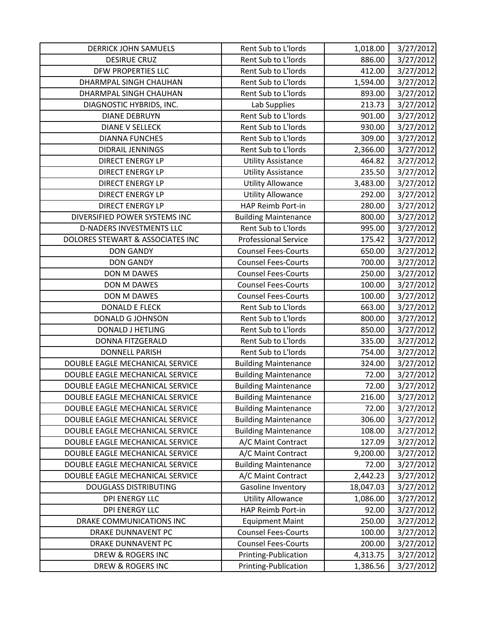| <b>DERRICK JOHN SAMUELS</b>      | Rent Sub to L'Iords         | 1,018.00  | 3/27/2012 |
|----------------------------------|-----------------------------|-----------|-----------|
| <b>DESIRUE CRUZ</b>              | Rent Sub to L'Iords         | 886.00    | 3/27/2012 |
| DFW PROPERTIES LLC               | Rent Sub to L'Iords         | 412.00    | 3/27/2012 |
| DHARMPAL SINGH CHAUHAN           | Rent Sub to L'Iords         | 1,594.00  | 3/27/2012 |
| DHARMPAL SINGH CHAUHAN           | Rent Sub to L'Iords         | 893.00    | 3/27/2012 |
| DIAGNOSTIC HYBRIDS, INC.         | Lab Supplies                | 213.73    | 3/27/2012 |
| <b>DIANE DEBRUYN</b>             | Rent Sub to L'Iords         | 901.00    | 3/27/2012 |
| <b>DIANE V SELLECK</b>           | Rent Sub to L'Iords         | 930.00    | 3/27/2012 |
| <b>DIANNA FUNCHES</b>            | Rent Sub to L'Iords         | 309.00    | 3/27/2012 |
| <b>DIDRAIL JENNINGS</b>          | Rent Sub to L'Iords         | 2,366.00  | 3/27/2012 |
| <b>DIRECT ENERGY LP</b>          | <b>Utility Assistance</b>   | 464.82    | 3/27/2012 |
| <b>DIRECT ENERGY LP</b>          | <b>Utility Assistance</b>   | 235.50    | 3/27/2012 |
| <b>DIRECT ENERGY LP</b>          | <b>Utility Allowance</b>    | 3,483.00  | 3/27/2012 |
| <b>DIRECT ENERGY LP</b>          | <b>Utility Allowance</b>    | 292.00    | 3/27/2012 |
| <b>DIRECT ENERGY LP</b>          | HAP Reimb Port-in           | 280.00    | 3/27/2012 |
| DIVERSIFIED POWER SYSTEMS INC    | <b>Building Maintenance</b> | 800.00    | 3/27/2012 |
| <b>D-NADERS INVESTMENTS LLC</b>  | Rent Sub to L'Iords         | 995.00    | 3/27/2012 |
| DOLORES STEWART & ASSOCIATES INC | <b>Professional Service</b> | 175.42    | 3/27/2012 |
| <b>DON GANDY</b>                 | <b>Counsel Fees-Courts</b>  | 650.00    | 3/27/2012 |
| <b>DON GANDY</b>                 | <b>Counsel Fees-Courts</b>  | 700.00    | 3/27/2012 |
| DON M DAWES                      | <b>Counsel Fees-Courts</b>  | 250.00    | 3/27/2012 |
| DON M DAWES                      | <b>Counsel Fees-Courts</b>  | 100.00    | 3/27/2012 |
| DON M DAWES                      | <b>Counsel Fees-Courts</b>  | 100.00    | 3/27/2012 |
| <b>DONALD E FLECK</b>            | Rent Sub to L'Iords         | 663.00    | 3/27/2012 |
| DONALD G JOHNSON                 | Rent Sub to L'Iords         | 800.00    | 3/27/2012 |
| <b>DONALD J HETLING</b>          | Rent Sub to L'Iords         | 850.00    | 3/27/2012 |
| <b>DONNA FITZGERALD</b>          | Rent Sub to L'Iords         | 335.00    | 3/27/2012 |
| <b>DONNELL PARISH</b>            | Rent Sub to L'Iords         | 754.00    | 3/27/2012 |
| DOUBLE EAGLE MECHANICAL SERVICE  | <b>Building Maintenance</b> | 324.00    | 3/27/2012 |
| DOUBLE EAGLE MECHANICAL SERVICE  | <b>Building Maintenance</b> | 72.00     | 3/27/2012 |
| DOUBLE EAGLE MECHANICAL SERVICE  | <b>Building Maintenance</b> | 72.00     | 3/27/2012 |
| DOUBLE EAGLE MECHANICAL SERVICE  | <b>Building Maintenance</b> | 216.00    | 3/27/2012 |
| DOUBLE EAGLE MECHANICAL SERVICE  | <b>Building Maintenance</b> | 72.00     | 3/27/2012 |
| DOUBLE EAGLE MECHANICAL SERVICE  | <b>Building Maintenance</b> | 306.00    | 3/27/2012 |
| DOUBLE EAGLE MECHANICAL SERVICE  | <b>Building Maintenance</b> | 108.00    | 3/27/2012 |
| DOUBLE EAGLE MECHANICAL SERVICE  | A/C Maint Contract          | 127.09    | 3/27/2012 |
| DOUBLE EAGLE MECHANICAL SERVICE  | A/C Maint Contract          | 9,200.00  | 3/27/2012 |
| DOUBLE EAGLE MECHANICAL SERVICE  | <b>Building Maintenance</b> | 72.00     | 3/27/2012 |
| DOUBLE EAGLE MECHANICAL SERVICE  | A/C Maint Contract          | 2,442.23  | 3/27/2012 |
| <b>DOUGLASS DISTRIBUTING</b>     | Gasoline Inventory          | 18,047.03 | 3/27/2012 |
| <b>DPI ENERGY LLC</b>            | <b>Utility Allowance</b>    | 1,086.00  | 3/27/2012 |
| <b>DPI ENERGY LLC</b>            | HAP Reimb Port-in           | 92.00     | 3/27/2012 |
| DRAKE COMMUNICATIONS INC         | <b>Equipment Maint</b>      | 250.00    | 3/27/2012 |
| DRAKE DUNNAVENT PC               | <b>Counsel Fees-Courts</b>  | 100.00    | 3/27/2012 |
| DRAKE DUNNAVENT PC               | <b>Counsel Fees-Courts</b>  | 200.00    | 3/27/2012 |
| DREW & ROGERS INC                | Printing-Publication        | 4,313.75  | 3/27/2012 |
| DREW & ROGERS INC                | Printing-Publication        | 1,386.56  | 3/27/2012 |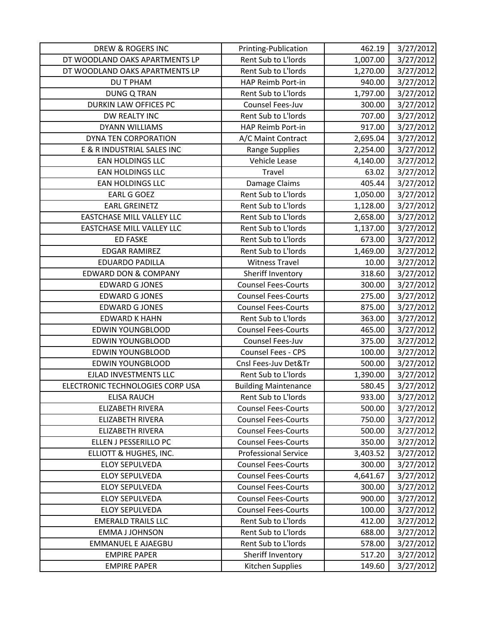| <b>DREW &amp; ROGERS INC</b>     | Printing-Publication        | 462.19   | 3/27/2012 |
|----------------------------------|-----------------------------|----------|-----------|
| DT WOODLAND OAKS APARTMENTS LP   | Rent Sub to L'Iords         | 1,007.00 | 3/27/2012 |
| DT WOODLAND OAKS APARTMENTS LP   | Rent Sub to L'Iords         | 1,270.00 | 3/27/2012 |
| <b>DUT PHAM</b>                  | HAP Reimb Port-in           | 940.00   | 3/27/2012 |
| <b>DUNG Q TRAN</b>               | Rent Sub to L'Iords         | 1,797.00 | 3/27/2012 |
| DURKIN LAW OFFICES PC            | Counsel Fees-Juv            | 300.00   | 3/27/2012 |
| DW REALTY INC                    | Rent Sub to L'Iords         | 707.00   | 3/27/2012 |
| <b>DYANN WILLIAMS</b>            | HAP Reimb Port-in           | 917.00   | 3/27/2012 |
| DYNA TEN CORPORATION             | A/C Maint Contract          | 2,695.04 | 3/27/2012 |
| E & R INDUSTRIAL SALES INC       | Range Supplies              | 2,254.00 | 3/27/2012 |
| <b>EAN HOLDINGS LLC</b>          | Vehicle Lease               | 4,140.00 | 3/27/2012 |
| <b>EAN HOLDINGS LLC</b>          | Travel                      | 63.02    | 3/27/2012 |
| <b>EAN HOLDINGS LLC</b>          | Damage Claims               | 405.44   | 3/27/2012 |
| <b>EARL G GOEZ</b>               | Rent Sub to L'Iords         | 1,050.00 | 3/27/2012 |
| <b>EARL GREINETZ</b>             | Rent Sub to L'Iords         | 1,128.00 | 3/27/2012 |
| EASTCHASE MILL VALLEY LLC        | Rent Sub to L'Iords         | 2,658.00 | 3/27/2012 |
| <b>EASTCHASE MILL VALLEY LLC</b> | Rent Sub to L'Iords         | 1,137.00 | 3/27/2012 |
| <b>ED FASKE</b>                  | Rent Sub to L'Iords         | 673.00   | 3/27/2012 |
| <b>EDGAR RAMIREZ</b>             | Rent Sub to L'Iords         | 1,469.00 | 3/27/2012 |
| <b>EDUARDO PADILLA</b>           | <b>Witness Travel</b>       | 10.00    | 3/27/2012 |
| <b>EDWARD DON &amp; COMPANY</b>  | Sheriff Inventory           | 318.60   | 3/27/2012 |
| <b>EDWARD G JONES</b>            | <b>Counsel Fees-Courts</b>  | 300.00   | 3/27/2012 |
| <b>EDWARD G JONES</b>            | <b>Counsel Fees-Courts</b>  | 275.00   | 3/27/2012 |
| <b>EDWARD G JONES</b>            | <b>Counsel Fees-Courts</b>  | 875.00   | 3/27/2012 |
| <b>EDWARD K HAHN</b>             | Rent Sub to L'Iords         | 363.00   | 3/27/2012 |
| <b>EDWIN YOUNGBLOOD</b>          | <b>Counsel Fees-Courts</b>  | 465.00   | 3/27/2012 |
| <b>EDWIN YOUNGBLOOD</b>          | Counsel Fees-Juv            | 375.00   | 3/27/2012 |
| <b>EDWIN YOUNGBLOOD</b>          | Counsel Fees - CPS          | 100.00   | 3/27/2012 |
| <b>EDWIN YOUNGBLOOD</b>          | Cnsl Fees-Juv Det&Tr        | 500.00   | 3/27/2012 |
| EJLAD INVESTMENTS LLC            | Rent Sub to L'Iords         | 1,390.00 | 3/27/2012 |
| ELECTRONIC TECHNOLOGIES CORP USA | <b>Building Maintenance</b> | 580.45   | 3/27/2012 |
| ELISA RAUCH                      | Rent Sub to L'Iords         | 933.00   | 3/27/2012 |
| <b>ELIZABETH RIVERA</b>          | <b>Counsel Fees-Courts</b>  | 500.00   | 3/27/2012 |
| ELIZABETH RIVERA                 | <b>Counsel Fees-Courts</b>  | 750.00   | 3/27/2012 |
| <b>ELIZABETH RIVERA</b>          | <b>Counsel Fees-Courts</b>  | 500.00   | 3/27/2012 |
| ELLEN J PESSERILLO PC            | <b>Counsel Fees-Courts</b>  | 350.00   | 3/27/2012 |
| ELLIOTT & HUGHES, INC.           | <b>Professional Service</b> | 3,403.52 | 3/27/2012 |
| <b>ELOY SEPULVEDA</b>            | <b>Counsel Fees-Courts</b>  | 300.00   | 3/27/2012 |
| <b>ELOY SEPULVEDA</b>            | <b>Counsel Fees-Courts</b>  | 4,641.67 | 3/27/2012 |
| <b>ELOY SEPULVEDA</b>            | <b>Counsel Fees-Courts</b>  | 300.00   | 3/27/2012 |
| <b>ELOY SEPULVEDA</b>            | <b>Counsel Fees-Courts</b>  | 900.00   | 3/27/2012 |
| <b>ELOY SEPULVEDA</b>            | <b>Counsel Fees-Courts</b>  | 100.00   | 3/27/2012 |
| <b>EMERALD TRAILS LLC</b>        | Rent Sub to L'Iords         | 412.00   | 3/27/2012 |
| <b>EMMA J JOHNSON</b>            | Rent Sub to L'Iords         | 688.00   | 3/27/2012 |
| <b>EMMANUEL E AJAEGBU</b>        | Rent Sub to L'Iords         | 578.00   | 3/27/2012 |
| <b>EMPIRE PAPER</b>              | Sheriff Inventory           | 517.20   | 3/27/2012 |
| <b>EMPIRE PAPER</b>              | Kitchen Supplies            | 149.60   | 3/27/2012 |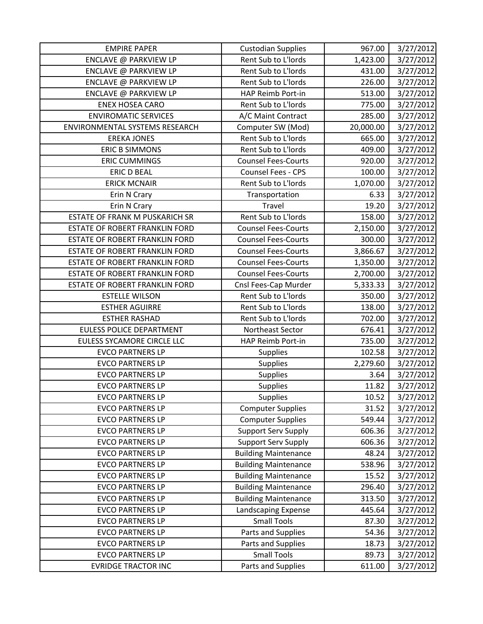| <b>EMPIRE PAPER</b>            | <b>Custodian Supplies</b>   | 967.00    | 3/27/2012 |
|--------------------------------|-----------------------------|-----------|-----------|
| ENCLAVE @ PARKVIEW LP          | Rent Sub to L'Iords         | 1,423.00  | 3/27/2012 |
| ENCLAVE @ PARKVIEW LP          | Rent Sub to L'Iords         | 431.00    | 3/27/2012 |
| ENCLAVE @ PARKVIEW LP          | Rent Sub to L'Iords         | 226.00    | 3/27/2012 |
| ENCLAVE @ PARKVIEW LP          | HAP Reimb Port-in           | 513.00    | 3/27/2012 |
| <b>ENEX HOSEA CARO</b>         | Rent Sub to L'Iords         | 775.00    | 3/27/2012 |
| <b>ENVIROMATIC SERVICES</b>    | A/C Maint Contract          | 285.00    | 3/27/2012 |
| ENVIRONMENTAL SYSTEMS RESEARCH | Computer SW (Mod)           | 20,000.00 | 3/27/2012 |
| <b>EREKA JONES</b>             | Rent Sub to L'Iords         | 665.00    | 3/27/2012 |
| <b>ERIC B SIMMONS</b>          | Rent Sub to L'Iords         | 409.00    | 3/27/2012 |
| <b>ERIC CUMMINGS</b>           | <b>Counsel Fees-Courts</b>  | 920.00    | 3/27/2012 |
| <b>ERIC D BEAL</b>             | Counsel Fees - CPS          | 100.00    | 3/27/2012 |
| <b>ERICK MCNAIR</b>            | Rent Sub to L'Iords         | 1,070.00  | 3/27/2012 |
| Erin N Crary                   | Transportation              | 6.33      | 3/27/2012 |
| Erin N Crary                   | Travel                      | 19.20     | 3/27/2012 |
| ESTATE OF FRANK M PUSKARICH SR | Rent Sub to L'Iords         | 158.00    | 3/27/2012 |
| ESTATE OF ROBERT FRANKLIN FORD | <b>Counsel Fees-Courts</b>  | 2,150.00  | 3/27/2012 |
| ESTATE OF ROBERT FRANKLIN FORD | <b>Counsel Fees-Courts</b>  | 300.00    | 3/27/2012 |
| ESTATE OF ROBERT FRANKLIN FORD | <b>Counsel Fees-Courts</b>  | 3,866.67  | 3/27/2012 |
| ESTATE OF ROBERT FRANKLIN FORD | <b>Counsel Fees-Courts</b>  | 1,350.00  | 3/27/2012 |
| ESTATE OF ROBERT FRANKLIN FORD | <b>Counsel Fees-Courts</b>  | 2,700.00  | 3/27/2012 |
| ESTATE OF ROBERT FRANKLIN FORD | Cnsl Fees-Cap Murder        | 5,333.33  | 3/27/2012 |
| <b>ESTELLE WILSON</b>          | Rent Sub to L'Iords         | 350.00    | 3/27/2012 |
| <b>ESTHER AGUIRRE</b>          | Rent Sub to L'Iords         | 138.00    | 3/27/2012 |
| <b>ESTHER RASHAD</b>           | Rent Sub to L'Iords         | 702.00    | 3/27/2012 |
| EULESS POLICE DEPARTMENT       | Northeast Sector            | 676.41    | 3/27/2012 |
| EULESS SYCAMORE CIRCLE LLC     | HAP Reimb Port-in           | 735.00    | 3/27/2012 |
| <b>EVCO PARTNERS LP</b>        | Supplies                    | 102.58    | 3/27/2012 |
| <b>EVCO PARTNERS LP</b>        | Supplies                    | 2,279.60  | 3/27/2012 |
| <b>EVCO PARTNERS LP</b>        | <b>Supplies</b>             | 3.64      | 3/27/2012 |
| <b>EVCO PARTNERS LP</b>        | Supplies                    | 11.82     | 3/27/2012 |
| <b>EVCO PARTNERS LP</b>        | <b>Supplies</b>             | 10.52     | 3/27/2012 |
| <b>EVCO PARTNERS LP</b>        | <b>Computer Supplies</b>    | 31.52     | 3/27/2012 |
| <b>EVCO PARTNERS LP</b>        | <b>Computer Supplies</b>    | 549.44    | 3/27/2012 |
| <b>EVCO PARTNERS LP</b>        | <b>Support Serv Supply</b>  | 606.36    | 3/27/2012 |
| <b>EVCO PARTNERS LP</b>        | <b>Support Serv Supply</b>  | 606.36    | 3/27/2012 |
| <b>EVCO PARTNERS LP</b>        | <b>Building Maintenance</b> | 48.24     | 3/27/2012 |
| <b>EVCO PARTNERS LP</b>        | <b>Building Maintenance</b> | 538.96    | 3/27/2012 |
| <b>EVCO PARTNERS LP</b>        | <b>Building Maintenance</b> | 15.52     | 3/27/2012 |
| <b>EVCO PARTNERS LP</b>        | <b>Building Maintenance</b> | 296.40    | 3/27/2012 |
| <b>EVCO PARTNERS LP</b>        | <b>Building Maintenance</b> | 313.50    | 3/27/2012 |
| <b>EVCO PARTNERS LP</b>        | Landscaping Expense         | 445.64    | 3/27/2012 |
| <b>EVCO PARTNERS LP</b>        | <b>Small Tools</b>          | 87.30     | 3/27/2012 |
| <b>EVCO PARTNERS LP</b>        | Parts and Supplies          | 54.36     | 3/27/2012 |
| <b>EVCO PARTNERS LP</b>        | Parts and Supplies          | 18.73     | 3/27/2012 |
| <b>EVCO PARTNERS LP</b>        | <b>Small Tools</b>          | 89.73     | 3/27/2012 |
| <b>EVRIDGE TRACTOR INC</b>     | Parts and Supplies          | 611.00    | 3/27/2012 |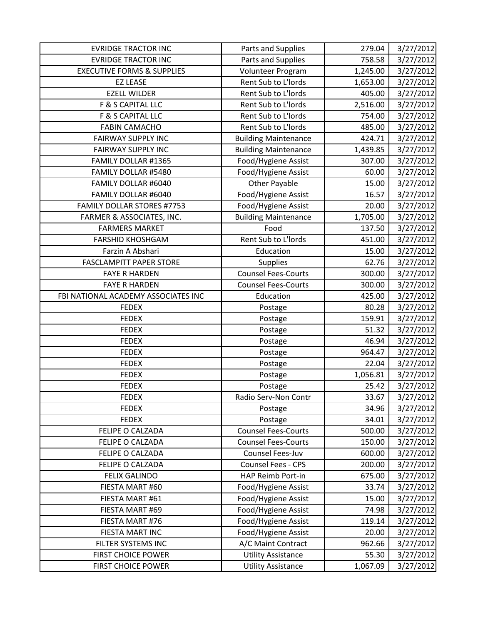| <b>EVRIDGE TRACTOR INC</b>            | Parts and Supplies          | 279.04   | 3/27/2012 |
|---------------------------------------|-----------------------------|----------|-----------|
| <b>EVRIDGE TRACTOR INC</b>            | Parts and Supplies          | 758.58   | 3/27/2012 |
| <b>EXECUTIVE FORMS &amp; SUPPLIES</b> | Volunteer Program           | 1,245.00 | 3/27/2012 |
| <b>EZ LEASE</b>                       | Rent Sub to L'Iords         | 1,653.00 | 3/27/2012 |
| <b>EZELL WILDER</b>                   | Rent Sub to L'Iords         | 405.00   | 3/27/2012 |
| F & S CAPITAL LLC                     | Rent Sub to L'Iords         | 2,516.00 | 3/27/2012 |
| F & S CAPITAL LLC                     | Rent Sub to L'Iords         | 754.00   | 3/27/2012 |
| <b>FABIN CAMACHO</b>                  | Rent Sub to L'Iords         | 485.00   | 3/27/2012 |
| <b>FAIRWAY SUPPLY INC</b>             | <b>Building Maintenance</b> | 424.71   | 3/27/2012 |
| <b>FAIRWAY SUPPLY INC</b>             | <b>Building Maintenance</b> | 1,439.85 | 3/27/2012 |
| FAMILY DOLLAR #1365                   | Food/Hygiene Assist         | 307.00   | 3/27/2012 |
| FAMILY DOLLAR #5480                   | Food/Hygiene Assist         | 60.00    | 3/27/2012 |
| FAMILY DOLLAR #6040                   | <b>Other Payable</b>        | 15.00    | 3/27/2012 |
| FAMILY DOLLAR #6040                   | Food/Hygiene Assist         | 16.57    | 3/27/2012 |
| <b>FAMILY DOLLAR STORES #7753</b>     | Food/Hygiene Assist         | 20.00    | 3/27/2012 |
| FARMER & ASSOCIATES, INC.             | <b>Building Maintenance</b> | 1,705.00 | 3/27/2012 |
| <b>FARMERS MARKET</b>                 | Food                        | 137.50   | 3/27/2012 |
| <b>FARSHID KHOSHGAM</b>               | Rent Sub to L'Iords         | 451.00   | 3/27/2012 |
| Farzin A Abshari                      | Education                   | 15.00    | 3/27/2012 |
| <b>FASCLAMPITT PAPER STORE</b>        | Supplies                    | 62.76    | 3/27/2012 |
| <b>FAYE R HARDEN</b>                  | <b>Counsel Fees-Courts</b>  | 300.00   | 3/27/2012 |
| <b>FAYE R HARDEN</b>                  | <b>Counsel Fees-Courts</b>  | 300.00   | 3/27/2012 |
| FBI NATIONAL ACADEMY ASSOCIATES INC   | Education                   | 425.00   | 3/27/2012 |
| <b>FEDEX</b>                          | Postage                     | 80.28    | 3/27/2012 |
| <b>FEDEX</b>                          | Postage                     | 159.91   | 3/27/2012 |
| <b>FEDEX</b>                          | Postage                     | 51.32    | 3/27/2012 |
| <b>FEDEX</b>                          | Postage                     | 46.94    | 3/27/2012 |
| <b>FEDEX</b>                          | Postage                     | 964.47   | 3/27/2012 |
| <b>FEDEX</b>                          | Postage                     | 22.04    | 3/27/2012 |
| <b>FEDEX</b>                          | Postage                     | 1,056.81 | 3/27/2012 |
| <b>FEDEX</b>                          | Postage                     | 25.42    | 3/27/2012 |
| <b>FEDEX</b>                          | Radio Serv-Non Contr        | 33.67    | 3/27/2012 |
| <b>FEDEX</b>                          | Postage                     | 34.96    | 3/27/2012 |
| <b>FEDEX</b>                          | Postage                     | 34.01    | 3/27/2012 |
| FELIPE O CALZADA                      | <b>Counsel Fees-Courts</b>  | 500.00   | 3/27/2012 |
| FELIPE O CALZADA                      | <b>Counsel Fees-Courts</b>  | 150.00   | 3/27/2012 |
| FELIPE O CALZADA                      | Counsel Fees-Juv            | 600.00   | 3/27/2012 |
| FELIPE O CALZADA                      | Counsel Fees - CPS          | 200.00   | 3/27/2012 |
| <b>FELIX GALINDO</b>                  | HAP Reimb Port-in           | 675.00   | 3/27/2012 |
| FIESTA MART #60                       | Food/Hygiene Assist         | 33.74    | 3/27/2012 |
| FIESTA MART #61                       | Food/Hygiene Assist         | 15.00    | 3/27/2012 |
| FIESTA MART #69                       | Food/Hygiene Assist         | 74.98    | 3/27/2012 |
| FIESTA MART #76                       | Food/Hygiene Assist         | 119.14   | 3/27/2012 |
| FIESTA MART INC                       | Food/Hygiene Assist         | 20.00    | 3/27/2012 |
| FILTER SYSTEMS INC                    | A/C Maint Contract          | 962.66   | 3/27/2012 |
| <b>FIRST CHOICE POWER</b>             | <b>Utility Assistance</b>   | 55.30    | 3/27/2012 |
| FIRST CHOICE POWER                    | <b>Utility Assistance</b>   | 1,067.09 | 3/27/2012 |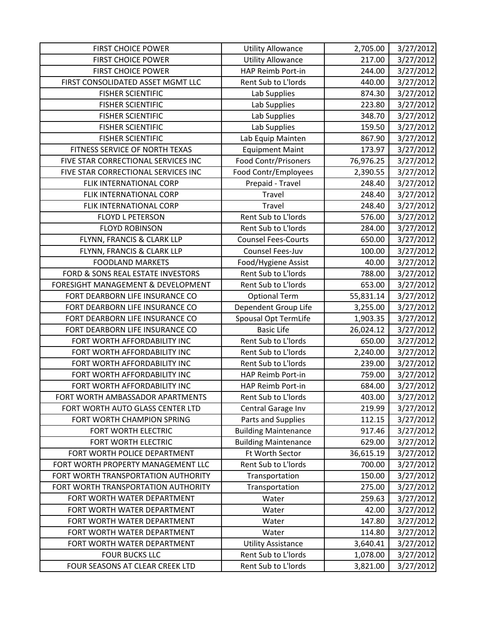| <b>FIRST CHOICE POWER</b>           | <b>Utility Allowance</b>    | 2,705.00  | 3/27/2012 |
|-------------------------------------|-----------------------------|-----------|-----------|
| <b>FIRST CHOICE POWER</b>           | <b>Utility Allowance</b>    | 217.00    | 3/27/2012 |
| <b>FIRST CHOICE POWER</b>           | HAP Reimb Port-in           | 244.00    | 3/27/2012 |
| FIRST CONSOLIDATED ASSET MGMT LLC   | Rent Sub to L'Iords         | 440.00    | 3/27/2012 |
| <b>FISHER SCIENTIFIC</b>            | Lab Supplies                | 874.30    | 3/27/2012 |
| <b>FISHER SCIENTIFIC</b>            | Lab Supplies                | 223.80    | 3/27/2012 |
| <b>FISHER SCIENTIFIC</b>            | Lab Supplies                | 348.70    | 3/27/2012 |
| <b>FISHER SCIENTIFIC</b>            | Lab Supplies                | 159.50    | 3/27/2012 |
| <b>FISHER SCIENTIFIC</b>            | Lab Equip Mainten           | 867.90    | 3/27/2012 |
| FITNESS SERVICE OF NORTH TEXAS      | <b>Equipment Maint</b>      | 173.97    | 3/27/2012 |
| FIVE STAR CORRECTIONAL SERVICES INC | <b>Food Contr/Prisoners</b> | 76,976.25 | 3/27/2012 |
| FIVE STAR CORRECTIONAL SERVICES INC | Food Contr/Employees        | 2,390.55  | 3/27/2012 |
| FLIK INTERNATIONAL CORP             | Prepaid - Travel            | 248.40    | 3/27/2012 |
| FLIK INTERNATIONAL CORP             | Travel                      | 248.40    | 3/27/2012 |
| FLIK INTERNATIONAL CORP             | Travel                      | 248.40    | 3/27/2012 |
| <b>FLOYD L PETERSON</b>             | Rent Sub to L'Iords         | 576.00    | 3/27/2012 |
| <b>FLOYD ROBINSON</b>               | Rent Sub to L'Iords         | 284.00    | 3/27/2012 |
| FLYNN, FRANCIS & CLARK LLP          | <b>Counsel Fees-Courts</b>  | 650.00    | 3/27/2012 |
| FLYNN, FRANCIS & CLARK LLP          | Counsel Fees-Juv            | 100.00    | 3/27/2012 |
| <b>FOODLAND MARKETS</b>             | Food/Hygiene Assist         | 40.00     | 3/27/2012 |
| FORD & SONS REAL ESTATE INVESTORS   | Rent Sub to L'Iords         | 788.00    | 3/27/2012 |
| FORESIGHT MANAGEMENT & DEVELOPMENT  | Rent Sub to L'Iords         | 653.00    | 3/27/2012 |
| FORT DEARBORN LIFE INSURANCE CO     | <b>Optional Term</b>        | 55,831.14 | 3/27/2012 |
| FORT DEARBORN LIFE INSURANCE CO     | Dependent Group Life        | 3,255.00  | 3/27/2012 |
| FORT DEARBORN LIFE INSURANCE CO     | Spousal Opt TermLife        | 1,903.35  | 3/27/2012 |
| FORT DEARBORN LIFE INSURANCE CO     | <b>Basic Life</b>           | 26,024.12 | 3/27/2012 |
| FORT WORTH AFFORDABILITY INC        | Rent Sub to L'Iords         | 650.00    | 3/27/2012 |
| FORT WORTH AFFORDABILITY INC        | Rent Sub to L'Iords         | 2,240.00  | 3/27/2012 |
| FORT WORTH AFFORDABILITY INC        | Rent Sub to L'Iords         | 239.00    | 3/27/2012 |
| FORT WORTH AFFORDABILITY INC        | HAP Reimb Port-in           | 759.00    | 3/27/2012 |
| FORT WORTH AFFORDABILITY INC        | HAP Reimb Port-in           | 684.00    | 3/27/2012 |
| FORT WORTH AMBASSADOR APARTMENTS    | Rent Sub to L'Iords         | 403.00    | 3/27/2012 |
| FORT WORTH AUTO GLASS CENTER LTD    | Central Garage Inv          | 219.99    | 3/27/2012 |
| FORT WORTH CHAMPION SPRING          | Parts and Supplies          | 112.15    | 3/27/2012 |
| FORT WORTH ELECTRIC                 | <b>Building Maintenance</b> | 917.46    | 3/27/2012 |
| FORT WORTH ELECTRIC                 | <b>Building Maintenance</b> | 629.00    | 3/27/2012 |
| FORT WORTH POLICE DEPARTMENT        | Ft Worth Sector             | 36,615.19 | 3/27/2012 |
| FORT WORTH PROPERTY MANAGEMENT LLC  | Rent Sub to L'Iords         | 700.00    | 3/27/2012 |
| FORT WORTH TRANSPORTATION AUTHORITY | Transportation              | 150.00    | 3/27/2012 |
| FORT WORTH TRANSPORTATION AUTHORITY | Transportation              | 275.00    | 3/27/2012 |
| FORT WORTH WATER DEPARTMENT         | Water                       | 259.63    | 3/27/2012 |
| FORT WORTH WATER DEPARTMENT         | Water                       | 42.00     | 3/27/2012 |
| FORT WORTH WATER DEPARTMENT         | Water                       | 147.80    | 3/27/2012 |
| FORT WORTH WATER DEPARTMENT         | Water                       | 114.80    | 3/27/2012 |
| FORT WORTH WATER DEPARTMENT         | <b>Utility Assistance</b>   | 3,640.41  | 3/27/2012 |
| <b>FOUR BUCKS LLC</b>               | Rent Sub to L'Iords         | 1,078.00  | 3/27/2012 |
| FOUR SEASONS AT CLEAR CREEK LTD     | Rent Sub to L'Iords         | 3,821.00  | 3/27/2012 |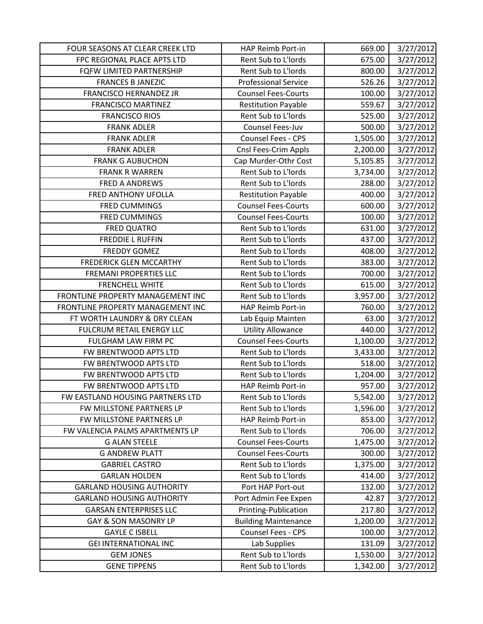| FOUR SEASONS AT CLEAR CREEK LTD   | HAP Reimb Port-in           | 669.00   | 3/27/2012 |
|-----------------------------------|-----------------------------|----------|-----------|
| FPC REGIONAL PLACE APTS LTD       | Rent Sub to L'Iords         | 675.00   | 3/27/2012 |
| FQFW LIMITED PARTNERSHIP          | Rent Sub to L'Iords         | 800.00   | 3/27/2012 |
| <b>FRANCES B JANEZIC</b>          | <b>Professional Service</b> | 526.26   | 3/27/2012 |
| <b>FRANCISCO HERNANDEZ JR</b>     | <b>Counsel Fees-Courts</b>  | 100.00   | 3/27/2012 |
| <b>FRANCISCO MARTINEZ</b>         | <b>Restitution Payable</b>  | 559.67   | 3/27/2012 |
| <b>FRANCISCO RIOS</b>             | Rent Sub to L'Iords         | 525.00   | 3/27/2012 |
| <b>FRANK ADLER</b>                | Counsel Fees-Juv            | 500.00   | 3/27/2012 |
| <b>FRANK ADLER</b>                | Counsel Fees - CPS          | 1,505.00 | 3/27/2012 |
| <b>FRANK ADLER</b>                | Cnsl Fees-Crim Appls        | 2,200.00 | 3/27/2012 |
| <b>FRANK G AUBUCHON</b>           | Cap Murder-Othr Cost        | 5,105.85 | 3/27/2012 |
| <b>FRANK R WARREN</b>             | Rent Sub to L'Iords         | 3,734.00 | 3/27/2012 |
| <b>FRED A ANDREWS</b>             | Rent Sub to L'Iords         | 288.00   | 3/27/2012 |
| FRED ANTHONY UFOLLA               | <b>Restitution Payable</b>  | 400.00   | 3/27/2012 |
| <b>FRED CUMMINGS</b>              | <b>Counsel Fees-Courts</b>  | 600.00   | 3/27/2012 |
| <b>FRED CUMMINGS</b>              | <b>Counsel Fees-Courts</b>  | 100.00   | 3/27/2012 |
| <b>FRED QUATRO</b>                | Rent Sub to L'Iords         | 631.00   | 3/27/2012 |
| <b>FREDDIE L RUFFIN</b>           | Rent Sub to L'Iords         | 437.00   | 3/27/2012 |
| <b>FREDDY GOMEZ</b>               | Rent Sub to L'Iords         | 408.00   | 3/27/2012 |
| <b>FREDERICK GLEN MCCARTHY</b>    | Rent Sub to L'Iords         | 383.00   | 3/27/2012 |
| <b>FREMANI PROPERTIES LLC</b>     | Rent Sub to L'Iords         | 700.00   | 3/27/2012 |
| <b>FRENCHELL WHITE</b>            | Rent Sub to L'Iords         | 615.00   | 3/27/2012 |
| FRONTLINE PROPERTY MANAGEMENT INC | Rent Sub to L'Iords         | 3,957.00 | 3/27/2012 |
| FRONTLINE PROPERTY MANAGEMENT INC | HAP Reimb Port-in           | 760.00   | 3/27/2012 |
| FT WORTH LAUNDRY & DRY CLEAN      | Lab Equip Mainten           | 63.00    | 3/27/2012 |
| FULCRUM RETAIL ENERGY LLC         | <b>Utility Allowance</b>    | 440.00   | 3/27/2012 |
| FULGHAM LAW FIRM PC               | <b>Counsel Fees-Courts</b>  | 1,100.00 | 3/27/2012 |
| FW BRENTWOOD APTS LTD             | Rent Sub to L'Iords         | 3,433.00 | 3/27/2012 |
| FW BRENTWOOD APTS LTD             | Rent Sub to L'Iords         | 518.00   | 3/27/2012 |
| FW BRENTWOOD APTS LTD             | Rent Sub to L'Iords         | 1,204.00 | 3/27/2012 |
| FW BRENTWOOD APTS LTD             | HAP Reimb Port-in           | 957.00   | 3/27/2012 |
| FW EASTLAND HOUSING PARTNERS LTD  | Rent Sub to L'Iords         | 5,542.00 | 3/27/2012 |
| FW MILLSTONE PARTNERS LP          | Rent Sub to L'Iords         | 1,596.00 | 3/27/2012 |
| FW MILLSTONE PARTNERS LP          | HAP Reimb Port-in           | 853.00   | 3/27/2012 |
| FW VALENCIA PALMS APARTMENTS LP   | Rent Sub to L'Iords         | 706.00   | 3/27/2012 |
| <b>G ALAN STEELE</b>              | <b>Counsel Fees-Courts</b>  | 1,475.00 | 3/27/2012 |
| <b>G ANDREW PLATT</b>             | <b>Counsel Fees-Courts</b>  | 300.00   | 3/27/2012 |
| <b>GABRIEL CASTRO</b>             | Rent Sub to L'Iords         | 1,375.00 | 3/27/2012 |
| <b>GARLAN HOLDEN</b>              | Rent Sub to L'Iords         | 414.00   | 3/27/2012 |
| <b>GARLAND HOUSING AUTHORITY</b>  | Port HAP Port-out           | 132.00   | 3/27/2012 |
| <b>GARLAND HOUSING AUTHORITY</b>  | Port Admin Fee Expen        | 42.87    | 3/27/2012 |
| <b>GARSAN ENTERPRISES LLC</b>     | Printing-Publication        | 217.80   | 3/27/2012 |
| GAY & SON MASONRY LP              | <b>Building Maintenance</b> | 1,200.00 | 3/27/2012 |
| <b>GAYLE C ISBELL</b>             | Counsel Fees - CPS          | 100.00   | 3/27/2012 |
| <b>GEI INTERNATIONAL INC</b>      | Lab Supplies                | 131.09   | 3/27/2012 |
| <b>GEM JONES</b>                  | Rent Sub to L'Iords         | 1,530.00 | 3/27/2012 |
| <b>GENE TIPPENS</b>               | Rent Sub to L'Iords         | 1,342.00 | 3/27/2012 |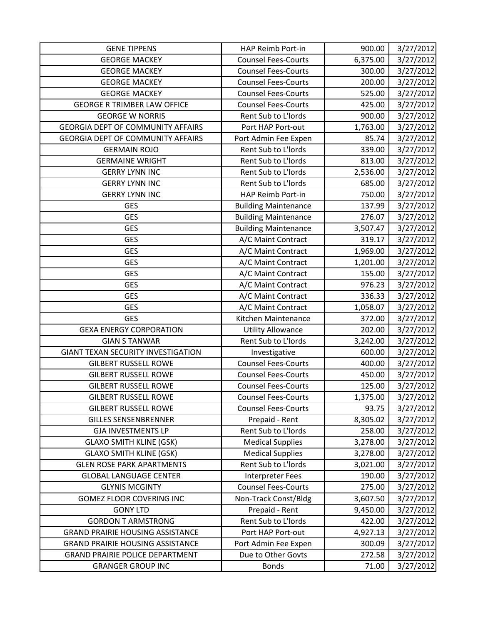| <b>GENE TIPPENS</b>                       | HAP Reimb Port-in           | 900.00   | 3/27/2012 |
|-------------------------------------------|-----------------------------|----------|-----------|
| <b>GEORGE MACKEY</b>                      | <b>Counsel Fees-Courts</b>  | 6,375.00 | 3/27/2012 |
| <b>GEORGE MACKEY</b>                      | <b>Counsel Fees-Courts</b>  | 300.00   | 3/27/2012 |
| <b>GEORGE MACKEY</b>                      | <b>Counsel Fees-Courts</b>  | 200.00   | 3/27/2012 |
| <b>GEORGE MACKEY</b>                      | <b>Counsel Fees-Courts</b>  | 525.00   | 3/27/2012 |
| <b>GEORGE R TRIMBER LAW OFFICE</b>        | <b>Counsel Fees-Courts</b>  | 425.00   | 3/27/2012 |
| <b>GEORGE W NORRIS</b>                    | Rent Sub to L'Iords         | 900.00   | 3/27/2012 |
| <b>GEORGIA DEPT OF COMMUNITY AFFAIRS</b>  | Port HAP Port-out           | 1,763.00 | 3/27/2012 |
| <b>GEORGIA DEPT OF COMMUNITY AFFAIRS</b>  | Port Admin Fee Expen        | 85.74    | 3/27/2012 |
| <b>GERMAIN ROJO</b>                       | Rent Sub to L'Iords         | 339.00   | 3/27/2012 |
| <b>GERMAINE WRIGHT</b>                    | Rent Sub to L'Iords         | 813.00   | 3/27/2012 |
| <b>GERRY LYNN INC</b>                     | Rent Sub to L'Iords         | 2,536.00 | 3/27/2012 |
| <b>GERRY LYNN INC</b>                     | Rent Sub to L'Iords         | 685.00   | 3/27/2012 |
| <b>GERRY LYNN INC</b>                     | HAP Reimb Port-in           | 750.00   | 3/27/2012 |
| <b>GES</b>                                | <b>Building Maintenance</b> | 137.99   | 3/27/2012 |
| <b>GES</b>                                | <b>Building Maintenance</b> | 276.07   | 3/27/2012 |
| <b>GES</b>                                | <b>Building Maintenance</b> | 3,507.47 | 3/27/2012 |
| <b>GES</b>                                | A/C Maint Contract          | 319.17   | 3/27/2012 |
| <b>GES</b>                                | A/C Maint Contract          | 1,969.00 | 3/27/2012 |
| <b>GES</b>                                | A/C Maint Contract          | 1,201.00 | 3/27/2012 |
| <b>GES</b>                                | A/C Maint Contract          | 155.00   | 3/27/2012 |
| <b>GES</b>                                | A/C Maint Contract          | 976.23   | 3/27/2012 |
| <b>GES</b>                                | A/C Maint Contract          | 336.33   | 3/27/2012 |
| <b>GES</b>                                | A/C Maint Contract          | 1,058.07 | 3/27/2012 |
| <b>GES</b>                                | Kitchen Maintenance         | 372.00   | 3/27/2012 |
| <b>GEXA ENERGY CORPORATION</b>            | <b>Utility Allowance</b>    | 202.00   | 3/27/2012 |
| <b>GIAN S TANWAR</b>                      | Rent Sub to L'Iords         | 3,242.00 | 3/27/2012 |
| <b>GIANT TEXAN SECURITY INVESTIGATION</b> | Investigative               | 600.00   | 3/27/2012 |
| <b>GILBERT RUSSELL ROWE</b>               | <b>Counsel Fees-Courts</b>  | 400.00   | 3/27/2012 |
| <b>GILBERT RUSSELL ROWE</b>               | <b>Counsel Fees-Courts</b>  | 450.00   | 3/27/2012 |
| <b>GILBERT RUSSELL ROWE</b>               | <b>Counsel Fees-Courts</b>  | 125.00   | 3/27/2012 |
| <b>GILBERT RUSSELL ROWE</b>               | <b>Counsel Fees-Courts</b>  | 1,375.00 | 3/27/2012 |
| <b>GILBERT RUSSELL ROWE</b>               | <b>Counsel Fees-Courts</b>  | 93.75    | 3/27/2012 |
| <b>GILLES SENSENBRENNER</b>               | Prepaid - Rent              | 8,305.02 | 3/27/2012 |
| <b>GJA INVESTMENTS LP</b>                 | Rent Sub to L'Iords         | 258.00   | 3/27/2012 |
| <b>GLAXO SMITH KLINE (GSK)</b>            | <b>Medical Supplies</b>     | 3,278.00 | 3/27/2012 |
| <b>GLAXO SMITH KLINE (GSK)</b>            | <b>Medical Supplies</b>     | 3,278.00 | 3/27/2012 |
| <b>GLEN ROSE PARK APARTMENTS</b>          | Rent Sub to L'Iords         | 3,021.00 | 3/27/2012 |
| <b>GLOBAL LANGUAGE CENTER</b>             | <b>Interpreter Fees</b>     | 190.00   | 3/27/2012 |
| <b>GLYNIS MCGINTY</b>                     | <b>Counsel Fees-Courts</b>  | 275.00   | 3/27/2012 |
| <b>GOMEZ FLOOR COVERING INC</b>           | Non-Track Const/Bldg        | 3,607.50 | 3/27/2012 |
| <b>GONY LTD</b>                           | Prepaid - Rent              | 9,450.00 | 3/27/2012 |
| <b>GORDON T ARMSTRONG</b>                 | Rent Sub to L'Iords         | 422.00   | 3/27/2012 |
| <b>GRAND PRAIRIE HOUSING ASSISTANCE</b>   | Port HAP Port-out           | 4,927.13 | 3/27/2012 |
| <b>GRAND PRAIRIE HOUSING ASSISTANCE</b>   | Port Admin Fee Expen        | 300.09   | 3/27/2012 |
| <b>GRAND PRAIRIE POLICE DEPARTMENT</b>    | Due to Other Govts          | 272.58   | 3/27/2012 |
| <b>GRANGER GROUP INC</b>                  | <b>Bonds</b>                | 71.00    | 3/27/2012 |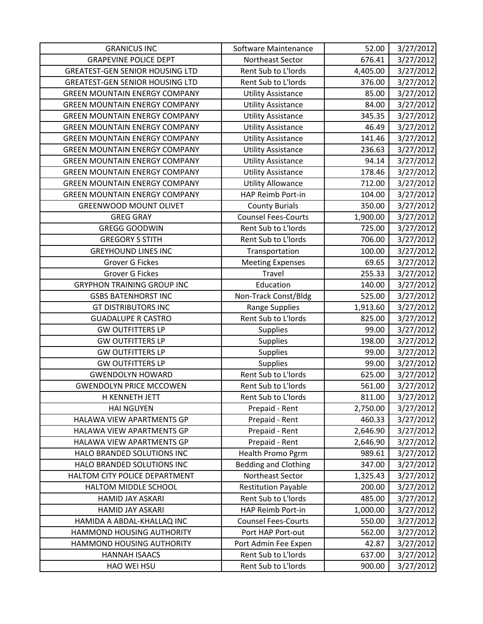| <b>GRANICUS INC</b>                    | Software Maintenance        | 52.00    | 3/27/2012 |
|----------------------------------------|-----------------------------|----------|-----------|
| <b>GRAPEVINE POLICE DEPT</b>           | Northeast Sector            | 676.41   | 3/27/2012 |
| <b>GREATEST-GEN SENIOR HOUSING LTD</b> | Rent Sub to L'Iords         | 4,405.00 | 3/27/2012 |
| <b>GREATEST-GEN SENIOR HOUSING LTD</b> | Rent Sub to L'Iords         | 376.00   | 3/27/2012 |
| <b>GREEN MOUNTAIN ENERGY COMPANY</b>   | <b>Utility Assistance</b>   | 85.00    | 3/27/2012 |
| <b>GREEN MOUNTAIN ENERGY COMPANY</b>   | <b>Utility Assistance</b>   | 84.00    | 3/27/2012 |
| <b>GREEN MOUNTAIN ENERGY COMPANY</b>   | <b>Utility Assistance</b>   | 345.35   | 3/27/2012 |
| <b>GREEN MOUNTAIN ENERGY COMPANY</b>   | <b>Utility Assistance</b>   | 46.49    | 3/27/2012 |
| <b>GREEN MOUNTAIN ENERGY COMPANY</b>   | <b>Utility Assistance</b>   | 141.46   | 3/27/2012 |
| <b>GREEN MOUNTAIN ENERGY COMPANY</b>   | <b>Utility Assistance</b>   | 236.63   | 3/27/2012 |
| <b>GREEN MOUNTAIN ENERGY COMPANY</b>   | <b>Utility Assistance</b>   | 94.14    | 3/27/2012 |
| <b>GREEN MOUNTAIN ENERGY COMPANY</b>   | <b>Utility Assistance</b>   | 178.46   | 3/27/2012 |
| <b>GREEN MOUNTAIN ENERGY COMPANY</b>   | <b>Utility Allowance</b>    | 712.00   | 3/27/2012 |
| <b>GREEN MOUNTAIN ENERGY COMPANY</b>   | HAP Reimb Port-in           | 104.00   | 3/27/2012 |
| <b>GREENWOOD MOUNT OLIVET</b>          | <b>County Burials</b>       | 350.00   | 3/27/2012 |
| <b>GREG GRAY</b>                       | <b>Counsel Fees-Courts</b>  | 1,900.00 | 3/27/2012 |
| <b>GREGG GOODWIN</b>                   | Rent Sub to L'Iords         | 725.00   | 3/27/2012 |
| <b>GREGORY S STITH</b>                 | Rent Sub to L'Iords         | 706.00   | 3/27/2012 |
| <b>GREYHOUND LINES INC</b>             | Transportation              | 100.00   | 3/27/2012 |
| Grover G Fickes                        | <b>Meeting Expenses</b>     | 69.65    | 3/27/2012 |
| Grover G Fickes                        | Travel                      | 255.33   | 3/27/2012 |
| <b>GRYPHON TRAINING GROUP INC</b>      | Education                   | 140.00   | 3/27/2012 |
| <b>GSBS BATENHORST INC</b>             | Non-Track Const/Bldg        | 525.00   | 3/27/2012 |
| <b>GT DISTRIBUTORS INC</b>             | <b>Range Supplies</b>       | 1,913.60 | 3/27/2012 |
| <b>GUADALUPE R CASTRO</b>              | Rent Sub to L'Iords         | 825.00   | 3/27/2012 |
| <b>GW OUTFITTERS LP</b>                | Supplies                    | 99.00    | 3/27/2012 |
| <b>GW OUTFITTERS LP</b>                | <b>Supplies</b>             | 198.00   | 3/27/2012 |
| <b>GW OUTFITTERS LP</b>                | <b>Supplies</b>             | 99.00    | 3/27/2012 |
| <b>GW OUTFITTERS LP</b>                | <b>Supplies</b>             | 99.00    | 3/27/2012 |
| <b>GWENDOLYN HOWARD</b>                | Rent Sub to L'Iords         | 625.00   | 3/27/2012 |
| <b>GWENDOLYN PRICE MCCOWEN</b>         | Rent Sub to L'Iords         | 561.00   | 3/27/2012 |
| <u>H KENNETH JETT</u>                  | Rent Sub to L'Iords         | 811.00   | 3/27/2012 |
| <b>HAI NGUYEN</b>                      | Prepaid - Rent              | 2,750.00 | 3/27/2012 |
| HALAWA VIEW APARTMENTS GP              | Prepaid - Rent              | 460.33   | 3/27/2012 |
| HALAWA VIEW APARTMENTS GP              | Prepaid - Rent              | 2,646.90 | 3/27/2012 |
| HALAWA VIEW APARTMENTS GP              | Prepaid - Rent              | 2,646.90 | 3/27/2012 |
| HALO BRANDED SOLUTIONS INC             | Health Promo Pgrm           | 989.61   | 3/27/2012 |
| HALO BRANDED SOLUTIONS INC             | <b>Bedding and Clothing</b> | 347.00   | 3/27/2012 |
| HALTOM CITY POLICE DEPARTMENT          | Northeast Sector            | 1,325.43 | 3/27/2012 |
| HALTOM MIDDLE SCHOOL                   | <b>Restitution Payable</b>  | 200.00   | 3/27/2012 |
| HAMID JAY ASKARI                       | Rent Sub to L'Iords         | 485.00   | 3/27/2012 |
| <b>HAMID JAY ASKARI</b>                | HAP Reimb Port-in           | 1,000.00 | 3/27/2012 |
| HAMIDA A ABDAL-KHALLAQ INC             | <b>Counsel Fees-Courts</b>  | 550.00   | 3/27/2012 |
| HAMMOND HOUSING AUTHORITY              | Port HAP Port-out           | 562.00   | 3/27/2012 |
| HAMMOND HOUSING AUTHORITY              | Port Admin Fee Expen        | 42.87    | 3/27/2012 |
| <b>HANNAH ISAACS</b>                   | Rent Sub to L'Iords         | 637.00   | 3/27/2012 |
| HAO WEI HSU                            | Rent Sub to L'Iords         | 900.00   | 3/27/2012 |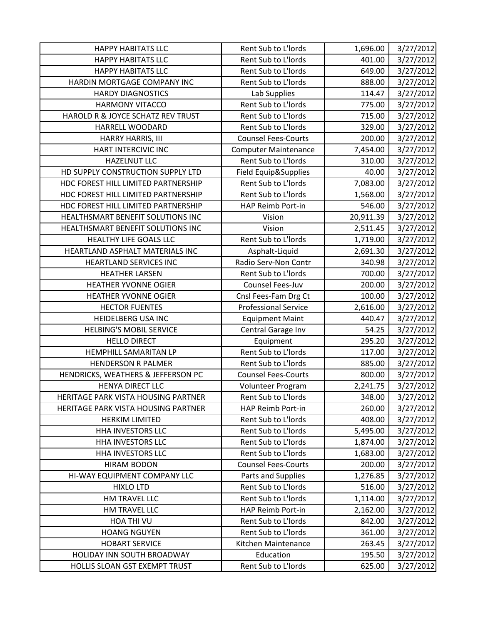| <b>HAPPY HABITATS LLC</b>           | Rent Sub to L'Iords         | 1,696.00  | 3/27/2012 |
|-------------------------------------|-----------------------------|-----------|-----------|
| <b>HAPPY HABITATS LLC</b>           | Rent Sub to L'Iords         | 401.00    | 3/27/2012 |
| <b>HAPPY HABITATS LLC</b>           | Rent Sub to L'Iords         | 649.00    | 3/27/2012 |
| HARDIN MORTGAGE COMPANY INC         | Rent Sub to L'Iords         | 888.00    | 3/27/2012 |
| <b>HARDY DIAGNOSTICS</b>            | Lab Supplies                | 114.47    | 3/27/2012 |
| <b>HARMONY VITACCO</b>              | Rent Sub to L'Iords         | 775.00    | 3/27/2012 |
| HAROLD R & JOYCE SCHATZ REV TRUST   | Rent Sub to L'Iords         | 715.00    | 3/27/2012 |
| HARRELL WOODARD                     | Rent Sub to L'Iords         | 329.00    | 3/27/2012 |
| HARRY HARRIS, III                   | <b>Counsel Fees-Courts</b>  | 200.00    | 3/27/2012 |
| HART INTERCIVIC INC                 | <b>Computer Maintenance</b> | 7,454.00  | 3/27/2012 |
| <b>HAZELNUT LLC</b>                 | Rent Sub to L'Iords         | 310.00    | 3/27/2012 |
| HD SUPPLY CONSTRUCTION SUPPLY LTD   | Field Equip&Supplies        | 40.00     | 3/27/2012 |
| HDC FOREST HILL LIMITED PARTNERSHIP | Rent Sub to L'Iords         | 7,083.00  | 3/27/2012 |
| HDC FOREST HILL LIMITED PARTNERSHIP | Rent Sub to L'Iords         | 1,568.00  | 3/27/2012 |
| HDC FOREST HILL LIMITED PARTNERSHIP | HAP Reimb Port-in           | 546.00    | 3/27/2012 |
| HEALTHSMART BENEFIT SOLUTIONS INC   | Vision                      | 20,911.39 | 3/27/2012 |
| HEALTHSMART BENEFIT SOLUTIONS INC   | Vision                      | 2,511.45  | 3/27/2012 |
| HEALTHY LIFE GOALS LLC              | Rent Sub to L'Iords         | 1,719.00  | 3/27/2012 |
| HEARTLAND ASPHALT MATERIALS INC     | Asphalt-Liquid              | 2,691.30  | 3/27/2012 |
| <b>HEARTLAND SERVICES INC</b>       | Radio Serv-Non Contr        | 340.98    | 3/27/2012 |
| <b>HEATHER LARSEN</b>               | Rent Sub to L'Iords         | 700.00    | 3/27/2012 |
| <b>HEATHER YVONNE OGIER</b>         | Counsel Fees-Juv            | 200.00    | 3/27/2012 |
| <b>HEATHER YVONNE OGIER</b>         | Cnsl Fees-Fam Drg Ct        | 100.00    | 3/27/2012 |
| <b>HECTOR FUENTES</b>               | <b>Professional Service</b> | 2,616.00  | 3/27/2012 |
| <b>HEIDELBERG USA INC</b>           | <b>Equipment Maint</b>      | 440.47    | 3/27/2012 |
| <b>HELBING'S MOBIL SERVICE</b>      | Central Garage Inv          | 54.25     | 3/27/2012 |
| <b>HELLO DIRECT</b>                 | Equipment                   | 295.20    | 3/27/2012 |
| HEMPHILL SAMARITAN LP               | Rent Sub to L'Iords         | 117.00    | 3/27/2012 |
| <b>HENDERSON R PALMER</b>           | Rent Sub to L'Iords         | 885.00    | 3/27/2012 |
| HENDRICKS, WEATHERS & JEFFERSON PC  | <b>Counsel Fees-Courts</b>  | 800.00    | 3/27/2012 |
| HENYA DIRECT LLC                    | Volunteer Program           | 2,241.75  | 3/27/2012 |
| HERITAGE PARK VISTA HOUSING PARTNER | Rent Sub to L'Iords         | 348.00    | 3/27/2012 |
| HERITAGE PARK VISTA HOUSING PARTNER | HAP Reimb Port-in           | 260.00    | 3/27/2012 |
| <b>HERKIM LIMITED</b>               | Rent Sub to L'Iords         | 408.00    | 3/27/2012 |
| HHA INVESTORS LLC                   | Rent Sub to L'Iords         | 5,495.00  | 3/27/2012 |
| HHA INVESTORS LLC                   | Rent Sub to L'Iords         | 1,874.00  | 3/27/2012 |
| HHA INVESTORS LLC                   | Rent Sub to L'Iords         | 1,683.00  | 3/27/2012 |
| <b>HIRAM BODON</b>                  | <b>Counsel Fees-Courts</b>  | 200.00    | 3/27/2012 |
| HI-WAY EQUIPMENT COMPANY LLC        | Parts and Supplies          | 1,276.85  | 3/27/2012 |
| <b>HIXLO LTD</b>                    | Rent Sub to L'Iords         | 516.00    | 3/27/2012 |
| HM TRAVEL LLC                       | Rent Sub to L'Iords         | 1,114.00  | 3/27/2012 |
| HM TRAVEL LLC                       | HAP Reimb Port-in           | 2,162.00  | 3/27/2012 |
| HOA THI VU                          | Rent Sub to L'Iords         | 842.00    | 3/27/2012 |
| <b>HOANG NGUYEN</b>                 | Rent Sub to L'Iords         | 361.00    | 3/27/2012 |
| <b>HOBART SERVICE</b>               | Kitchen Maintenance         | 263.45    | 3/27/2012 |
| HOLIDAY INN SOUTH BROADWAY          | Education                   | 195.50    | 3/27/2012 |
| HOLLIS SLOAN GST EXEMPT TRUST       | Rent Sub to L'Iords         | 625.00    | 3/27/2012 |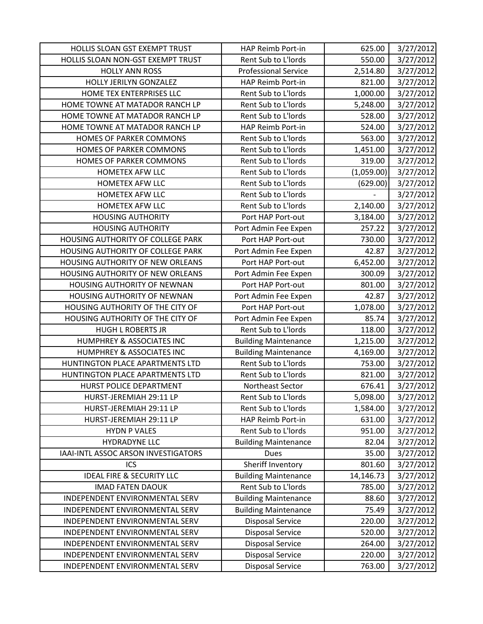| HOLLIS SLOAN GST EXEMPT TRUST        | HAP Reimb Port-in           | 625.00     | 3/27/2012 |
|--------------------------------------|-----------------------------|------------|-----------|
| HOLLIS SLOAN NON-GST EXEMPT TRUST    | Rent Sub to L'Iords         | 550.00     | 3/27/2012 |
| <b>HOLLY ANN ROSS</b>                | <b>Professional Service</b> | 2,514.80   | 3/27/2012 |
| HOLLY JERILYN GONZALEZ               | HAP Reimb Port-in           | 821.00     | 3/27/2012 |
| HOME TEX ENTERPRISES LLC             | Rent Sub to L'Iords         | 1,000.00   | 3/27/2012 |
| HOME TOWNE AT MATADOR RANCH LP       | Rent Sub to L'Iords         | 5,248.00   | 3/27/2012 |
| HOME TOWNE AT MATADOR RANCH LP       | Rent Sub to L'Iords         | 528.00     | 3/27/2012 |
| HOME TOWNE AT MATADOR RANCH LP       | HAP Reimb Port-in           | 524.00     | 3/27/2012 |
| HOMES OF PARKER COMMONS              | Rent Sub to L'Iords         | 563.00     | 3/27/2012 |
| HOMES OF PARKER COMMONS              | Rent Sub to L'Iords         | 1,451.00   | 3/27/2012 |
| HOMES OF PARKER COMMONS              | Rent Sub to L'Iords         | 319.00     | 3/27/2012 |
| HOMETEX AFW LLC                      | Rent Sub to L'Iords         | (1,059.00) | 3/27/2012 |
| HOMETEX AFW LLC                      | Rent Sub to L'Iords         | (629.00)   | 3/27/2012 |
| HOMETEX AFW LLC                      | Rent Sub to L'Iords         |            | 3/27/2012 |
| HOMETEX AFW LLC                      | Rent Sub to L'Iords         | 2,140.00   | 3/27/2012 |
| <b>HOUSING AUTHORITY</b>             | Port HAP Port-out           | 3,184.00   | 3/27/2012 |
| <b>HOUSING AUTHORITY</b>             | Port Admin Fee Expen        | 257.22     | 3/27/2012 |
| HOUSING AUTHORITY OF COLLEGE PARK    | Port HAP Port-out           | 730.00     | 3/27/2012 |
| HOUSING AUTHORITY OF COLLEGE PARK    | Port Admin Fee Expen        | 42.87      | 3/27/2012 |
| HOUSING AUTHORITY OF NEW ORLEANS     | Port HAP Port-out           | 6,452.00   | 3/27/2012 |
| HOUSING AUTHORITY OF NEW ORLEANS     | Port Admin Fee Expen        | 300.09     | 3/27/2012 |
| HOUSING AUTHORITY OF NEWNAN          | Port HAP Port-out           | 801.00     | 3/27/2012 |
| HOUSING AUTHORITY OF NEWNAN          | Port Admin Fee Expen        | 42.87      | 3/27/2012 |
| HOUSING AUTHORITY OF THE CITY OF     | Port HAP Port-out           | 1,078.00   | 3/27/2012 |
| HOUSING AUTHORITY OF THE CITY OF     | Port Admin Fee Expen        | 85.74      | 3/27/2012 |
| <b>HUGH L ROBERTS JR</b>             | Rent Sub to L'Iords         | 118.00     | 3/27/2012 |
| HUMPHREY & ASSOCIATES INC            | <b>Building Maintenance</b> | 1,215.00   | 3/27/2012 |
| HUMPHREY & ASSOCIATES INC            | <b>Building Maintenance</b> | 4,169.00   | 3/27/2012 |
| HUNTINGTON PLACE APARTMENTS LTD      | Rent Sub to L'Iords         | 753.00     | 3/27/2012 |
| HUNTINGTON PLACE APARTMENTS LTD      | Rent Sub to L'Iords         | 821.00     | 3/27/2012 |
| HURST POLICE DEPARTMENT              | Northeast Sector            | 676.41     | 3/27/2012 |
| HURST-JEREMIAH 29:11 LP              | Rent Sub to L'Iords         | 5,098.00   | 3/27/2012 |
| HURST-JEREMIAH 29:11 LP              | Rent Sub to L'Iords         | 1,584.00   | 3/27/2012 |
| HURST-JEREMIAH 29:11 LP              | HAP Reimb Port-in           | 631.00     | 3/27/2012 |
| <b>HYDN P VALES</b>                  | Rent Sub to L'Iords         | 951.00     | 3/27/2012 |
| HYDRADYNE LLC                        | <b>Building Maintenance</b> | 82.04      | 3/27/2012 |
| IAAI-INTL ASSOC ARSON INVESTIGATORS  | Dues                        | 35.00      | 3/27/2012 |
| ICS                                  | Sheriff Inventory           | 801.60     | 3/27/2012 |
| <b>IDEAL FIRE &amp; SECURITY LLC</b> | <b>Building Maintenance</b> | 14,146.73  | 3/27/2012 |
| <b>IMAD FATEN DAOUK</b>              | Rent Sub to L'Iords         | 785.00     | 3/27/2012 |
| INDEPENDENT ENVIRONMENTAL SERV       | <b>Building Maintenance</b> | 88.60      | 3/27/2012 |
| INDEPENDENT ENVIRONMENTAL SERV       | <b>Building Maintenance</b> | 75.49      | 3/27/2012 |
| INDEPENDENT ENVIRONMENTAL SERV       | Disposal Service            | 220.00     | 3/27/2012 |
| INDEPENDENT ENVIRONMENTAL SERV       | <b>Disposal Service</b>     | 520.00     | 3/27/2012 |
| INDEPENDENT ENVIRONMENTAL SERV       | <b>Disposal Service</b>     | 264.00     | 3/27/2012 |
| INDEPENDENT ENVIRONMENTAL SERV       | <b>Disposal Service</b>     | 220.00     | 3/27/2012 |
| INDEPENDENT ENVIRONMENTAL SERV       | <b>Disposal Service</b>     | 763.00     | 3/27/2012 |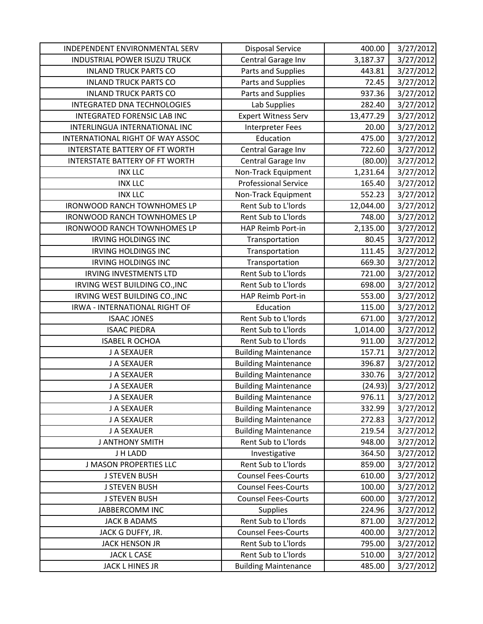| INDEPENDENT ENVIRONMENTAL SERV      | <b>Disposal Service</b>     | 400.00    | 3/27/2012 |
|-------------------------------------|-----------------------------|-----------|-----------|
| <b>INDUSTRIAL POWER ISUZU TRUCK</b> | Central Garage Inv          | 3,187.37  | 3/27/2012 |
| <b>INLAND TRUCK PARTS CO</b>        | Parts and Supplies          | 443.81    | 3/27/2012 |
| <b>INLAND TRUCK PARTS CO</b>        | Parts and Supplies          | 72.45     | 3/27/2012 |
| <b>INLAND TRUCK PARTS CO</b>        | Parts and Supplies          | 937.36    | 3/27/2012 |
| INTEGRATED DNA TECHNOLOGIES         | Lab Supplies                | 282.40    | 3/27/2012 |
| INTEGRATED FORENSIC LAB INC         | <b>Expert Witness Serv</b>  | 13,477.29 | 3/27/2012 |
| INTERLINGUA INTERNATIONAL INC       | Interpreter Fees            | 20.00     | 3/27/2012 |
| INTERNATIONAL RIGHT OF WAY ASSOC    | Education                   | 475.00    | 3/27/2012 |
| INTERSTATE BATTERY OF FT WORTH      | Central Garage Inv          | 722.60    | 3/27/2012 |
| INTERSTATE BATTERY OF FT WORTH      | Central Garage Inv          | (80.00)   | 3/27/2012 |
| <b>INX LLC</b>                      | Non-Track Equipment         | 1,231.64  | 3/27/2012 |
| <b>INX LLC</b>                      | <b>Professional Service</b> | 165.40    | 3/27/2012 |
| <b>INX LLC</b>                      | Non-Track Equipment         | 552.23    | 3/27/2012 |
| <b>IRONWOOD RANCH TOWNHOMES LP</b>  | Rent Sub to L'Iords         | 12,044.00 | 3/27/2012 |
| <b>IRONWOOD RANCH TOWNHOMES LP</b>  | Rent Sub to L'Iords         | 748.00    | 3/27/2012 |
| <b>IRONWOOD RANCH TOWNHOMES LP</b>  | HAP Reimb Port-in           | 2,135.00  | 3/27/2012 |
| <b>IRVING HOLDINGS INC</b>          | Transportation              | 80.45     | 3/27/2012 |
| <b>IRVING HOLDINGS INC</b>          | Transportation              | 111.45    | 3/27/2012 |
| <b>IRVING HOLDINGS INC</b>          | Transportation              | 669.30    | 3/27/2012 |
| <b>IRVING INVESTMENTS LTD</b>       | Rent Sub to L'Iords         | 721.00    | 3/27/2012 |
| IRVING WEST BUILDING CO., INC       | Rent Sub to L'Iords         | 698.00    | 3/27/2012 |
| IRVING WEST BUILDING CO., INC       | HAP Reimb Port-in           | 553.00    | 3/27/2012 |
| IRWA - INTERNATIONAL RIGHT OF       | Education                   | 115.00    | 3/27/2012 |
| <b>ISAAC JONES</b>                  | Rent Sub to L'Iords         | 671.00    | 3/27/2012 |
| <b>ISAAC PIEDRA</b>                 | Rent Sub to L'Iords         | 1,014.00  | 3/27/2012 |
| <b>ISABEL R OCHOA</b>               | Rent Sub to L'Iords         | 911.00    | 3/27/2012 |
| J A SEXAUER                         | <b>Building Maintenance</b> | 157.71    | 3/27/2012 |
| J A SEXAUER                         | <b>Building Maintenance</b> | 396.87    | 3/27/2012 |
| J A SEXAUER                         | <b>Building Maintenance</b> | 330.76    | 3/27/2012 |
| J A SEXAUER                         | <b>Building Maintenance</b> | (24.93)   | 3/27/2012 |
| J A SEXAUER                         | <b>Building Maintenance</b> | 976.11    | 3/27/2012 |
| J A SEXAUER                         | <b>Building Maintenance</b> | 332.99    | 3/27/2012 |
| J A SEXAUER                         | <b>Building Maintenance</b> | 272.83    | 3/27/2012 |
| J A SEXAUER                         | <b>Building Maintenance</b> | 219.54    | 3/27/2012 |
| <b>J ANTHONY SMITH</b>              | Rent Sub to L'Iords         | 948.00    | 3/27/2012 |
| J H LADD                            | Investigative               | 364.50    | 3/27/2012 |
| <b>J MASON PROPERTIES LLC</b>       | Rent Sub to L'Iords         | 859.00    | 3/27/2012 |
| <b>J STEVEN BUSH</b>                | <b>Counsel Fees-Courts</b>  | 610.00    | 3/27/2012 |
| <b>J STEVEN BUSH</b>                | <b>Counsel Fees-Courts</b>  | 100.00    | 3/27/2012 |
| <b>J STEVEN BUSH</b>                | <b>Counsel Fees-Courts</b>  | 600.00    | 3/27/2012 |
| JABBERCOMM INC                      | <b>Supplies</b>             | 224.96    | 3/27/2012 |
| <b>JACK B ADAMS</b>                 | Rent Sub to L'Iords         | 871.00    | 3/27/2012 |
| JACK G DUFFY, JR.                   | <b>Counsel Fees-Courts</b>  | 400.00    | 3/27/2012 |
| <b>JACK HENSON JR</b>               | Rent Sub to L'Iords         | 795.00    | 3/27/2012 |
| <b>JACK L CASE</b>                  | Rent Sub to L'Iords         | 510.00    | 3/27/2012 |
| JACK L HINES JR                     | <b>Building Maintenance</b> | 485.00    | 3/27/2012 |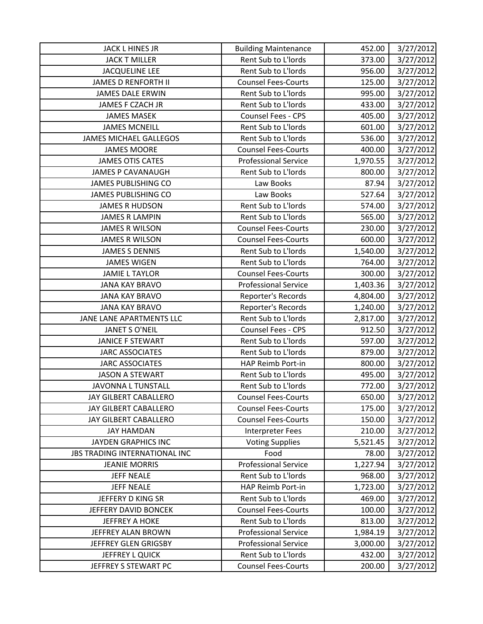| JACK L HINES JR               | <b>Building Maintenance</b> | 452.00   | 3/27/2012 |
|-------------------------------|-----------------------------|----------|-----------|
| <b>JACK T MILLER</b>          | Rent Sub to L'Iords         | 373.00   | 3/27/2012 |
| <b>JACQUELINE LEE</b>         | Rent Sub to L'Iords         | 956.00   | 3/27/2012 |
| <b>JAMES D RENFORTH II</b>    | <b>Counsel Fees-Courts</b>  | 125.00   | 3/27/2012 |
| <b>JAMES DALE ERWIN</b>       | Rent Sub to L'Iords         | 995.00   | 3/27/2012 |
| JAMES F CZACH JR              | Rent Sub to L'Iords         | 433.00   | 3/27/2012 |
| <b>JAMES MASEK</b>            | Counsel Fees - CPS          | 405.00   | 3/27/2012 |
| <b>JAMES MCNEILL</b>          | Rent Sub to L'Iords         | 601.00   | 3/27/2012 |
| <b>JAMES MICHAEL GALLEGOS</b> | Rent Sub to L'Iords         | 536.00   | 3/27/2012 |
| <b>JAMES MOORE</b>            | <b>Counsel Fees-Courts</b>  | 400.00   | 3/27/2012 |
| <b>JAMES OTIS CATES</b>       | <b>Professional Service</b> | 1,970.55 | 3/27/2012 |
| <b>JAMES P CAVANAUGH</b>      | Rent Sub to L'Iords         | 800.00   | 3/27/2012 |
| JAMES PUBLISHING CO           | Law Books                   | 87.94    | 3/27/2012 |
| <b>JAMES PUBLISHING CO</b>    | Law Books                   | 527.64   | 3/27/2012 |
| <b>JAMES R HUDSON</b>         | Rent Sub to L'Iords         | 574.00   | 3/27/2012 |
| <b>JAMES R LAMPIN</b>         | Rent Sub to L'Iords         | 565.00   | 3/27/2012 |
| <b>JAMES R WILSON</b>         | <b>Counsel Fees-Courts</b>  | 230.00   | 3/27/2012 |
| <b>JAMES R WILSON</b>         | <b>Counsel Fees-Courts</b>  | 600.00   | 3/27/2012 |
| <b>JAMES S DENNIS</b>         | Rent Sub to L'Iords         | 1,540.00 | 3/27/2012 |
| <b>JAMES WIGEN</b>            | Rent Sub to L'Iords         | 764.00   | 3/27/2012 |
| <b>JAMIE L TAYLOR</b>         | <b>Counsel Fees-Courts</b>  | 300.00   | 3/27/2012 |
| <b>JANA KAY BRAVO</b>         | <b>Professional Service</b> | 1,403.36 | 3/27/2012 |
| <b>JANA KAY BRAVO</b>         | Reporter's Records          | 4,804.00 | 3/27/2012 |
| <b>JANA KAY BRAVO</b>         | Reporter's Records          | 1,240.00 | 3/27/2012 |
| JANE LANE APARTMENTS LLC      | Rent Sub to L'Iords         | 2,817.00 | 3/27/2012 |
| <b>JANET S O'NEIL</b>         | <b>Counsel Fees - CPS</b>   | 912.50   | 3/27/2012 |
| <b>JANICE F STEWART</b>       | Rent Sub to L'Iords         | 597.00   | 3/27/2012 |
| <b>JARC ASSOCIATES</b>        | Rent Sub to L'Iords         | 879.00   | 3/27/2012 |
| <b>JARC ASSOCIATES</b>        | HAP Reimb Port-in           | 800.00   | 3/27/2012 |
| <b>JASON A STEWART</b>        | Rent Sub to L'Iords         | 495.00   | 3/27/2012 |
| JAVONNA L TUNSTALL            | Rent Sub to L'Iords         | 772.00   | 3/27/2012 |
| JAY GILBERT CABALLERO         | <b>Counsel Fees-Courts</b>  | 650.00   | 3/27/2012 |
| JAY GILBERT CABALLERO         | <b>Counsel Fees-Courts</b>  | 175.00   | 3/27/2012 |
| JAY GILBERT CABALLERO         | <b>Counsel Fees-Courts</b>  | 150.00   | 3/27/2012 |
| <b>JAY HAMDAN</b>             | Interpreter Fees            | 210.00   | 3/27/2012 |
| <b>JAYDEN GRAPHICS INC</b>    | <b>Voting Supplies</b>      | 5,521.45 | 3/27/2012 |
| JBS TRADING INTERNATIONAL INC | Food                        | 78.00    | 3/27/2012 |
| <b>JEANIE MORRIS</b>          | <b>Professional Service</b> | 1,227.94 | 3/27/2012 |
| <b>JEFF NEALE</b>             | Rent Sub to L'Iords         | 968.00   | 3/27/2012 |
| <b>JEFF NEALE</b>             | HAP Reimb Port-in           | 1,723.00 | 3/27/2012 |
| JEFFERY D KING SR             | Rent Sub to L'Iords         | 469.00   | 3/27/2012 |
| JEFFERY DAVID BONCEK          | <b>Counsel Fees-Courts</b>  | 100.00   | 3/27/2012 |
| <b>JEFFREY A HOKE</b>         | Rent Sub to L'Iords         | 813.00   | 3/27/2012 |
| JEFFREY ALAN BROWN            | <b>Professional Service</b> | 1,984.19 | 3/27/2012 |
| JEFFREY GLEN GRIGSBY          | <b>Professional Service</b> | 3,000.00 | 3/27/2012 |
| JEFFREY L QUICK               | Rent Sub to L'Iords         | 432.00   | 3/27/2012 |
| JEFFREY S STEWART PC          | <b>Counsel Fees-Courts</b>  | 200.00   | 3/27/2012 |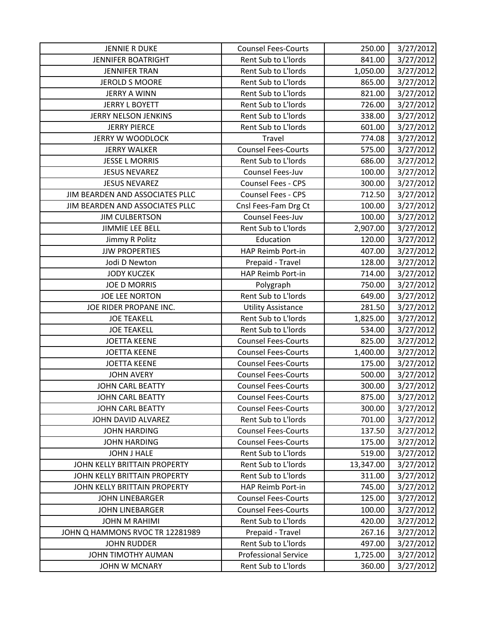| <b>JENNIE R DUKE</b>            | <b>Counsel Fees-Courts</b>  | 250.00    | 3/27/2012 |
|---------------------------------|-----------------------------|-----------|-----------|
| <b>JENNIFER BOATRIGHT</b>       | Rent Sub to L'Iords         | 841.00    | 3/27/2012 |
| <b>JENNIFER TRAN</b>            | Rent Sub to L'Iords         | 1,050.00  | 3/27/2012 |
| <b>JEROLD S MOORE</b>           | Rent Sub to L'Iords         | 865.00    | 3/27/2012 |
| <b>JERRY A WINN</b>             | Rent Sub to L'Iords         | 821.00    | 3/27/2012 |
| <b>JERRY L BOYETT</b>           | Rent Sub to L'Iords         | 726.00    | 3/27/2012 |
| JERRY NELSON JENKINS            | Rent Sub to L'Iords         | 338.00    | 3/27/2012 |
| <b>JERRY PIERCE</b>             | Rent Sub to L'Iords         | 601.00    | 3/27/2012 |
| <b>JERRY W WOODLOCK</b>         | Travel                      | 774.08    | 3/27/2012 |
| <b>JERRY WALKER</b>             | <b>Counsel Fees-Courts</b>  | 575.00    | 3/27/2012 |
| <b>JESSE L MORRIS</b>           | Rent Sub to L'Iords         | 686.00    | 3/27/2012 |
| <b>JESUS NEVAREZ</b>            | Counsel Fees-Juv            | 100.00    | 3/27/2012 |
| <b>JESUS NEVAREZ</b>            | Counsel Fees - CPS          | 300.00    | 3/27/2012 |
| JIM BEARDEN AND ASSOCIATES PLLC | <b>Counsel Fees - CPS</b>   | 712.50    | 3/27/2012 |
| JIM BEARDEN AND ASSOCIATES PLLC | Cnsl Fees-Fam Drg Ct        | 100.00    | 3/27/2012 |
| <b>JIM CULBERTSON</b>           | Counsel Fees-Juv            | 100.00    | 3/27/2012 |
| <b>JIMMIE LEE BELL</b>          | Rent Sub to L'Iords         | 2,907.00  | 3/27/2012 |
| Jimmy R Politz                  | Education                   | 120.00    | 3/27/2012 |
| <b>JJW PROPERTIES</b>           | HAP Reimb Port-in           | 407.00    | 3/27/2012 |
| Jodi D Newton                   | Prepaid - Travel            | 128.00    | 3/27/2012 |
| <b>JODY KUCZEK</b>              | HAP Reimb Port-in           | 714.00    | 3/27/2012 |
| <b>JOE D MORRIS</b>             | Polygraph                   | 750.00    | 3/27/2012 |
| <b>JOE LEE NORTON</b>           | Rent Sub to L'Iords         | 649.00    | 3/27/2012 |
| JOE RIDER PROPANE INC.          | <b>Utility Assistance</b>   | 281.50    | 3/27/2012 |
| <b>JOE TEAKELL</b>              | Rent Sub to L'Iords         | 1,825.00  | 3/27/2012 |
| <b>JOE TEAKELL</b>              | Rent Sub to L'Iords         | 534.00    | 3/27/2012 |
| <b>JOETTA KEENE</b>             | <b>Counsel Fees-Courts</b>  | 825.00    | 3/27/2012 |
| <b>JOETTA KEENE</b>             | <b>Counsel Fees-Courts</b>  | 1,400.00  | 3/27/2012 |
| <b>JOETTA KEENE</b>             | <b>Counsel Fees-Courts</b>  | 175.00    | 3/27/2012 |
| <b>JOHN AVERY</b>               | <b>Counsel Fees-Courts</b>  | 500.00    | 3/27/2012 |
| <b>JOHN CARL BEATTY</b>         | <b>Counsel Fees-Courts</b>  | 300.00    | 3/27/2012 |
| <b>JOHN CARL BEATTY</b>         | <b>Counsel Fees-Courts</b>  | 875.00    | 3/27/2012 |
| <b>JOHN CARL BEATTY</b>         | <b>Counsel Fees-Courts</b>  | 300.00    | 3/27/2012 |
| JOHN DAVID ALVAREZ              | Rent Sub to L'Iords         | 701.00    | 3/27/2012 |
| <b>JOHN HARDING</b>             | <b>Counsel Fees-Courts</b>  | 137.50    | 3/27/2012 |
| <b>JOHN HARDING</b>             | <b>Counsel Fees-Courts</b>  | 175.00    | 3/27/2012 |
| <b>JOHN J HALE</b>              | Rent Sub to L'Iords         | 519.00    | 3/27/2012 |
| JOHN KELLY BRITTAIN PROPERTY    | Rent Sub to L'Iords         | 13,347.00 | 3/27/2012 |
| JOHN KELLY BRITTAIN PROPERTY    | Rent Sub to L'Iords         | 311.00    | 3/27/2012 |
| JOHN KELLY BRITTAIN PROPERTY    | HAP Reimb Port-in           | 745.00    | 3/27/2012 |
| <b>JOHN LINEBARGER</b>          | <b>Counsel Fees-Courts</b>  | 125.00    | 3/27/2012 |
| <b>JOHN LINEBARGER</b>          | <b>Counsel Fees-Courts</b>  | 100.00    | 3/27/2012 |
| JOHN M RAHIMI                   | Rent Sub to L'Iords         | 420.00    | 3/27/2012 |
| JOHN Q HAMMONS RVOC TR 12281989 | Prepaid - Travel            | 267.16    | 3/27/2012 |
| <b>JOHN RUDDER</b>              | Rent Sub to L'Iords         | 497.00    | 3/27/2012 |
| JOHN TIMOTHY AUMAN              | <b>Professional Service</b> | 1,725.00  | 3/27/2012 |
| JOHN W MCNARY                   | Rent Sub to L'Iords         | 360.00    | 3/27/2012 |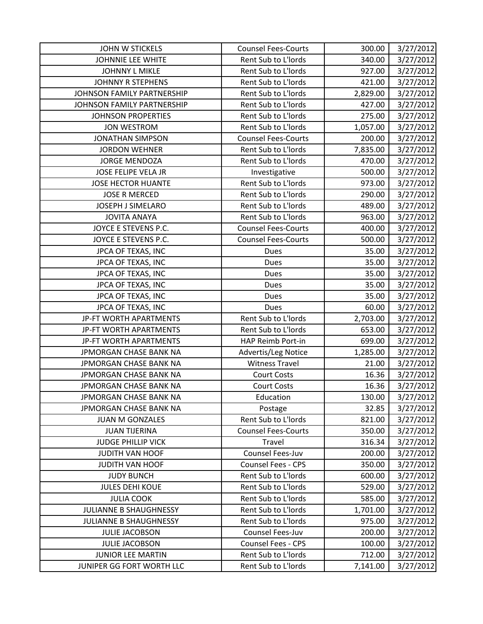| <b>JOHN W STICKELS</b>        | <b>Counsel Fees-Courts</b> | 300.00   | 3/27/2012 |
|-------------------------------|----------------------------|----------|-----------|
| JOHNNIE LEE WHITE             | Rent Sub to L'Iords        | 340.00   | 3/27/2012 |
| <b>JOHNNY L MIKLE</b>         | Rent Sub to L'Iords        | 927.00   | 3/27/2012 |
| <b>JOHNNY R STEPHENS</b>      | Rent Sub to L'Iords        | 421.00   | 3/27/2012 |
| JOHNSON FAMILY PARTNERSHIP    | Rent Sub to L'Iords        | 2,829.00 | 3/27/2012 |
| JOHNSON FAMILY PARTNERSHIP    | Rent Sub to L'Iords        | 427.00   | 3/27/2012 |
| <b>JOHNSON PROPERTIES</b>     | Rent Sub to L'Iords        | 275.00   | 3/27/2012 |
| <b>JON WESTROM</b>            | Rent Sub to L'Iords        | 1,057.00 | 3/27/2012 |
| <b>JONATHAN SIMPSON</b>       | <b>Counsel Fees-Courts</b> | 200.00   | 3/27/2012 |
| <b>JORDON WEHNER</b>          | Rent Sub to L'Iords        | 7,835.00 | 3/27/2012 |
| <b>JORGE MENDOZA</b>          | Rent Sub to L'Iords        | 470.00   | 3/27/2012 |
| JOSE FELIPE VELA JR           | Investigative              | 500.00   | 3/27/2012 |
| <b>JOSE HECTOR HUANTE</b>     | Rent Sub to L'Iords        | 973.00   | 3/27/2012 |
| <b>JOSE R MERCED</b>          | Rent Sub to L'Iords        | 290.00   | 3/27/2012 |
| JOSEPH J SIMELARO             | Rent Sub to L'Iords        | 489.00   | 3/27/2012 |
| <b>JOVITA ANAYA</b>           | Rent Sub to L'Iords        | 963.00   | 3/27/2012 |
| JOYCE E STEVENS P.C.          | <b>Counsel Fees-Courts</b> | 400.00   | 3/27/2012 |
| JOYCE E STEVENS P.C.          | <b>Counsel Fees-Courts</b> | 500.00   | 3/27/2012 |
| JPCA OF TEXAS, INC            | Dues                       | 35.00    | 3/27/2012 |
| JPCA OF TEXAS, INC            | Dues                       | 35.00    | 3/27/2012 |
| JPCA OF TEXAS, INC            | Dues                       | 35.00    | 3/27/2012 |
| JPCA OF TEXAS, INC            | Dues                       | 35.00    | 3/27/2012 |
| JPCA OF TEXAS, INC            | Dues                       | 35.00    | 3/27/2012 |
| JPCA OF TEXAS, INC            | Dues                       | 60.00    | 3/27/2012 |
| JP-FT WORTH APARTMENTS        | Rent Sub to L'Iords        | 2,703.00 | 3/27/2012 |
| JP-FT WORTH APARTMENTS        | Rent Sub to L'Iords        | 653.00   | 3/27/2012 |
| JP-FT WORTH APARTMENTS        | HAP Reimb Port-in          | 699.00   | 3/27/2012 |
| JPMORGAN CHASE BANK NA        | Advertis/Leg Notice        | 1,285.00 | 3/27/2012 |
| JPMORGAN CHASE BANK NA        | <b>Witness Travel</b>      | 21.00    | 3/27/2012 |
| JPMORGAN CHASE BANK NA        | <b>Court Costs</b>         | 16.36    | 3/27/2012 |
| JPMORGAN CHASE BANK NA        | <b>Court Costs</b>         | 16.36    | 3/27/2012 |
| <b>JPMORGAN CHASE BANK NA</b> | Education                  | 130.00   | 3/27/2012 |
| JPMORGAN CHASE BANK NA        | Postage                    | 32.85    | 3/27/2012 |
| <b>JUAN M GONZALES</b>        | Rent Sub to L'Iords        | 821.00   | 3/27/2012 |
| <b>JUAN TIJERINA</b>          | <b>Counsel Fees-Courts</b> | 350.00   | 3/27/2012 |
| <b>JUDGE PHILLIP VICK</b>     | Travel                     | 316.34   | 3/27/2012 |
| JUDITH VAN HOOF               | Counsel Fees-Juv           | 200.00   | 3/27/2012 |
| JUDITH VAN HOOF               | <b>Counsel Fees - CPS</b>  | 350.00   | 3/27/2012 |
| <b>JUDY BUNCH</b>             | Rent Sub to L'Iords        | 600.00   | 3/27/2012 |
| <b>JULES DEHI KOUE</b>        | Rent Sub to L'Iords        | 529.00   | 3/27/2012 |
| <b>JULIA COOK</b>             | Rent Sub to L'Iords        | 585.00   | 3/27/2012 |
| <b>JULIANNE B SHAUGHNESSY</b> | Rent Sub to L'Iords        | 1,701.00 | 3/27/2012 |
| <b>JULIANNE B SHAUGHNESSY</b> | Rent Sub to L'Iords        | 975.00   | 3/27/2012 |
| <b>JULIE JACOBSON</b>         | Counsel Fees-Juv           | 200.00   | 3/27/2012 |
| <b>JULIE JACOBSON</b>         | <b>Counsel Fees - CPS</b>  | 100.00   | 3/27/2012 |
| <b>JUNIOR LEE MARTIN</b>      | Rent Sub to L'Iords        | 712.00   | 3/27/2012 |
| JUNIPER GG FORT WORTH LLC     | Rent Sub to L'Iords        | 7,141.00 | 3/27/2012 |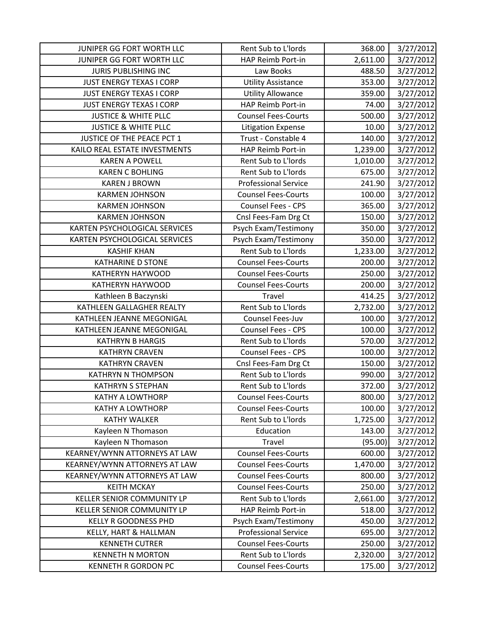| JUNIPER GG FORT WORTH LLC       | Rent Sub to L'Iords         | 368.00   | 3/27/2012 |
|---------------------------------|-----------------------------|----------|-----------|
| JUNIPER GG FORT WORTH LLC       | HAP Reimb Port-in           | 2,611.00 | 3/27/2012 |
| <b>JURIS PUBLISHING INC</b>     | Law Books                   | 488.50   | 3/27/2012 |
| <b>JUST ENERGY TEXAS I CORP</b> | <b>Utility Assistance</b>   | 353.00   | 3/27/2012 |
| JUST ENERGY TEXAS I CORP        | <b>Utility Allowance</b>    | 359.00   | 3/27/2012 |
| <b>JUST ENERGY TEXAS I CORP</b> | HAP Reimb Port-in           | 74.00    | 3/27/2012 |
| <b>JUSTICE &amp; WHITE PLLC</b> | <b>Counsel Fees-Courts</b>  | 500.00   | 3/27/2012 |
| <b>JUSTICE &amp; WHITE PLLC</b> | <b>Litigation Expense</b>   | 10.00    | 3/27/2012 |
| JUSTICE OF THE PEACE PCT 1      | Trust - Constable 4         | 140.00   | 3/27/2012 |
| KAILO REAL ESTATE INVESTMENTS   | HAP Reimb Port-in           | 1,239.00 | 3/27/2012 |
| <b>KAREN A POWELL</b>           | Rent Sub to L'Iords         | 1,010.00 | 3/27/2012 |
| <b>KAREN C BOHLING</b>          | Rent Sub to L'Iords         | 675.00   | 3/27/2012 |
| <b>KAREN J BROWN</b>            | <b>Professional Service</b> | 241.90   | 3/27/2012 |
| <b>KARMEN JOHNSON</b>           | <b>Counsel Fees-Courts</b>  | 100.00   | 3/27/2012 |
| <b>KARMEN JOHNSON</b>           | Counsel Fees - CPS          | 365.00   | 3/27/2012 |
| <b>KARMEN JOHNSON</b>           | Cnsl Fees-Fam Drg Ct        | 150.00   | 3/27/2012 |
| KARTEN PSYCHOLOGICAL SERVICES   | Psych Exam/Testimony        | 350.00   | 3/27/2012 |
| KARTEN PSYCHOLOGICAL SERVICES   | Psych Exam/Testimony        | 350.00   | 3/27/2012 |
| <b>KASHIF KHAN</b>              | Rent Sub to L'Iords         | 1,233.00 | 3/27/2012 |
| KATHARINE D STONE               | <b>Counsel Fees-Courts</b>  | 200.00   | 3/27/2012 |
| KATHERYN HAYWOOD                | <b>Counsel Fees-Courts</b>  | 250.00   | 3/27/2012 |
| KATHERYN HAYWOOD                | <b>Counsel Fees-Courts</b>  | 200.00   | 3/27/2012 |
| Kathleen B Baczynski            | Travel                      | 414.25   | 3/27/2012 |
| KATHLEEN GALLAGHER REALTY       | Rent Sub to L'Iords         | 2,732.00 | 3/27/2012 |
| KATHLEEN JEANNE MEGONIGAL       | Counsel Fees-Juv            | 100.00   | 3/27/2012 |
| KATHLEEN JEANNE MEGONIGAL       | Counsel Fees - CPS          | 100.00   | 3/27/2012 |
| <b>KATHRYN B HARGIS</b>         | Rent Sub to L'Iords         | 570.00   | 3/27/2012 |
| <b>KATHRYN CRAVEN</b>           | Counsel Fees - CPS          | 100.00   | 3/27/2012 |
| <b>KATHRYN CRAVEN</b>           | Cnsl Fees-Fam Drg Ct        | 150.00   | 3/27/2012 |
| <b>KATHRYN N THOMPSON</b>       | Rent Sub to L'Iords         | 990.00   | 3/27/2012 |
| <b>KATHRYN S STEPHAN</b>        | Rent Sub to L'Iords         | 372.00   | 3/27/2012 |
| <b>KATHY A LOWTHORP</b>         | <b>Counsel Fees-Courts</b>  | 800.00   | 3/27/2012 |
| <b>KATHY A LOWTHORP</b>         | <b>Counsel Fees-Courts</b>  | 100.00   | 3/27/2012 |
| <b>KATHY WALKER</b>             | Rent Sub to L'Iords         | 1,725.00 | 3/27/2012 |
| Kayleen N Thomason              | Education                   | 143.00   | 3/27/2012 |
| Kayleen N Thomason              | Travel                      | (95.00)  | 3/27/2012 |
| KEARNEY/WYNN ATTORNEYS AT LAW   | <b>Counsel Fees-Courts</b>  | 600.00   | 3/27/2012 |
| KEARNEY/WYNN ATTORNEYS AT LAW   | <b>Counsel Fees-Courts</b>  | 1,470.00 | 3/27/2012 |
| KEARNEY/WYNN ATTORNEYS AT LAW   | <b>Counsel Fees-Courts</b>  | 800.00   | 3/27/2012 |
| <b>KEITH MCKAY</b>              | <b>Counsel Fees-Courts</b>  | 250.00   | 3/27/2012 |
| KELLER SENIOR COMMUNITY LP      | Rent Sub to L'Iords         | 2,661.00 | 3/27/2012 |
| KELLER SENIOR COMMUNITY LP      | HAP Reimb Port-in           | 518.00   | 3/27/2012 |
| <b>KELLY R GOODNESS PHD</b>     | Psych Exam/Testimony        | 450.00   | 3/27/2012 |
| KELLY, HART & HALLMAN           | <b>Professional Service</b> | 695.00   | 3/27/2012 |
| <b>KENNETH CUTRER</b>           | <b>Counsel Fees-Courts</b>  | 250.00   | 3/27/2012 |
| <b>KENNETH N MORTON</b>         | Rent Sub to L'Iords         | 2,320.00 | 3/27/2012 |
| <b>KENNETH R GORDON PC</b>      | <b>Counsel Fees-Courts</b>  | 175.00   | 3/27/2012 |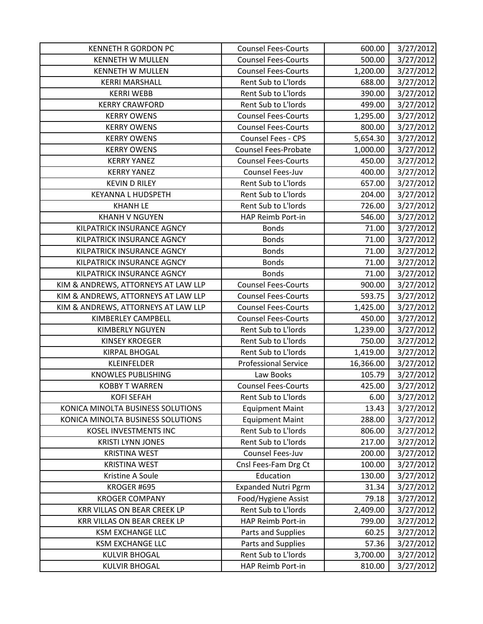| <b>KENNETH R GORDON PC</b>          | <b>Counsel Fees-Courts</b>  | 600.00    | 3/27/2012 |
|-------------------------------------|-----------------------------|-----------|-----------|
| <b>KENNETH W MULLEN</b>             | <b>Counsel Fees-Courts</b>  | 500.00    | 3/27/2012 |
| <b>KENNETH W MULLEN</b>             | <b>Counsel Fees-Courts</b>  | 1,200.00  | 3/27/2012 |
| <b>KERRI MARSHALL</b>               | Rent Sub to L'Iords         | 688.00    | 3/27/2012 |
| <b>KERRI WEBB</b>                   | Rent Sub to L'Iords         | 390.00    | 3/27/2012 |
| <b>KERRY CRAWFORD</b>               | Rent Sub to L'Iords         | 499.00    | 3/27/2012 |
| <b>KERRY OWENS</b>                  | <b>Counsel Fees-Courts</b>  | 1,295.00  | 3/27/2012 |
| <b>KERRY OWENS</b>                  | <b>Counsel Fees-Courts</b>  | 800.00    | 3/27/2012 |
| <b>KERRY OWENS</b>                  | <b>Counsel Fees - CPS</b>   | 5,654.30  | 3/27/2012 |
| <b>KERRY OWENS</b>                  | <b>Counsel Fees-Probate</b> | 1,000.00  | 3/27/2012 |
| <b>KERRY YANEZ</b>                  | <b>Counsel Fees-Courts</b>  | 450.00    | 3/27/2012 |
| <b>KERRY YANEZ</b>                  | Counsel Fees-Juv            | 400.00    | 3/27/2012 |
| <b>KEVIN D RILEY</b>                | Rent Sub to L'Iords         | 657.00    | 3/27/2012 |
| <b>KEYANNA L HUDSPETH</b>           | Rent Sub to L'Iords         | 204.00    | 3/27/2012 |
| <b>KHANH LE</b>                     | Rent Sub to L'Iords         | 726.00    | 3/27/2012 |
| <b>KHANH V NGUYEN</b>               | HAP Reimb Port-in           | 546.00    | 3/27/2012 |
| KILPATRICK INSURANCE AGNCY          | <b>Bonds</b>                | 71.00     | 3/27/2012 |
| KILPATRICK INSURANCE AGNCY          | <b>Bonds</b>                | 71.00     | 3/27/2012 |
| KILPATRICK INSURANCE AGNCY          | <b>Bonds</b>                | 71.00     | 3/27/2012 |
| KILPATRICK INSURANCE AGNCY          | <b>Bonds</b>                | 71.00     | 3/27/2012 |
| KILPATRICK INSURANCE AGNCY          | <b>Bonds</b>                | 71.00     | 3/27/2012 |
| KIM & ANDREWS, ATTORNEYS AT LAW LLP | <b>Counsel Fees-Courts</b>  | 900.00    | 3/27/2012 |
| KIM & ANDREWS, ATTORNEYS AT LAW LLP | <b>Counsel Fees-Courts</b>  | 593.75    | 3/27/2012 |
| KIM & ANDREWS, ATTORNEYS AT LAW LLP | <b>Counsel Fees-Courts</b>  | 1,425.00  | 3/27/2012 |
| KIMBERLEY CAMPBELL                  | <b>Counsel Fees-Courts</b>  | 450.00    | 3/27/2012 |
| <b>KIMBERLY NGUYEN</b>              | Rent Sub to L'Iords         | 1,239.00  | 3/27/2012 |
| <b>KINSEY KROEGER</b>               | Rent Sub to L'Iords         | 750.00    | 3/27/2012 |
| <b>KIRPAL BHOGAL</b>                | Rent Sub to L'Iords         | 1,419.00  | 3/27/2012 |
| <b>KLEINFELDER</b>                  | <b>Professional Service</b> | 16,366.00 | 3/27/2012 |
| <b>KNOWLES PUBLISHING</b>           | Law Books                   | 105.79    | 3/27/2012 |
| <b>KOBBY T WARREN</b>               | <b>Counsel Fees-Courts</b>  | 425.00    | 3/27/2012 |
| <b>KOFI SEFAH</b>                   | Rent Sub to L'Iords         | 6.00      | 3/27/2012 |
| KONICA MINOLTA BUSINESS SOLUTIONS   | <b>Equipment Maint</b>      | 13.43     | 3/27/2012 |
| KONICA MINOLTA BUSINESS SOLUTIONS   | <b>Equipment Maint</b>      | 288.00    | 3/27/2012 |
| KOSEL INVESTMENTS INC               | Rent Sub to L'Iords         | 806.00    | 3/27/2012 |
| <b>KRISTI LYNN JONES</b>            | Rent Sub to L'Iords         | 217.00    | 3/27/2012 |
| <b>KRISTINA WEST</b>                | Counsel Fees-Juv            | 200.00    | 3/27/2012 |
| <b>KRISTINA WEST</b>                | Cnsl Fees-Fam Drg Ct        | 100.00    | 3/27/2012 |
| Kristine A Soule                    | Education                   | 130.00    | 3/27/2012 |
| KROGER #695                         | <b>Expanded Nutri Pgrm</b>  | 31.34     | 3/27/2012 |
| <b>KROGER COMPANY</b>               | Food/Hygiene Assist         | 79.18     | 3/27/2012 |
| <b>KRR VILLAS ON BEAR CREEK LP</b>  | Rent Sub to L'Iords         | 2,409.00  | 3/27/2012 |
| KRR VILLAS ON BEAR CREEK LP         | HAP Reimb Port-in           | 799.00    | 3/27/2012 |
| <b>KSM EXCHANGE LLC</b>             | Parts and Supplies          | 60.25     | 3/27/2012 |
| <b>KSM EXCHANGE LLC</b>             | Parts and Supplies          | 57.36     | 3/27/2012 |
| <b>KULVIR BHOGAL</b>                | Rent Sub to L'Iords         | 3,700.00  | 3/27/2012 |
| <b>KULVIR BHOGAL</b>                | HAP Reimb Port-in           | 810.00    | 3/27/2012 |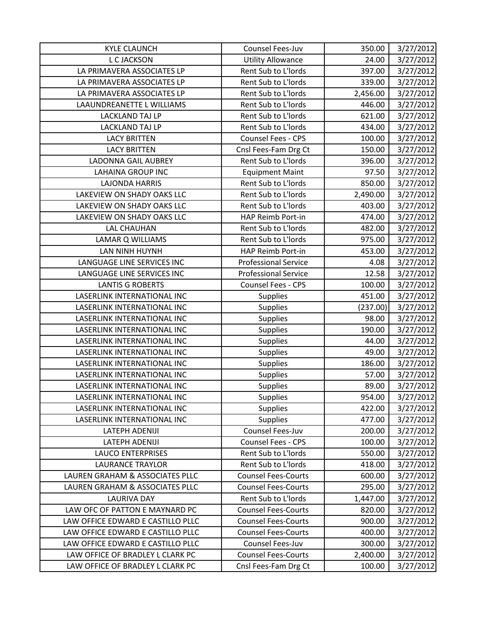| <b>KYLE CLAUNCH</b>               | Counsel Fees-Juv            | 350.00   | 3/27/2012 |
|-----------------------------------|-----------------------------|----------|-----------|
| L C JACKSON                       | <b>Utility Allowance</b>    | 24.00    | 3/27/2012 |
| LA PRIMAVERA ASSOCIATES LP        | Rent Sub to L'Iords         | 397.00   | 3/27/2012 |
| LA PRIMAVERA ASSOCIATES LP        | Rent Sub to L'Iords         | 339.00   | 3/27/2012 |
| LA PRIMAVERA ASSOCIATES LP        | Rent Sub to L'Iords         | 2,456.00 | 3/27/2012 |
| LAAUNDREANETTE L WILLIAMS         | Rent Sub to L'Iords         | 446.00   | 3/27/2012 |
| <b>LACKLAND TAJ LP</b>            | Rent Sub to L'Iords         | 621.00   | 3/27/2012 |
| <b>LACKLAND TAJ LP</b>            | Rent Sub to L'Iords         | 434.00   | 3/27/2012 |
| <b>LACY BRITTEN</b>               | Counsel Fees - CPS          | 100.00   | 3/27/2012 |
| <b>LACY BRITTEN</b>               | Cnsl Fees-Fam Drg Ct        | 150.00   | 3/27/2012 |
| <b>LADONNA GAIL AUBREY</b>        | Rent Sub to L'Iords         | 396.00   | 3/27/2012 |
| <b>LAHAINA GROUP INC</b>          | <b>Equipment Maint</b>      | 97.50    | 3/27/2012 |
| <b>LAJONDA HARRIS</b>             | Rent Sub to L'Iords         | 850.00   | 3/27/2012 |
| LAKEVIEW ON SHADY OAKS LLC        | Rent Sub to L'Iords         | 2,490.00 | 3/27/2012 |
| LAKEVIEW ON SHADY OAKS LLC        | Rent Sub to L'Iords         | 403.00   | 3/27/2012 |
| LAKEVIEW ON SHADY OAKS LLC        | HAP Reimb Port-in           | 474.00   | 3/27/2012 |
| <b>LAL CHAUHAN</b>                | Rent Sub to L'Iords         | 482.00   | 3/27/2012 |
| LAMAR Q WILLIAMS                  | Rent Sub to L'Iords         | 975.00   | 3/27/2012 |
| LAN NINH HUYNH                    | HAP Reimb Port-in           | 453.00   | 3/27/2012 |
| LANGUAGE LINE SERVICES INC        | <b>Professional Service</b> | 4.08     | 3/27/2012 |
| LANGUAGE LINE SERVICES INC        | <b>Professional Service</b> | 12.58    | 3/27/2012 |
| <b>LANTIS G ROBERTS</b>           | Counsel Fees - CPS          | 100.00   | 3/27/2012 |
| LASERLINK INTERNATIONAL INC       | Supplies                    | 451.00   | 3/27/2012 |
| LASERLINK INTERNATIONAL INC       | Supplies                    | (237.00) | 3/27/2012 |
| LASERLINK INTERNATIONAL INC       | <b>Supplies</b>             | 98.00    | 3/27/2012 |
| LASERLINK INTERNATIONAL INC       | <b>Supplies</b>             | 190.00   | 3/27/2012 |
| LASERLINK INTERNATIONAL INC       | <b>Supplies</b>             | 44.00    | 3/27/2012 |
| LASERLINK INTERNATIONAL INC       | <b>Supplies</b>             | 49.00    | 3/27/2012 |
| LASERLINK INTERNATIONAL INC       | Supplies                    | 186.00   | 3/27/2012 |
| LASERLINK INTERNATIONAL INC       | Supplies                    | 57.00    | 3/27/2012 |
| LASERLINK INTERNATIONAL INC       | Supplies                    | 89.00    | 3/27/2012 |
| LASERLINK INTERNATIONAL INC       | <b>Supplies</b>             | 954.00   | 3/27/2012 |
| LASERLINK INTERNATIONAL INC       | <b>Supplies</b>             | 422.00   | 3/27/2012 |
| LASERLINK INTERNATIONAL INC       | <b>Supplies</b>             | 477.00   | 3/27/2012 |
| LATEPH ADENIJI                    | Counsel Fees-Juv            | 200.00   | 3/27/2012 |
| LATEPH ADENIJI                    | Counsel Fees - CPS          | 100.00   | 3/27/2012 |
| <b>LAUCO ENTERPRISES</b>          | Rent Sub to L'Iords         | 550.00   | 3/27/2012 |
| <b>LAURANCE TRAYLOR</b>           | Rent Sub to L'Iords         | 418.00   | 3/27/2012 |
| LAUREN GRAHAM & ASSOCIATES PLLC   | <b>Counsel Fees-Courts</b>  | 600.00   | 3/27/2012 |
| LAUREN GRAHAM & ASSOCIATES PLLC   | <b>Counsel Fees-Courts</b>  | 295.00   | 3/27/2012 |
| <b>LAURIVA DAY</b>                | Rent Sub to L'Iords         | 1,447.00 | 3/27/2012 |
| LAW OFC OF PATTON E MAYNARD PC    | <b>Counsel Fees-Courts</b>  | 820.00   | 3/27/2012 |
| LAW OFFICE EDWARD E CASTILLO PLLC | <b>Counsel Fees-Courts</b>  | 900.00   | 3/27/2012 |
| LAW OFFICE EDWARD E CASTILLO PLLC | <b>Counsel Fees-Courts</b>  | 400.00   | 3/27/2012 |
| LAW OFFICE EDWARD E CASTILLO PLLC | Counsel Fees-Juv            | 300.00   | 3/27/2012 |
| LAW OFFICE OF BRADLEY L CLARK PC  | <b>Counsel Fees-Courts</b>  | 2,400.00 | 3/27/2012 |
| LAW OFFICE OF BRADLEY L CLARK PC  | Cnsl Fees-Fam Drg Ct        | 100.00   | 3/27/2012 |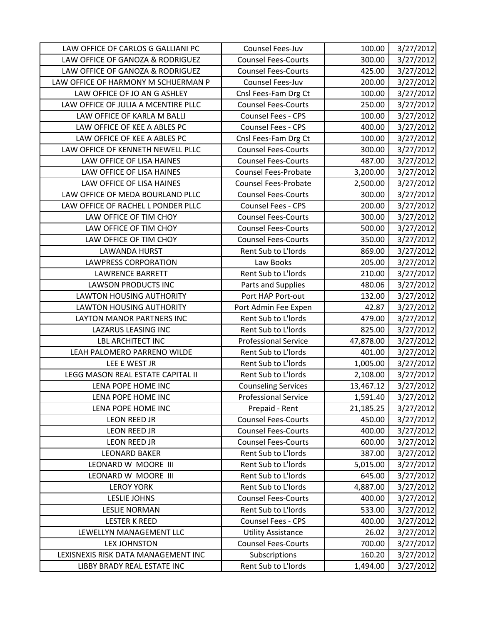| LAW OFFICE OF CARLOS G GALLIANI PC  | Counsel Fees-Juv            | 100.00    | 3/27/2012 |
|-------------------------------------|-----------------------------|-----------|-----------|
| LAW OFFICE OF GANOZA & RODRIGUEZ    | <b>Counsel Fees-Courts</b>  | 300.00    | 3/27/2012 |
| LAW OFFICE OF GANOZA & RODRIGUEZ    | <b>Counsel Fees-Courts</b>  | 425.00    | 3/27/2012 |
| LAW OFFICE OF HARMONY M SCHUERMAN P | Counsel Fees-Juv            | 200.00    | 3/27/2012 |
| LAW OFFICE OF JO AN G ASHLEY        | Cnsl Fees-Fam Drg Ct        | 100.00    | 3/27/2012 |
| LAW OFFICE OF JULIA A MCENTIRE PLLC | <b>Counsel Fees-Courts</b>  | 250.00    | 3/27/2012 |
| LAW OFFICE OF KARLA M BALLI         | Counsel Fees - CPS          | 100.00    | 3/27/2012 |
| LAW OFFICE OF KEE A ABLES PC        | <b>Counsel Fees - CPS</b>   | 400.00    | 3/27/2012 |
| LAW OFFICE OF KEE A ABLES PC        | Cnsl Fees-Fam Drg Ct        | 100.00    | 3/27/2012 |
| LAW OFFICE OF KENNETH NEWELL PLLC   | <b>Counsel Fees-Courts</b>  | 300.00    | 3/27/2012 |
| LAW OFFICE OF LISA HAINES           | <b>Counsel Fees-Courts</b>  | 487.00    | 3/27/2012 |
| LAW OFFICE OF LISA HAINES           | Counsel Fees-Probate        | 3,200.00  | 3/27/2012 |
| LAW OFFICE OF LISA HAINES           | <b>Counsel Fees-Probate</b> | 2,500.00  | 3/27/2012 |
| LAW OFFICE OF MEDA BOURLAND PLLC    | <b>Counsel Fees-Courts</b>  | 300.00    | 3/27/2012 |
| LAW OFFICE OF RACHEL L PONDER PLLC  | <b>Counsel Fees - CPS</b>   | 200.00    | 3/27/2012 |
| LAW OFFICE OF TIM CHOY              | <b>Counsel Fees-Courts</b>  | 300.00    | 3/27/2012 |
| LAW OFFICE OF TIM CHOY              | <b>Counsel Fees-Courts</b>  | 500.00    | 3/27/2012 |
| LAW OFFICE OF TIM CHOY              | <b>Counsel Fees-Courts</b>  | 350.00    | 3/27/2012 |
| <b>LAWANDA HURST</b>                | Rent Sub to L'Iords         | 869.00    | 3/27/2012 |
| <b>LAWPRESS CORPORATION</b>         | Law Books                   | 205.00    | 3/27/2012 |
| <b>LAWRENCE BARRETT</b>             | Rent Sub to L'Iords         | 210.00    | 3/27/2012 |
| <b>LAWSON PRODUCTS INC</b>          | Parts and Supplies          | 480.06    | 3/27/2012 |
| LAWTON HOUSING AUTHORITY            | Port HAP Port-out           | 132.00    | 3/27/2012 |
| <b>LAWTON HOUSING AUTHORITY</b>     | Port Admin Fee Expen        | 42.87     | 3/27/2012 |
| LAYTON MANOR PARTNERS INC           | Rent Sub to L'Iords         | 479.00    | 3/27/2012 |
| LAZARUS LEASING INC                 | Rent Sub to L'Iords         | 825.00    | 3/27/2012 |
| <b>LBL ARCHITECT INC</b>            | <b>Professional Service</b> | 47,878.00 | 3/27/2012 |
| LEAH PALOMERO PARRENO WILDE         | Rent Sub to L'Iords         | 401.00    | 3/27/2012 |
| LEE E WEST JR                       | Rent Sub to L'Iords         | 1,005.00  | 3/27/2012 |
| LEGG MASON REAL ESTATE CAPITAL II   | Rent Sub to L'Iords         | 2,108.00  | 3/27/2012 |
| LENA POPE HOME INC                  | <b>Counseling Services</b>  | 13,467.12 | 3/27/2012 |
| LENA POPE HOME INC                  | <b>Professional Service</b> | 1,591.40  | 3/27/2012 |
| LENA POPE HOME INC                  | Prepaid - Rent              | 21,185.25 | 3/27/2012 |
| <b>LEON REED JR</b>                 | <b>Counsel Fees-Courts</b>  | 450.00    | 3/27/2012 |
| LEON REED JR                        | <b>Counsel Fees-Courts</b>  | 400.00    | 3/27/2012 |
| <b>LEON REED JR</b>                 | <b>Counsel Fees-Courts</b>  | 600.00    | 3/27/2012 |
| <b>LEONARD BAKER</b>                | Rent Sub to L'Iords         | 387.00    | 3/27/2012 |
| LEONARD W MOORE III                 | Rent Sub to L'Iords         | 5,015.00  | 3/27/2012 |
| LEONARD W MOORE III                 | Rent Sub to L'Iords         | 645.00    | 3/27/2012 |
| <b>LEROY YORK</b>                   | Rent Sub to L'Iords         | 4,887.00  | 3/27/2012 |
| <b>LESLIE JOHNS</b>                 | <b>Counsel Fees-Courts</b>  | 400.00    | 3/27/2012 |
| <b>LESLIE NORMAN</b>                | Rent Sub to L'Iords         | 533.00    | 3/27/2012 |
| <b>LESTER K REED</b>                | Counsel Fees - CPS          | 400.00    | 3/27/2012 |
| LEWELLYN MANAGEMENT LLC             | <b>Utility Assistance</b>   | 26.02     | 3/27/2012 |
| <b>LEX JOHNSTON</b>                 | <b>Counsel Fees-Courts</b>  | 700.00    | 3/27/2012 |
| LEXISNEXIS RISK DATA MANAGEMENT INC | Subscriptions               | 160.20    | 3/27/2012 |
| LIBBY BRADY REAL ESTATE INC         | Rent Sub to L'Iords         | 1,494.00  | 3/27/2012 |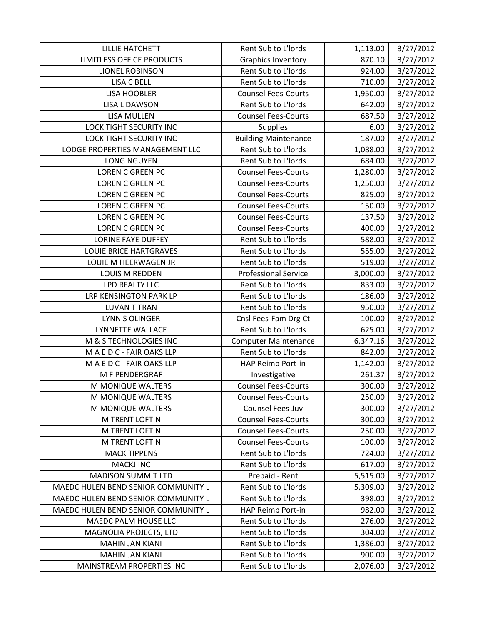| <b>LILLIE HATCHETT</b>              | Rent Sub to L'Iords         | 1,113.00 | 3/27/2012 |
|-------------------------------------|-----------------------------|----------|-----------|
| <b>LIMITLESS OFFICE PRODUCTS</b>    | <b>Graphics Inventory</b>   | 870.10   | 3/27/2012 |
| <b>LIONEL ROBINSON</b>              | Rent Sub to L'Iords         | 924.00   | 3/27/2012 |
| <b>LISA C BELL</b>                  | Rent Sub to L'Iords         | 710.00   | 3/27/2012 |
| <b>LISA HOOBLER</b>                 | <b>Counsel Fees-Courts</b>  | 1,950.00 | 3/27/2012 |
| <b>LISA L DAWSON</b>                | Rent Sub to L'Iords         | 642.00   | 3/27/2012 |
| <b>LISA MULLEN</b>                  | <b>Counsel Fees-Courts</b>  | 687.50   | 3/27/2012 |
| <b>LOCK TIGHT SECURITY INC</b>      | <b>Supplies</b>             | 6.00     | 3/27/2012 |
| <b>LOCK TIGHT SECURITY INC</b>      | <b>Building Maintenance</b> | 187.00   | 3/27/2012 |
| LODGE PROPERTIES MANAGEMENT LLC     | Rent Sub to L'Iords         | 1,088.00 | 3/27/2012 |
| <b>LONG NGUYEN</b>                  | Rent Sub to L'Iords         | 684.00   | 3/27/2012 |
| LOREN C GREEN PC                    | <b>Counsel Fees-Courts</b>  | 1,280.00 | 3/27/2012 |
| <b>LOREN C GREEN PC</b>             | <b>Counsel Fees-Courts</b>  | 1,250.00 | 3/27/2012 |
| <b>LOREN C GREEN PC</b>             | <b>Counsel Fees-Courts</b>  | 825.00   | 3/27/2012 |
| <b>LOREN C GREEN PC</b>             | <b>Counsel Fees-Courts</b>  | 150.00   | 3/27/2012 |
| <b>LOREN C GREEN PC</b>             | <b>Counsel Fees-Courts</b>  | 137.50   | 3/27/2012 |
| <b>LOREN C GREEN PC</b>             | <b>Counsel Fees-Courts</b>  | 400.00   | 3/27/2012 |
| <b>LORINE FAYE DUFFEY</b>           | Rent Sub to L'Iords         | 588.00   | 3/27/2012 |
| LOUIE BRICE HARTGRAVES              | Rent Sub to L'Iords         | 555.00   | 3/27/2012 |
| LOUIE M HEERWAGEN JR                | Rent Sub to L'Iords         | 519.00   | 3/27/2012 |
| LOUIS M REDDEN                      | <b>Professional Service</b> | 3,000.00 | 3/27/2012 |
| LPD REALTY LLC                      | Rent Sub to L'Iords         | 833.00   | 3/27/2012 |
| LRP KENSINGTON PARK LP              | Rent Sub to L'Iords         | 186.00   | 3/27/2012 |
| <b>LUVAN T TRAN</b>                 | Rent Sub to L'Iords         | 950.00   | 3/27/2012 |
| LYNN S OLINGER                      | Cnsl Fees-Fam Drg Ct        | 100.00   | 3/27/2012 |
| LYNNETTE WALLACE                    | Rent Sub to L'Iords         | 625.00   | 3/27/2012 |
| M & S TECHNOLOGIES INC              | <b>Computer Maintenance</b> | 6,347.16 | 3/27/2012 |
| M A E D C - FAIR OAKS LLP           | Rent Sub to L'Iords         | 842.00   | 3/27/2012 |
| M A E D C - FAIR OAKS LLP           | HAP Reimb Port-in           | 1,142.00 | 3/27/2012 |
| M F PENDERGRAF                      | Investigative               | 261.37   | 3/27/2012 |
| M MONIQUE WALTERS                   | <b>Counsel Fees-Courts</b>  | 300.00   | 3/27/2012 |
| M MONIQUE WALTERS                   | <b>Counsel Fees-Courts</b>  | 250.00   | 3/27/2012 |
| M MONIQUE WALTERS                   | Counsel Fees-Juv            | 300.00   | 3/27/2012 |
| M TRENT LOFTIN                      | <b>Counsel Fees-Courts</b>  | 300.00   | 3/27/2012 |
| <b>M TRENT LOFTIN</b>               | <b>Counsel Fees-Courts</b>  | 250.00   | 3/27/2012 |
| <b>M TRENT LOFTIN</b>               | <b>Counsel Fees-Courts</b>  | 100.00   | 3/27/2012 |
| <b>MACK TIPPENS</b>                 | Rent Sub to L'Iords         | 724.00   | 3/27/2012 |
| <b>MACKJ INC</b>                    | Rent Sub to L'Iords         | 617.00   | 3/27/2012 |
| <b>MADISON SUMMIT LTD</b>           | Prepaid - Rent              | 5,515.00 | 3/27/2012 |
| MAEDC HULEN BEND SENIOR COMMUNITY L | Rent Sub to L'Iords         | 5,309.00 | 3/27/2012 |
| MAEDC HULEN BEND SENIOR COMMUNITY L | Rent Sub to L'Iords         | 398.00   | 3/27/2012 |
| MAEDC HULEN BEND SENIOR COMMUNITY L | HAP Reimb Port-in           | 982.00   | 3/27/2012 |
| MAEDC PALM HOUSE LLC                | Rent Sub to L'Iords         | 276.00   | 3/27/2012 |
| MAGNOLIA PROJECTS, LTD              | Rent Sub to L'Iords         | 304.00   | 3/27/2012 |
| <b>MAHIN JAN KIANI</b>              | Rent Sub to L'Iords         | 1,386.00 | 3/27/2012 |
| <b>MAHIN JAN KIANI</b>              | Rent Sub to L'Iords         | 900.00   | 3/27/2012 |
| MAINSTREAM PROPERTIES INC           | Rent Sub to L'Iords         | 2,076.00 | 3/27/2012 |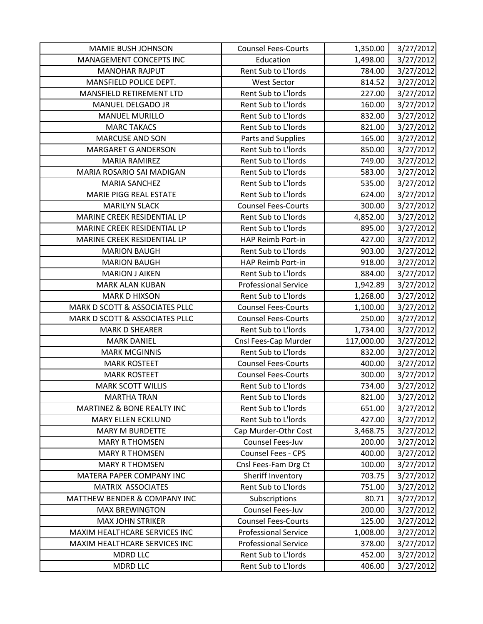| <b>MAMIE BUSH JOHNSON</b>      | <b>Counsel Fees-Courts</b>  | 1,350.00   | 3/27/2012 |
|--------------------------------|-----------------------------|------------|-----------|
| MANAGEMENT CONCEPTS INC        | Education                   | 1,498.00   | 3/27/2012 |
| <b>MANOHAR RAJPUT</b>          | Rent Sub to L'Iords         | 784.00     | 3/27/2012 |
| MANSFIELD POLICE DEPT.         | <b>West Sector</b>          | 814.52     | 3/27/2012 |
| MANSFIELD RETIREMENT LTD       | Rent Sub to L'Iords         | 227.00     | 3/27/2012 |
| MANUEL DELGADO JR              | Rent Sub to L'Iords         | 160.00     | 3/27/2012 |
| <b>MANUEL MURILLO</b>          | Rent Sub to L'Iords         | 832.00     | 3/27/2012 |
| <b>MARC TAKACS</b>             | Rent Sub to L'Iords         | 821.00     | 3/27/2012 |
| <b>MARCUSE AND SON</b>         | Parts and Supplies          | 165.00     | 3/27/2012 |
| <b>MARGARET G ANDERSON</b>     | Rent Sub to L'Iords         | 850.00     | 3/27/2012 |
| <b>MARIA RAMIREZ</b>           | Rent Sub to L'Iords         | 749.00     | 3/27/2012 |
| MARIA ROSARIO SAI MADIGAN      | Rent Sub to L'Iords         | 583.00     | 3/27/2012 |
| <b>MARIA SANCHEZ</b>           | Rent Sub to L'Iords         | 535.00     | 3/27/2012 |
| <b>MARIE PIGG REAL ESTATE</b>  | Rent Sub to L'Iords         | 624.00     | 3/27/2012 |
| <b>MARILYN SLACK</b>           | <b>Counsel Fees-Courts</b>  | 300.00     | 3/27/2012 |
| MARINE CREEK RESIDENTIAL LP    | Rent Sub to L'Iords         | 4,852.00   | 3/27/2012 |
| MARINE CREEK RESIDENTIAL LP    | Rent Sub to L'Iords         | 895.00     | 3/27/2012 |
| MARINE CREEK RESIDENTIAL LP    | HAP Reimb Port-in           | 427.00     | 3/27/2012 |
| <b>MARION BAUGH</b>            | Rent Sub to L'Iords         | 903.00     | 3/27/2012 |
| <b>MARION BAUGH</b>            | HAP Reimb Port-in           | 918.00     | 3/27/2012 |
| <b>MARION J AIKEN</b>          | Rent Sub to L'Iords         | 884.00     | 3/27/2012 |
| MARK ALAN KUBAN                | <b>Professional Service</b> | 1,942.89   | 3/27/2012 |
| <b>MARK D HIXSON</b>           | Rent Sub to L'Iords         | 1,268.00   | 3/27/2012 |
| MARK D SCOTT & ASSOCIATES PLLC | <b>Counsel Fees-Courts</b>  | 1,100.00   | 3/27/2012 |
| MARK D SCOTT & ASSOCIATES PLLC | <b>Counsel Fees-Courts</b>  | 250.00     | 3/27/2012 |
| <b>MARK D SHEARER</b>          | Rent Sub to L'Iords         | 1,734.00   | 3/27/2012 |
| <b>MARK DANIEL</b>             | Cnsl Fees-Cap Murder        | 117,000.00 | 3/27/2012 |
| <b>MARK MCGINNIS</b>           | Rent Sub to L'Iords         | 832.00     | 3/27/2012 |
| <b>MARK ROSTEET</b>            | <b>Counsel Fees-Courts</b>  | 400.00     | 3/27/2012 |
| <b>MARK ROSTEET</b>            | <b>Counsel Fees-Courts</b>  | 300.00     | 3/27/2012 |
| <b>MARK SCOTT WILLIS</b>       | Rent Sub to L'Iords         | 734.00     | 3/27/2012 |
| <b>MARTHA TRAN</b>             | Rent Sub to L'Iords         | 821.00     | 3/27/2012 |
| MARTINEZ & BONE REALTY INC     | Rent Sub to L'Iords         | 651.00     | 3/27/2012 |
| <b>MARY ELLEN ECKLUND</b>      | Rent Sub to L'Iords         | 427.00     | 3/27/2012 |
| <b>MARY M BURDETTE</b>         | Cap Murder-Othr Cost        | 3,468.75   | 3/27/2012 |
| <b>MARY R THOMSEN</b>          | Counsel Fees-Juv            | 200.00     | 3/27/2012 |
| <b>MARY R THOMSEN</b>          | Counsel Fees - CPS          | 400.00     | 3/27/2012 |
| <b>MARY R THOMSEN</b>          | Cnsl Fees-Fam Drg Ct        | 100.00     | 3/27/2012 |
| MATERA PAPER COMPANY INC       | Sheriff Inventory           | 703.75     | 3/27/2012 |
| <b>MATRIX ASSOCIATES</b>       | Rent Sub to L'Iords         | 751.00     | 3/27/2012 |
| MATTHEW BENDER & COMPANY INC   | Subscriptions               | 80.71      | 3/27/2012 |
| <b>MAX BREWINGTON</b>          | Counsel Fees-Juv            | 200.00     | 3/27/2012 |
| <b>MAX JOHN STRIKER</b>        | <b>Counsel Fees-Courts</b>  | 125.00     | 3/27/2012 |
| MAXIM HEALTHCARE SERVICES INC  | <b>Professional Service</b> | 1,008.00   | 3/27/2012 |
| MAXIM HEALTHCARE SERVICES INC  | <b>Professional Service</b> | 378.00     | 3/27/2012 |
| <b>MDRD LLC</b>                | Rent Sub to L'Iords         | 452.00     | 3/27/2012 |
| <b>MDRD LLC</b>                | Rent Sub to L'Iords         | 406.00     | 3/27/2012 |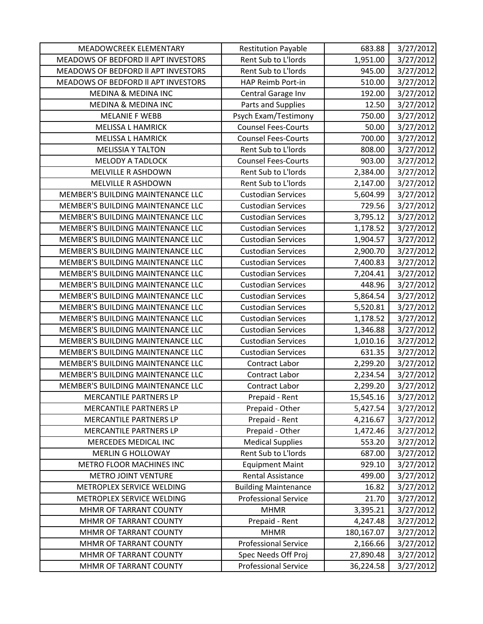| MEADOWCREEK ELEMENTARY              | <b>Restitution Payable</b>  | 683.88     | 3/27/2012 |
|-------------------------------------|-----------------------------|------------|-----------|
| MEADOWS OF BEDFORD II APT INVESTORS | Rent Sub to L'Iords         | 1,951.00   | 3/27/2012 |
| MEADOWS OF BEDFORD II APT INVESTORS | Rent Sub to L'Iords         | 945.00     | 3/27/2012 |
| MEADOWS OF BEDFORD II APT INVESTORS | HAP Reimb Port-in           | 510.00     | 3/27/2012 |
| <b>MEDINA &amp; MEDINA INC</b>      | Central Garage Inv          | 192.00     | 3/27/2012 |
| <b>MEDINA &amp; MEDINA INC</b>      | Parts and Supplies          | 12.50      | 3/27/2012 |
| <b>MELANIE F WEBB</b>               | Psych Exam/Testimony        | 750.00     | 3/27/2012 |
| <b>MELISSA L HAMRICK</b>            | <b>Counsel Fees-Courts</b>  | 50.00      | 3/27/2012 |
| <b>MELISSA L HAMRICK</b>            | <b>Counsel Fees-Courts</b>  | 700.00     | 3/27/2012 |
| <b>MELISSIA Y TALTON</b>            | Rent Sub to L'Iords         | 808.00     | 3/27/2012 |
| <b>MELODY A TADLOCK</b>             | <b>Counsel Fees-Courts</b>  | 903.00     | 3/27/2012 |
| MELVILLE R ASHDOWN                  | Rent Sub to L'Iords         | 2,384.00   | 3/27/2012 |
| <b>MELVILLE R ASHDOWN</b>           | Rent Sub to L'Iords         | 2,147.00   | 3/27/2012 |
| MEMBER'S BUILDING MAINTENANCE LLC   | <b>Custodian Services</b>   | 5,604.99   | 3/27/2012 |
| MEMBER'S BUILDING MAINTENANCE LLC   | <b>Custodian Services</b>   | 729.56     | 3/27/2012 |
| MEMBER'S BUILDING MAINTENANCE LLC   | <b>Custodian Services</b>   | 3,795.12   | 3/27/2012 |
| MEMBER'S BUILDING MAINTENANCE LLC   | <b>Custodian Services</b>   | 1,178.52   | 3/27/2012 |
| MEMBER'S BUILDING MAINTENANCE LLC   | <b>Custodian Services</b>   | 1,904.57   | 3/27/2012 |
| MEMBER'S BUILDING MAINTENANCE LLC   | <b>Custodian Services</b>   | 2,900.70   | 3/27/2012 |
| MEMBER'S BUILDING MAINTENANCE LLC   | <b>Custodian Services</b>   | 7,400.83   | 3/27/2012 |
| MEMBER'S BUILDING MAINTENANCE LLC   | <b>Custodian Services</b>   | 7,204.41   | 3/27/2012 |
| MEMBER'S BUILDING MAINTENANCE LLC   | <b>Custodian Services</b>   | 448.96     | 3/27/2012 |
| MEMBER'S BUILDING MAINTENANCE LLC   | <b>Custodian Services</b>   | 5,864.54   | 3/27/2012 |
| MEMBER'S BUILDING MAINTENANCE LLC   | <b>Custodian Services</b>   | 5,520.81   | 3/27/2012 |
| MEMBER'S BUILDING MAINTENANCE LLC   | <b>Custodian Services</b>   | 1,178.52   | 3/27/2012 |
| MEMBER'S BUILDING MAINTENANCE LLC   | <b>Custodian Services</b>   | 1,346.88   | 3/27/2012 |
| MEMBER'S BUILDING MAINTENANCE LLC   | <b>Custodian Services</b>   | 1,010.16   | 3/27/2012 |
| MEMBER'S BUILDING MAINTENANCE LLC   | <b>Custodian Services</b>   | 631.35     | 3/27/2012 |
| MEMBER'S BUILDING MAINTENANCE LLC   | Contract Labor              | 2,299.20   | 3/27/2012 |
| MEMBER'S BUILDING MAINTENANCE LLC   | <b>Contract Labor</b>       | 2,234.54   | 3/27/2012 |
| MEMBER'S BUILDING MAINTENANCE LLC   | Contract Labor              | 2,299.20   | 3/27/2012 |
| <b>MERCANTILE PARTNERS LP</b>       | Prepaid - Rent              | 15,545.16  | 3/27/2012 |
| MERCANTILE PARTNERS LP              | Prepaid - Other             | 5,427.54   | 3/27/2012 |
| MERCANTILE PARTNERS LP              | Prepaid - Rent              | 4,216.67   | 3/27/2012 |
| MERCANTILE PARTNERS LP              | Prepaid - Other             | 1,472.46   | 3/27/2012 |
| MERCEDES MEDICAL INC                | <b>Medical Supplies</b>     | 553.20     | 3/27/2012 |
| <b>MERLIN G HOLLOWAY</b>            | Rent Sub to L'Iords         | 687.00     | 3/27/2012 |
| METRO FLOOR MACHINES INC            | <b>Equipment Maint</b>      | 929.10     | 3/27/2012 |
| <b>METRO JOINT VENTURE</b>          | Rental Assistance           | 499.00     | 3/27/2012 |
| METROPLEX SERVICE WELDING           | <b>Building Maintenance</b> | 16.82      | 3/27/2012 |
| METROPLEX SERVICE WELDING           | <b>Professional Service</b> | 21.70      | 3/27/2012 |
| MHMR OF TARRANT COUNTY              | <b>MHMR</b>                 | 3,395.21   | 3/27/2012 |
| MHMR OF TARRANT COUNTY              | Prepaid - Rent              | 4,247.48   | 3/27/2012 |
| MHMR OF TARRANT COUNTY              | <b>MHMR</b>                 | 180,167.07 | 3/27/2012 |
| MHMR OF TARRANT COUNTY              | <b>Professional Service</b> | 2,166.66   | 3/27/2012 |
| MHMR OF TARRANT COUNTY              | Spec Needs Off Proj         | 27,890.48  | 3/27/2012 |
| MHMR OF TARRANT COUNTY              | <b>Professional Service</b> | 36,224.58  | 3/27/2012 |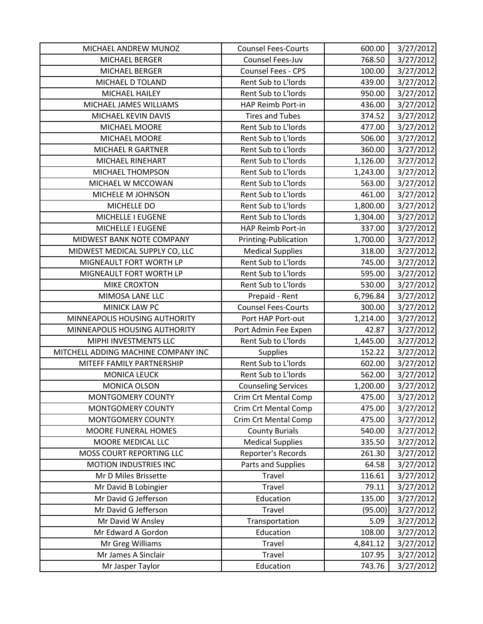| MICHAEL ANDREW MUNOZ                | <b>Counsel Fees-Courts</b>  | 600.00   | 3/27/2012 |
|-------------------------------------|-----------------------------|----------|-----------|
| MICHAEL BERGER                      | Counsel Fees-Juv            | 768.50   | 3/27/2012 |
| MICHAEL BERGER                      | <b>Counsel Fees - CPS</b>   | 100.00   | 3/27/2012 |
| MICHAEL D TOLAND                    | Rent Sub to L'Iords         | 439.00   | 3/27/2012 |
| MICHAEL HAILEY                      | Rent Sub to L'Iords         | 950.00   | 3/27/2012 |
| MICHAEL JAMES WILLIAMS              | HAP Reimb Port-in           | 436.00   | 3/27/2012 |
| MICHAEL KEVIN DAVIS                 | <b>Tires and Tubes</b>      | 374.52   | 3/27/2012 |
| MICHAEL MOORE                       | Rent Sub to L'Iords         | 477.00   | 3/27/2012 |
| MICHAEL MOORE                       | Rent Sub to L'Iords         | 506.00   | 3/27/2012 |
| MICHAEL R GARTNER                   | Rent Sub to L'Iords         | 360.00   | 3/27/2012 |
| MICHAEL RINEHART                    | Rent Sub to L'Iords         | 1,126.00 | 3/27/2012 |
| MICHAEL THOMPSON                    | Rent Sub to L'Iords         | 1,243.00 | 3/27/2012 |
| MICHAEL W MCCOWAN                   | Rent Sub to L'Iords         | 563.00   | 3/27/2012 |
| MICHELE M JOHNSON                   | Rent Sub to L'Iords         | 461.00   | 3/27/2012 |
| MICHELLE DO                         | Rent Sub to L'Iords         | 1,800.00 | 3/27/2012 |
| MICHELLE I EUGENE                   | Rent Sub to L'Iords         | 1,304.00 | 3/27/2012 |
| MICHELLE I EUGENE                   | HAP Reimb Port-in           | 337.00   | 3/27/2012 |
| MIDWEST BANK NOTE COMPANY           | Printing-Publication        | 1,700.00 | 3/27/2012 |
| MIDWEST MEDICAL SUPPLY CO, LLC      | <b>Medical Supplies</b>     | 318.00   | 3/27/2012 |
| MIGNEAULT FORT WORTH LP             | Rent Sub to L'Iords         | 745.00   | 3/27/2012 |
| MIGNEAULT FORT WORTH LP             | Rent Sub to L'Iords         | 595.00   | 3/27/2012 |
| <b>MIKE CROXTON</b>                 | Rent Sub to L'Iords         | 530.00   | 3/27/2012 |
| MIMOSA LANE LLC                     | Prepaid - Rent              | 6,796.84 | 3/27/2012 |
| MINICK LAW PC                       | <b>Counsel Fees-Courts</b>  | 300.00   | 3/27/2012 |
| MINNEAPOLIS HOUSING AUTHORITY       | Port HAP Port-out           | 1,214.00 | 3/27/2012 |
| MINNEAPOLIS HOUSING AUTHORITY       | Port Admin Fee Expen        | 42.87    | 3/27/2012 |
| MIPHI INVESTMENTS LLC               | Rent Sub to L'Iords         | 1,445.00 | 3/27/2012 |
| MITCHELL ADDING MACHINE COMPANY INC | Supplies                    | 152.22   | 3/27/2012 |
| MITEFF FAMILY PARTNERSHIP           | Rent Sub to L'Iords         | 602.00   | 3/27/2012 |
| <b>MONICA LEUCK</b>                 | Rent Sub to L'Iords         | 562.00   | 3/27/2012 |
| MONICA OLSON                        | <b>Counseling Services</b>  | 1,200.00 | 3/27/2012 |
| MONTGOMERY COUNTY                   | Crim Crt Mental Comp        | 475.00   | 3/27/2012 |
| <b>MONTGOMERY COUNTY</b>            | Crim Crt Mental Comp        | 475.00   | 3/27/2012 |
| MONTGOMERY COUNTY                   | <b>Crim Crt Mental Comp</b> | 475.00   | 3/27/2012 |
| MOORE FUNERAL HOMES                 | <b>County Burials</b>       | 540.00   | 3/27/2012 |
| MOORE MEDICAL LLC                   | <b>Medical Supplies</b>     | 335.50   | 3/27/2012 |
| MOSS COURT REPORTING LLC            | Reporter's Records          | 261.30   | 3/27/2012 |
| MOTION INDUSTRIES INC               | Parts and Supplies          | 64.58    | 3/27/2012 |
| Mr D Miles Brissette                | Travel                      | 116.61   | 3/27/2012 |
| Mr David B Lobingier                | Travel                      | 79.11    | 3/27/2012 |
| Mr David G Jefferson                | Education                   | 135.00   | 3/27/2012 |
| Mr David G Jefferson                | Travel                      | (95.00)  | 3/27/2012 |
| Mr David W Ansley                   | Transportation              | 5.09     | 3/27/2012 |
| Mr Edward A Gordon                  | Education                   | 108.00   | 3/27/2012 |
| Mr Greg Williams                    | Travel                      | 4,841.12 | 3/27/2012 |
| Mr James A Sinclair                 | Travel                      | 107.95   | 3/27/2012 |
| Mr Jasper Taylor                    | Education                   | 743.76   | 3/27/2012 |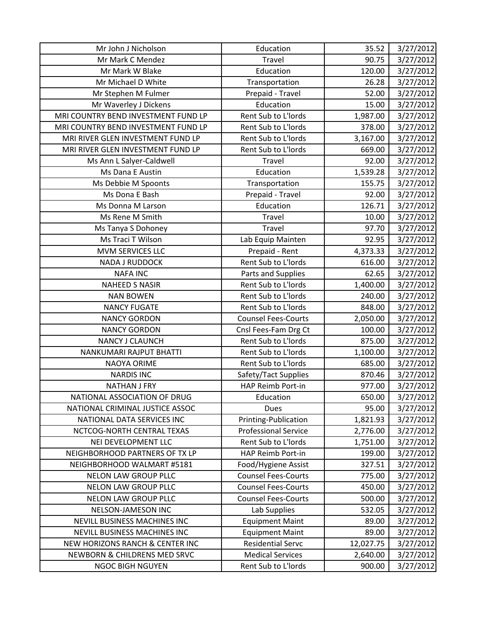| Mr John J Nicholson                 | Education                   | 35.52     | 3/27/2012 |
|-------------------------------------|-----------------------------|-----------|-----------|
| Mr Mark C Mendez                    | Travel                      | 90.75     | 3/27/2012 |
| Mr Mark W Blake                     | Education                   | 120.00    | 3/27/2012 |
| Mr Michael D White                  | Transportation              | 26.28     | 3/27/2012 |
| Mr Stephen M Fulmer                 | Prepaid - Travel            | 52.00     | 3/27/2012 |
| Mr Waverley J Dickens               | Education                   | 15.00     | 3/27/2012 |
| MRI COUNTRY BEND INVESTMENT FUND LP | Rent Sub to L'Iords         | 1,987.00  | 3/27/2012 |
| MRI COUNTRY BEND INVESTMENT FUND LP | Rent Sub to L'Iords         | 378.00    | 3/27/2012 |
| MRI RIVER GLEN INVESTMENT FUND LP   | Rent Sub to L'Iords         | 3,167.00  | 3/27/2012 |
| MRI RIVER GLEN INVESTMENT FUND LP   | Rent Sub to L'Iords         | 669.00    | 3/27/2012 |
| Ms Ann L Salyer-Caldwell            | Travel                      | 92.00     | 3/27/2012 |
| Ms Dana E Austin                    | Education                   | 1,539.28  | 3/27/2012 |
| Ms Debbie M Spoonts                 | Transportation              | 155.75    | 3/27/2012 |
| Ms Dona E Bash                      | Prepaid - Travel            | 92.00     | 3/27/2012 |
| Ms Donna M Larson                   | Education                   | 126.71    | 3/27/2012 |
| Ms Rene M Smith                     | Travel                      | 10.00     | 3/27/2012 |
| Ms Tanya S Dohoney                  | <b>Travel</b>               | 97.70     | 3/27/2012 |
| Ms Traci T Wilson                   | Lab Equip Mainten           | 92.95     | 3/27/2012 |
| <b>MVM SERVICES LLC</b>             | Prepaid - Rent              | 4,373.33  | 3/27/2012 |
| <b>NADA J RUDDOCK</b>               | Rent Sub to L'Iords         | 616.00    | 3/27/2012 |
| <b>NAFA INC</b>                     | Parts and Supplies          | 62.65     | 3/27/2012 |
| <b>NAHEED S NASIR</b>               | Rent Sub to L'Iords         | 1,400.00  | 3/27/2012 |
| <b>NAN BOWEN</b>                    | Rent Sub to L'Iords         | 240.00    | 3/27/2012 |
| <b>NANCY FUGATE</b>                 | Rent Sub to L'Iords         | 848.00    | 3/27/2012 |
| <b>NANCY GORDON</b>                 | <b>Counsel Fees-Courts</b>  | 2,050.00  | 3/27/2012 |
| <b>NANCY GORDON</b>                 | Cnsl Fees-Fam Drg Ct        | 100.00    | 3/27/2012 |
| <b>NANCY J CLAUNCH</b>              | Rent Sub to L'Iords         | 875.00    | 3/27/2012 |
| NANKUMARI RAJPUT BHATTI             | Rent Sub to L'Iords         | 1,100.00  | 3/27/2012 |
| <b>NAOYA ORIME</b>                  | Rent Sub to L'Iords         | 685.00    | 3/27/2012 |
| <b>NARDIS INC</b>                   | Safety/Tact Supplies        | 870.46    | 3/27/2012 |
| <b>NATHAN J FRY</b>                 | HAP Reimb Port-in           | 977.00    | 3/27/2012 |
| NATIONAL ASSOCIATION OF DRUG        | Education                   | 650.00    | 3/27/2012 |
| NATIONAL CRIMINAL JUSTICE ASSOC     | Dues                        | 95.00     | 3/27/2012 |
| NATIONAL DATA SERVICES INC          | Printing-Publication        | 1,821.93  | 3/27/2012 |
| NCTCOG-NORTH CENTRAL TEXAS          | <b>Professional Service</b> | 2,776.00  | 3/27/2012 |
| NEI DEVELOPMENT LLC                 | Rent Sub to L'Iords         | 1,751.00  | 3/27/2012 |
| NEIGHBORHOOD PARTNERS OF TX LP      | HAP Reimb Port-in           | 199.00    | 3/27/2012 |
| NEIGHBORHOOD WALMART #5181          | Food/Hygiene Assist         | 327.51    | 3/27/2012 |
| <b>NELON LAW GROUP PLLC</b>         | <b>Counsel Fees-Courts</b>  | 775.00    | 3/27/2012 |
| <b>NELON LAW GROUP PLLC</b>         | <b>Counsel Fees-Courts</b>  | 450.00    | 3/27/2012 |
| <b>NELON LAW GROUP PLLC</b>         | <b>Counsel Fees-Courts</b>  | 500.00    | 3/27/2012 |
| NELSON-JAMESON INC                  | Lab Supplies                | 532.05    | 3/27/2012 |
| NEVILL BUSINESS MACHINES INC        | <b>Equipment Maint</b>      | 89.00     | 3/27/2012 |
| NEVILL BUSINESS MACHINES INC        | <b>Equipment Maint</b>      | 89.00     | 3/27/2012 |
| NEW HORIZONS RANCH & CENTER INC     | <b>Residential Servc</b>    | 12,027.75 | 3/27/2012 |
| NEWBORN & CHILDRENS MED SRVC        | <b>Medical Services</b>     | 2,640.00  | 3/27/2012 |
| <b>NGOC BIGH NGUYEN</b>             | Rent Sub to L'Iords         | 900.00    | 3/27/2012 |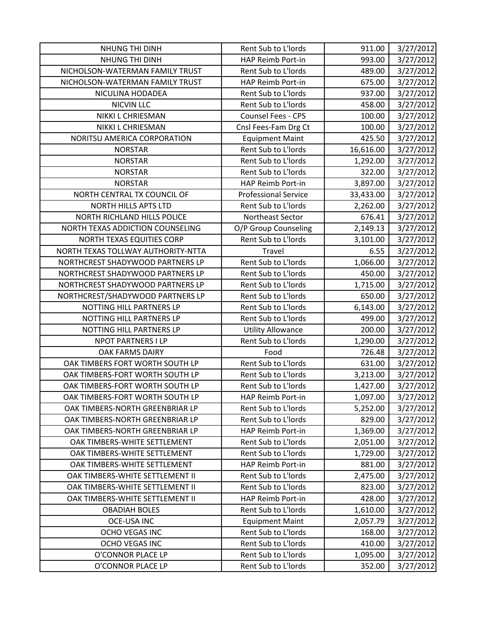| NHUNG THI DINH                     | Rent Sub to L'Iords         | 911.00    | 3/27/2012 |
|------------------------------------|-----------------------------|-----------|-----------|
| NHUNG THI DINH                     | HAP Reimb Port-in           | 993.00    | 3/27/2012 |
| NICHOLSON-WATERMAN FAMILY TRUST    | Rent Sub to L'Iords         | 489.00    | 3/27/2012 |
| NICHOLSON-WATERMAN FAMILY TRUST    | HAP Reimb Port-in           | 675.00    | 3/27/2012 |
| NICULINA HODADEA                   | Rent Sub to L'Iords         | 937.00    | 3/27/2012 |
| <b>NICVIN LLC</b>                  | Rent Sub to L'Iords         | 458.00    | 3/27/2012 |
| NIKKI L CHRIESMAN                  | Counsel Fees - CPS          | 100.00    | 3/27/2012 |
| NIKKI L CHRIESMAN                  | Cnsl Fees-Fam Drg Ct        | 100.00    | 3/27/2012 |
| NORITSU AMERICA CORPORATION        | <b>Equipment Maint</b>      | 425.50    | 3/27/2012 |
| <b>NORSTAR</b>                     | Rent Sub to L'Iords         | 16,616.00 | 3/27/2012 |
| <b>NORSTAR</b>                     | Rent Sub to L'Iords         | 1,292.00  | 3/27/2012 |
| <b>NORSTAR</b>                     | Rent Sub to L'Iords         | 322.00    | 3/27/2012 |
| <b>NORSTAR</b>                     | HAP Reimb Port-in           | 3,897.00  | 3/27/2012 |
| NORTH CENTRAL TX COUNCIL OF        | <b>Professional Service</b> | 33,433.00 | 3/27/2012 |
| <b>NORTH HILLS APTS LTD</b>        | Rent Sub to L'Iords         | 2,262.00  | 3/27/2012 |
| NORTH RICHLAND HILLS POLICE        | Northeast Sector            | 676.41    | 3/27/2012 |
| NORTH TEXAS ADDICTION COUNSELING   | O/P Group Counseling        | 2,149.13  | 3/27/2012 |
| NORTH TEXAS EQUITIES CORP          | Rent Sub to L'Iords         | 3,101.00  | 3/27/2012 |
| NORTH TEXAS TOLLWAY AUTHORITY-NTTA | Travel                      | 6.55      | 3/27/2012 |
| NORTHCREST SHADYWOOD PARTNERS LP   | Rent Sub to L'Iords         | 1,066.00  | 3/27/2012 |
| NORTHCREST SHADYWOOD PARTNERS LP   | Rent Sub to L'Iords         | 450.00    | 3/27/2012 |
| NORTHCREST SHADYWOOD PARTNERS LP   | Rent Sub to L'Iords         | 1,715.00  | 3/27/2012 |
| NORTHCREST/SHADYWOOD PARTNERS LP   | Rent Sub to L'Iords         | 650.00    | 3/27/2012 |
| NOTTING HILL PARTNERS LP           | Rent Sub to L'Iords         | 6,143.00  | 3/27/2012 |
| NOTTING HILL PARTNERS LP           | Rent Sub to L'Iords         | 499.00    | 3/27/2012 |
| NOTTING HILL PARTNERS LP           | <b>Utility Allowance</b>    | 200.00    | 3/27/2012 |
| NPOT PARTNERS I LP                 | Rent Sub to L'Iords         | 1,290.00  | 3/27/2012 |
| OAK FARMS DAIRY                    | Food                        | 726.48    | 3/27/2012 |
| OAK TIMBERS FORT WORTH SOUTH LP    | Rent Sub to L'Iords         | 631.00    | 3/27/2012 |
| OAK TIMBERS-FORT WORTH SOUTH LP    | Rent Sub to L'Iords         | 3,213.00  | 3/27/2012 |
| OAK TIMBERS-FORT WORTH SOUTH LP    | Rent Sub to L'Iords         | 1,427.00  | 3/27/2012 |
| OAK TIMBERS-FORT WORTH SOUTH LP    | HAP Reimb Port-in           | 1,097.00  | 3/27/2012 |
| OAK TIMBERS-NORTH GREENBRIAR LP    | Rent Sub to L'Iords         | 5,252.00  | 3/27/2012 |
| OAK TIMBERS-NORTH GREENBRIAR LP    | Rent Sub to L'Iords         | 829.00    | 3/27/2012 |
| OAK TIMBERS-NORTH GREENBRIAR LP    | HAP Reimb Port-in           | 1,369.00  | 3/27/2012 |
| OAK TIMBERS-WHITE SETTLEMENT       | Rent Sub to L'Iords         | 2,051.00  | 3/27/2012 |
| OAK TIMBERS-WHITE SETTLEMENT       | Rent Sub to L'Iords         | 1,729.00  | 3/27/2012 |
| OAK TIMBERS-WHITE SETTLEMENT       | HAP Reimb Port-in           | 881.00    | 3/27/2012 |
| OAK TIMBERS-WHITE SETTLEMENT II    | Rent Sub to L'Iords         | 2,475.00  | 3/27/2012 |
| OAK TIMBERS-WHITE SETTLEMENT II    | Rent Sub to L'Iords         | 823.00    | 3/27/2012 |
| OAK TIMBERS-WHITE SETTLEMENT II    | HAP Reimb Port-in           | 428.00    | 3/27/2012 |
| <b>OBADIAH BOLES</b>               | Rent Sub to L'Iords         | 1,610.00  | 3/27/2012 |
| <b>OCE-USA INC</b>                 | <b>Equipment Maint</b>      | 2,057.79  | 3/27/2012 |
| OCHO VEGAS INC                     | Rent Sub to L'Iords         | 168.00    | 3/27/2012 |
| OCHO VEGAS INC                     | Rent Sub to L'Iords         | 410.00    | 3/27/2012 |
| O'CONNOR PLACE LP                  | Rent Sub to L'Iords         | 1,095.00  | 3/27/2012 |
| O'CONNOR PLACE LP                  | Rent Sub to L'Iords         | 352.00    | 3/27/2012 |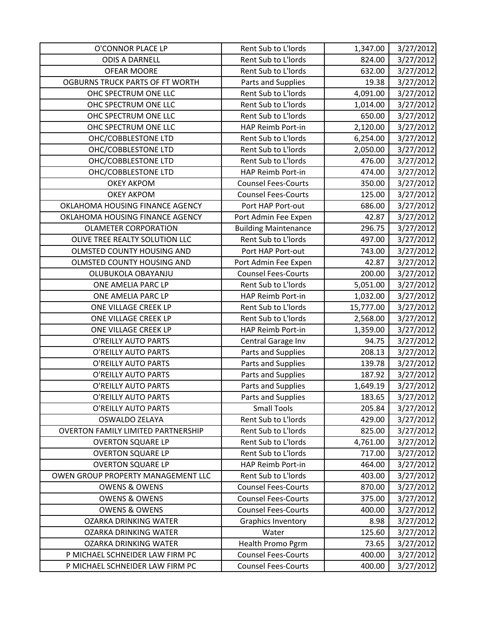| O'CONNOR PLACE LP                         | Rent Sub to L'Iords         | 1,347.00  | 3/27/2012 |
|-------------------------------------------|-----------------------------|-----------|-----------|
| <b>ODIS A DARNELL</b>                     | Rent Sub to L'Iords         | 824.00    | 3/27/2012 |
| <b>OFEAR MOORE</b>                        | Rent Sub to L'Iords         | 632.00    | 3/27/2012 |
| OGBURNS TRUCK PARTS OF FT WORTH           | Parts and Supplies          | 19.38     | 3/27/2012 |
| OHC SPECTRUM ONE LLC                      | Rent Sub to L'Iords         | 4,091.00  | 3/27/2012 |
| OHC SPECTRUM ONE LLC                      | Rent Sub to L'Iords         | 1,014.00  | 3/27/2012 |
| OHC SPECTRUM ONE LLC                      | Rent Sub to L'Iords         | 650.00    | 3/27/2012 |
| OHC SPECTRUM ONE LLC                      | HAP Reimb Port-in           | 2,120.00  | 3/27/2012 |
| OHC/COBBLESTONE LTD                       | Rent Sub to L'Iords         | 6,254.00  | 3/27/2012 |
| OHC/COBBLESTONE LTD                       | Rent Sub to L'Iords         | 2,050.00  | 3/27/2012 |
| OHC/COBBLESTONE LTD                       | Rent Sub to L'Iords         | 476.00    | 3/27/2012 |
| OHC/COBBLESTONE LTD                       | HAP Reimb Port-in           | 474.00    | 3/27/2012 |
| <b>OKEY AKPOM</b>                         | <b>Counsel Fees-Courts</b>  | 350.00    | 3/27/2012 |
| <b>OKEY AKPOM</b>                         | <b>Counsel Fees-Courts</b>  | 125.00    | 3/27/2012 |
| OKLAHOMA HOUSING FINANCE AGENCY           | Port HAP Port-out           | 686.00    | 3/27/2012 |
| OKLAHOMA HOUSING FINANCE AGENCY           | Port Admin Fee Expen        | 42.87     | 3/27/2012 |
| <b>OLAMETER CORPORATION</b>               | <b>Building Maintenance</b> | 296.75    | 3/27/2012 |
| OLIVE TREE REALTY SOLUTION LLC            | Rent Sub to L'Iords         | 497.00    | 3/27/2012 |
| OLMSTED COUNTY HOUSING AND                | Port HAP Port-out           | 743.00    | 3/27/2012 |
| OLMSTED COUNTY HOUSING AND                | Port Admin Fee Expen        | 42.87     | 3/27/2012 |
| OLUBUKOLA OBAYANJU                        | <b>Counsel Fees-Courts</b>  | 200.00    | 3/27/2012 |
| ONE AMELIA PARC LP                        | Rent Sub to L'Iords         | 5,051.00  | 3/27/2012 |
| ONE AMELIA PARC LP                        | HAP Reimb Port-in           | 1,032.00  | 3/27/2012 |
| ONE VILLAGE CREEK LP                      | Rent Sub to L'Iords         | 15,777.00 | 3/27/2012 |
| ONE VILLAGE CREEK LP                      | Rent Sub to L'Iords         | 2,568.00  | 3/27/2012 |
| ONE VILLAGE CREEK LP                      | HAP Reimb Port-in           | 1,359.00  | 3/27/2012 |
| O'REILLY AUTO PARTS                       | Central Garage Inv          | 94.75     | 3/27/2012 |
| O'REILLY AUTO PARTS                       | Parts and Supplies          | 208.13    | 3/27/2012 |
| O'REILLY AUTO PARTS                       | Parts and Supplies          | 139.78    | 3/27/2012 |
| <b>O'REILLY AUTO PARTS</b>                | Parts and Supplies          | 187.92    | 3/27/2012 |
| O'REILLY AUTO PARTS                       | Parts and Supplies          | 1,649.19  | 3/27/2012 |
| O'REILLY AUTO PARTS                       | Parts and Supplies          | 183.65    | 3/27/2012 |
| O'REILLY AUTO PARTS                       | <b>Small Tools</b>          | 205.84    | 3/27/2012 |
| <b>OSWALDO ZELAYA</b>                     | Rent Sub to L'Iords         | 429.00    | 3/27/2012 |
| <b>OVERTON FAMILY LIMITED PARTNERSHIP</b> | Rent Sub to L'Iords         | 825.00    | 3/27/2012 |
| <b>OVERTON SQUARE LP</b>                  | Rent Sub to L'Iords         | 4,761.00  | 3/27/2012 |
| <b>OVERTON SQUARE LP</b>                  | Rent Sub to L'Iords         | 717.00    | 3/27/2012 |
| <b>OVERTON SQUARE LP</b>                  | HAP Reimb Port-in           | 464.00    | 3/27/2012 |
| OWEN GROUP PROPERTY MANAGEMENT LLC        | Rent Sub to L'Iords         | 403.00    | 3/27/2012 |
| <b>OWENS &amp; OWENS</b>                  | <b>Counsel Fees-Courts</b>  | 870.00    | 3/27/2012 |
| <b>OWENS &amp; OWENS</b>                  | <b>Counsel Fees-Courts</b>  | 375.00    | 3/27/2012 |
| <b>OWENS &amp; OWENS</b>                  | <b>Counsel Fees-Courts</b>  | 400.00    | 3/27/2012 |
| <b>OZARKA DRINKING WATER</b>              | Graphics Inventory          | 8.98      | 3/27/2012 |
| <b>OZARKA DRINKING WATER</b>              | Water                       | 125.60    | 3/27/2012 |
| <b>OZARKA DRINKING WATER</b>              | Health Promo Pgrm           | 73.65     | 3/27/2012 |
| P MICHAEL SCHNEIDER LAW FIRM PC           | <b>Counsel Fees-Courts</b>  | 400.00    | 3/27/2012 |
| P MICHAEL SCHNEIDER LAW FIRM PC           | <b>Counsel Fees-Courts</b>  | 400.00    | 3/27/2012 |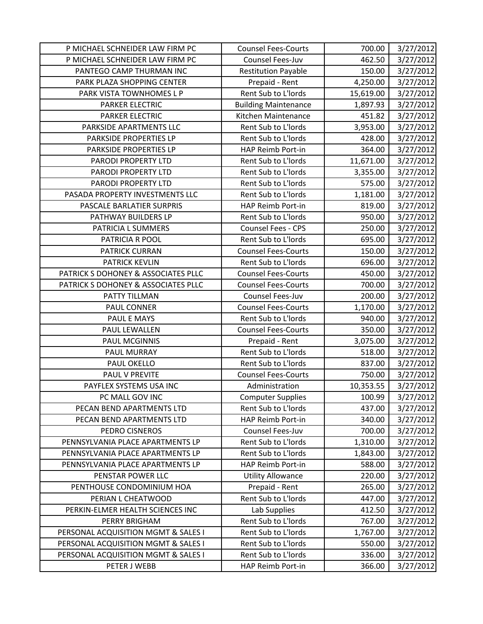| P MICHAEL SCHNEIDER LAW FIRM PC                                      | <b>Counsel Fees-Courts</b>               | 700.00           | 3/27/2012              |
|----------------------------------------------------------------------|------------------------------------------|------------------|------------------------|
| P MICHAEL SCHNEIDER LAW FIRM PC                                      | Counsel Fees-Juv                         | 462.50           | 3/27/2012              |
| PANTEGO CAMP THURMAN INC                                             | <b>Restitution Payable</b>               | 150.00           | 3/27/2012              |
| PARK PLAZA SHOPPING CENTER                                           | Prepaid - Rent                           | 4,250.00         | 3/27/2012              |
| PARK VISTA TOWNHOMES L P                                             | Rent Sub to L'Iords                      | 15,619.00        | 3/27/2012              |
| PARKER ELECTRIC                                                      | <b>Building Maintenance</b>              | 1,897.93         | 3/27/2012              |
| PARKER ELECTRIC                                                      | Kitchen Maintenance                      | 451.82           | 3/27/2012              |
| PARKSIDE APARTMENTS LLC                                              | Rent Sub to L'Iords                      | 3,953.00         | 3/27/2012              |
| PARKSIDE PROPERTIES LP                                               | Rent Sub to L'Iords                      | 428.00           | 3/27/2012              |
| PARKSIDE PROPERTIES LP                                               | HAP Reimb Port-in                        | 364.00           | 3/27/2012              |
| PARODI PROPERTY LTD                                                  | Rent Sub to L'Iords                      | 11,671.00        | 3/27/2012              |
| PARODI PROPERTY LTD                                                  | Rent Sub to L'Iords                      | 3,355.00         | 3/27/2012              |
| PARODI PROPERTY LTD                                                  | Rent Sub to L'Iords                      | 575.00           | 3/27/2012              |
| PASADA PROPERTY INVESTMENTS LLC                                      | Rent Sub to L'Iords                      | 1,181.00         | 3/27/2012              |
| PASCALE BARLATIER SURPRIS                                            | HAP Reimb Port-in                        | 819.00           | 3/27/2012              |
| PATHWAY BUILDERS LP                                                  | Rent Sub to L'Iords                      | 950.00           | 3/27/2012              |
| PATRICIA L SUMMERS                                                   | <b>Counsel Fees - CPS</b>                | 250.00           | 3/27/2012              |
| PATRICIA R POOL                                                      | Rent Sub to L'Iords                      | 695.00           | 3/27/2012              |
| <b>PATRICK CURRAN</b>                                                | <b>Counsel Fees-Courts</b>               | 150.00           | 3/27/2012              |
| <b>PATRICK KEVLIN</b>                                                | Rent Sub to L'Iords                      | 696.00           | 3/27/2012              |
| PATRICK S DOHONEY & ASSOCIATES PLLC                                  | <b>Counsel Fees-Courts</b>               | 450.00           | 3/27/2012              |
| PATRICK S DOHONEY & ASSOCIATES PLLC                                  | <b>Counsel Fees-Courts</b>               | 700.00           | 3/27/2012              |
| PATTY TILLMAN                                                        | Counsel Fees-Juv                         | 200.00           | 3/27/2012              |
| PAUL CONNER                                                          | <b>Counsel Fees-Courts</b>               | 1,170.00         | 3/27/2012              |
| PAUL E MAYS                                                          | Rent Sub to L'Iords                      | 940.00           | 3/27/2012              |
| PAUL LEWALLEN                                                        | <b>Counsel Fees-Courts</b>               | 350.00           | 3/27/2012              |
| <b>PAUL MCGINNIS</b>                                                 | Prepaid - Rent                           | 3,075.00         | 3/27/2012              |
| PAUL MURRAY                                                          | Rent Sub to L'Iords                      | 518.00           | 3/27/2012              |
| <b>PAUL OKELLO</b>                                                   | Rent Sub to L'Iords                      | 837.00           | 3/27/2012              |
| PAUL V PREVITE                                                       | <b>Counsel Fees-Courts</b>               | 750.00           | 3/27/2012              |
| PAYFLEX SYSTEMS USA INC                                              | Administration                           | 10,353.55        | 3/27/2012              |
| PC MALL GOV INC                                                      | <b>Computer Supplies</b>                 | 100.99           | 3/27/2012              |
| PECAN BEND APARTMENTS LTD                                            | Rent Sub to L'Iords                      | 437.00           | 3/27/2012              |
| PECAN BEND APARTMENTS LTD                                            | HAP Reimb Port-in                        | 340.00           | 3/27/2012              |
| PEDRO CISNEROS                                                       | Counsel Fees-Juv                         | 700.00           | 3/27/2012              |
| PENNSYLVANIA PLACE APARTMENTS LP<br>PENNSYLVANIA PLACE APARTMENTS LP | Rent Sub to L'Iords                      | 1,310.00         | 3/27/2012              |
|                                                                      | Rent Sub to L'Iords<br>HAP Reimb Port-in | 1,843.00         | 3/27/2012              |
| PENNSYLVANIA PLACE APARTMENTS LP<br>PENSTAR POWER LLC                |                                          | 588.00<br>220.00 | 3/27/2012              |
|                                                                      | <b>Utility Allowance</b>                 | 265.00           | 3/27/2012              |
| PENTHOUSE CONDOMINIUM HOA<br>PERIAN L CHEATWOOD                      | Prepaid - Rent<br>Rent Sub to L'Iords    |                  | 3/27/2012              |
| PERKIN-ELMER HEALTH SCIENCES INC                                     | Lab Supplies                             | 447.00           | 3/27/2012<br>3/27/2012 |
| PERRY BRIGHAM                                                        | Rent Sub to L'Iords                      | 412.50<br>767.00 | 3/27/2012              |
| PERSONAL ACQUISITION MGMT & SALES I                                  | Rent Sub to L'Iords                      | 1,767.00         |                        |
| PERSONAL ACQUISITION MGMT & SALES I                                  | Rent Sub to L'Iords                      | 550.00           | 3/27/2012              |
| PERSONAL ACQUISITION MGMT & SALES I                                  | Rent Sub to L'Iords                      | 336.00           | 3/27/2012<br>3/27/2012 |
|                                                                      |                                          |                  |                        |
| PETER J WEBB                                                         | HAP Reimb Port-in                        | 366.00           | 3/27/2012              |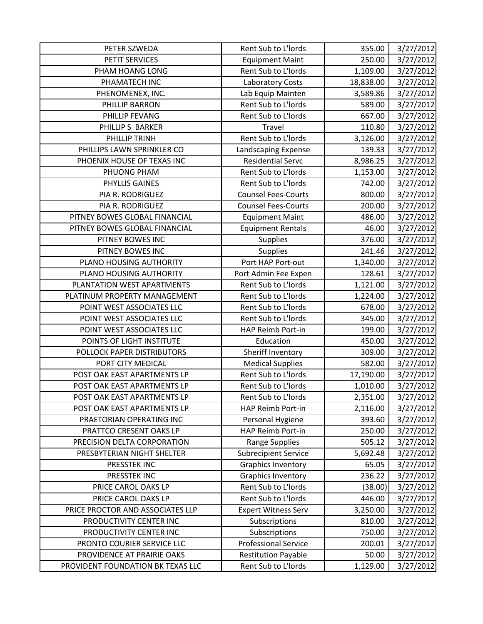| PETER SZWEDA                      | Rent Sub to L'Iords         | 355.00    | 3/27/2012 |
|-----------------------------------|-----------------------------|-----------|-----------|
| PETIT SERVICES                    | <b>Equipment Maint</b>      | 250.00    | 3/27/2012 |
| PHAM HOANG LONG                   | Rent Sub to L'Iords         | 1,109.00  | 3/27/2012 |
| PHAMATECH INC                     | Laboratory Costs            | 18,838.00 | 3/27/2012 |
| PHENOMENEX, INC.                  | Lab Equip Mainten           | 3,589.86  | 3/27/2012 |
| PHILLIP BARRON                    | Rent Sub to L'Iords         | 589.00    | 3/27/2012 |
| PHILLIP FEVANG                    | Rent Sub to L'Iords         | 667.00    | 3/27/2012 |
| PHILLIP S BARKER                  | Travel                      | 110.80    | 3/27/2012 |
| PHILLIP TRINH                     | Rent Sub to L'Iords         | 3,126.00  | 3/27/2012 |
| PHILLIPS LAWN SPRINKLER CO        | Landscaping Expense         | 139.33    | 3/27/2012 |
| PHOENIX HOUSE OF TEXAS INC        | <b>Residential Servc</b>    | 8,986.25  | 3/27/2012 |
| PHUONG PHAM                       | Rent Sub to L'Iords         | 1,153.00  | 3/27/2012 |
| PHYLLIS GAINES                    | Rent Sub to L'Iords         | 742.00    | 3/27/2012 |
| PIA R. RODRIGUEZ                  | <b>Counsel Fees-Courts</b>  | 800.00    | 3/27/2012 |
| PIA R. RODRIGUEZ                  | <b>Counsel Fees-Courts</b>  | 200.00    | 3/27/2012 |
| PITNEY BOWES GLOBAL FINANCIAL     | <b>Equipment Maint</b>      | 486.00    | 3/27/2012 |
| PITNEY BOWES GLOBAL FINANCIAL     | <b>Equipment Rentals</b>    | 46.00     | 3/27/2012 |
| PITNEY BOWES INC                  | <b>Supplies</b>             | 376.00    | 3/27/2012 |
| PITNEY BOWES INC                  | <b>Supplies</b>             | 241.46    | 3/27/2012 |
| PLANO HOUSING AUTHORITY           | Port HAP Port-out           | 1,340.00  | 3/27/2012 |
| PLANO HOUSING AUTHORITY           | Port Admin Fee Expen        | 128.61    | 3/27/2012 |
| PLANTATION WEST APARTMENTS        | Rent Sub to L'Iords         | 1,121.00  | 3/27/2012 |
| PLATINUM PROPERTY MANAGEMENT      | Rent Sub to L'Iords         | 1,224.00  | 3/27/2012 |
| POINT WEST ASSOCIATES LLC         | Rent Sub to L'Iords         | 678.00    | 3/27/2012 |
| POINT WEST ASSOCIATES LLC         | Rent Sub to L'Iords         | 345.00    | 3/27/2012 |
| POINT WEST ASSOCIATES LLC         | HAP Reimb Port-in           | 199.00    | 3/27/2012 |
| POINTS OF LIGHT INSTITUTE         | Education                   | 450.00    | 3/27/2012 |
| POLLOCK PAPER DISTRIBUTORS        | Sheriff Inventory           | 309.00    | 3/27/2012 |
| PORT CITY MEDICAL                 | <b>Medical Supplies</b>     | 582.00    | 3/27/2012 |
| POST OAK EAST APARTMENTS LP       | Rent Sub to L'Iords         | 17,190.00 | 3/27/2012 |
| POST OAK EAST APARTMENTS LP       | Rent Sub to L'Iords         | 1,010.00  | 3/27/2012 |
| POST OAK EAST APARTMENTS LP       | Rent Sub to L'Iords         | 2,351.00  | 3/27/2012 |
| POST OAK EAST APARTMENTS LP       | HAP Reimb Port-in           | 2,116.00  | 3/27/2012 |
| PRAETORIAN OPERATING INC          | Personal Hygiene            | 393.60    | 3/27/2012 |
| PRATTCO CRESENT OAKS LP           | HAP Reimb Port-in           | 250.00    | 3/27/2012 |
| PRECISION DELTA CORPORATION       | Range Supplies              | 505.12    | 3/27/2012 |
| PRESBYTERIAN NIGHT SHELTER        | <b>Subrecipient Service</b> | 5,692.48  | 3/27/2012 |
| PRESSTEK INC                      | Graphics Inventory          | 65.05     | 3/27/2012 |
| PRESSTEK INC                      | <b>Graphics Inventory</b>   | 236.22    | 3/27/2012 |
| PRICE CAROL OAKS LP               | Rent Sub to L'Iords         | (38.00)   | 3/27/2012 |
| PRICE CAROL OAKS LP               | Rent Sub to L'Iords         | 446.00    | 3/27/2012 |
| PRICE PROCTOR AND ASSOCIATES LLP  | <b>Expert Witness Serv</b>  | 3,250.00  | 3/27/2012 |
| PRODUCTIVITY CENTER INC           | Subscriptions               | 810.00    | 3/27/2012 |
| PRODUCTIVITY CENTER INC           | Subscriptions               | 750.00    | 3/27/2012 |
| PRONTO COURIER SERVICE LLC        | <b>Professional Service</b> | 200.01    | 3/27/2012 |
| PROVIDENCE AT PRAIRIE OAKS        | <b>Restitution Payable</b>  | 50.00     | 3/27/2012 |
| PROVIDENT FOUNDATION BK TEXAS LLC | Rent Sub to L'Iords         | 1,129.00  | 3/27/2012 |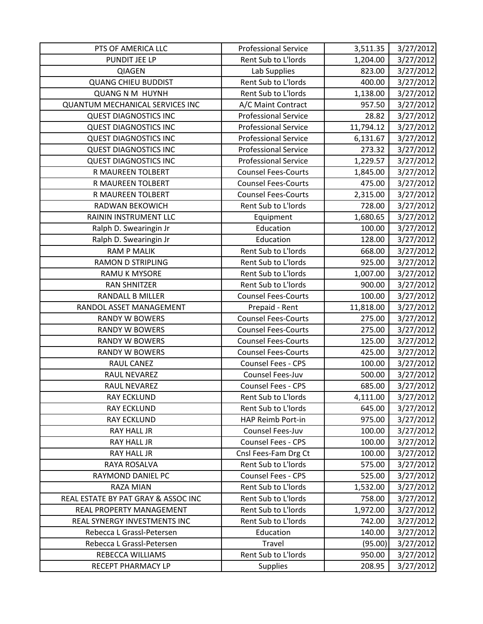| PTS OF AMERICA LLC                     | <b>Professional Service</b> | 3,511.35  | 3/27/2012 |
|----------------------------------------|-----------------------------|-----------|-----------|
| PUNDIT JEE LP                          | Rent Sub to L'Iords         | 1,204.00  | 3/27/2012 |
| QIAGEN                                 | Lab Supplies                | 823.00    | 3/27/2012 |
| <b>QUANG CHIEU BUDDIST</b>             | Rent Sub to L'Iords         | 400.00    | 3/27/2012 |
| <b>QUANG N M HUYNH</b>                 | Rent Sub to L'Iords         | 1,138.00  | 3/27/2012 |
| <b>QUANTUM MECHANICAL SERVICES INC</b> | A/C Maint Contract          | 957.50    | 3/27/2012 |
| <b>QUEST DIAGNOSTICS INC</b>           | <b>Professional Service</b> | 28.82     | 3/27/2012 |
| <b>QUEST DIAGNOSTICS INC</b>           | <b>Professional Service</b> | 11,794.12 | 3/27/2012 |
| <b>QUEST DIAGNOSTICS INC</b>           | <b>Professional Service</b> | 6,131.67  | 3/27/2012 |
| <b>QUEST DIAGNOSTICS INC</b>           | <b>Professional Service</b> | 273.32    | 3/27/2012 |
| <b>QUEST DIAGNOSTICS INC</b>           | <b>Professional Service</b> | 1,229.57  | 3/27/2012 |
| R MAUREEN TOLBERT                      | <b>Counsel Fees-Courts</b>  | 1,845.00  | 3/27/2012 |
| R MAUREEN TOLBERT                      | <b>Counsel Fees-Courts</b>  | 475.00    | 3/27/2012 |
| R MAUREEN TOLBERT                      | <b>Counsel Fees-Courts</b>  | 2,315.00  | 3/27/2012 |
| RADWAN BEKOWICH                        | Rent Sub to L'Iords         | 728.00    | 3/27/2012 |
| RAININ INSTRUMENT LLC                  | Equipment                   | 1,680.65  | 3/27/2012 |
| Ralph D. Swearingin Jr                 | Education                   | 100.00    | 3/27/2012 |
| Ralph D. Swearingin Jr                 | Education                   | 128.00    | 3/27/2012 |
| <b>RAM P MALIK</b>                     | Rent Sub to L'Iords         | 668.00    | 3/27/2012 |
| <b>RAMON D STRIPLING</b>               | Rent Sub to L'Iords         | 925.00    | 3/27/2012 |
| <b>RAMU K MYSORE</b>                   | Rent Sub to L'Iords         | 1,007.00  | 3/27/2012 |
| <b>RAN SHNITZER</b>                    | Rent Sub to L'Iords         | 900.00    | 3/27/2012 |
| RANDALL B MILLER                       | <b>Counsel Fees-Courts</b>  | 100.00    | 3/27/2012 |
| RANDOL ASSET MANAGEMENT                | Prepaid - Rent              | 11,818.00 | 3/27/2012 |
| <b>RANDY W BOWERS</b>                  | <b>Counsel Fees-Courts</b>  | 275.00    | 3/27/2012 |
| <b>RANDY W BOWERS</b>                  | <b>Counsel Fees-Courts</b>  | 275.00    | 3/27/2012 |
| <b>RANDY W BOWERS</b>                  | <b>Counsel Fees-Courts</b>  | 125.00    | 3/27/2012 |
| <b>RANDY W BOWERS</b>                  | <b>Counsel Fees-Courts</b>  | 425.00    | 3/27/2012 |
| <b>RAUL CANEZ</b>                      | <b>Counsel Fees - CPS</b>   | 100.00    | 3/27/2012 |
| RAUL NEVAREZ                           | Counsel Fees-Juv            | 500.00    | 3/27/2012 |
| <b>RAUL NEVAREZ</b>                    | Counsel Fees - CPS          | 685.00    | 3/27/2012 |
| <b>RAY ECKLUND</b>                     | Rent Sub to L'Iords         | 4,111.00  | 3/27/2012 |
| <b>RAY ECKLUND</b>                     | Rent Sub to L'Iords         | 645.00    | 3/27/2012 |
| <b>RAY ECKLUND</b>                     | HAP Reimb Port-in           | 975.00    | 3/27/2012 |
| <b>RAY HALL JR</b>                     | Counsel Fees-Juv            | 100.00    | 3/27/2012 |
| <b>RAY HALL JR</b>                     | Counsel Fees - CPS          | 100.00    | 3/27/2012 |
| RAY HALL JR                            | Cnsl Fees-Fam Drg Ct        | 100.00    | 3/27/2012 |
| RAYA ROSALVA                           | Rent Sub to L'Iords         | 575.00    | 3/27/2012 |
| RAYMOND DANIEL PC                      | <b>Counsel Fees - CPS</b>   | 525.00    | 3/27/2012 |
| <b>RAZA MIAN</b>                       | Rent Sub to L'Iords         | 1,532.00  | 3/27/2012 |
| REAL ESTATE BY PAT GRAY & ASSOC INC    | Rent Sub to L'Iords         | 758.00    | 3/27/2012 |
| REAL PROPERTY MANAGEMENT               | Rent Sub to L'Iords         | 1,972.00  | 3/27/2012 |
| REAL SYNERGY INVESTMENTS INC           | Rent Sub to L'Iords         | 742.00    | 3/27/2012 |
| Rebecca L Grassl-Petersen              | Education                   | 140.00    | 3/27/2012 |
| Rebecca L Grassl-Petersen              | Travel                      | (95.00)   | 3/27/2012 |
| REBECCA WILLIAMS                       | Rent Sub to L'Iords         | 950.00    | 3/27/2012 |
| RECEPT PHARMACY LP                     | <b>Supplies</b>             | 208.95    | 3/27/2012 |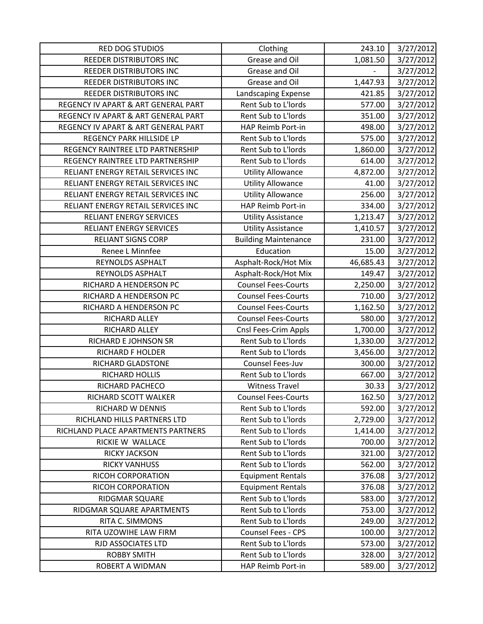| RED DOG STUDIOS                     | Clothing                    | 243.10    | 3/27/2012 |
|-------------------------------------|-----------------------------|-----------|-----------|
| REEDER DISTRIBUTORS INC             | Grease and Oil              | 1,081.50  | 3/27/2012 |
| REEDER DISTRIBUTORS INC             | Grease and Oil              |           | 3/27/2012 |
| REEDER DISTRIBUTORS INC             | Grease and Oil              | 1,447.93  | 3/27/2012 |
| REEDER DISTRIBUTORS INC             | Landscaping Expense         | 421.85    | 3/27/2012 |
| REGENCY IV APART & ART GENERAL PART | Rent Sub to L'Iords         | 577.00    | 3/27/2012 |
| REGENCY IV APART & ART GENERAL PART | Rent Sub to L'Iords         | 351.00    | 3/27/2012 |
| REGENCY IV APART & ART GENERAL PART | HAP Reimb Port-in           | 498.00    | 3/27/2012 |
| REGENCY PARK HILLSIDE LP            | Rent Sub to L'Iords         | 575.00    | 3/27/2012 |
| REGENCY RAINTREE LTD PARTNERSHIP    | Rent Sub to L'Iords         | 1,860.00  | 3/27/2012 |
| REGENCY RAINTREE LTD PARTNERSHIP    | Rent Sub to L'Iords         | 614.00    | 3/27/2012 |
| RELIANT ENERGY RETAIL SERVICES INC  | <b>Utility Allowance</b>    | 4,872.00  | 3/27/2012 |
| RELIANT ENERGY RETAIL SERVICES INC  | <b>Utility Allowance</b>    | 41.00     | 3/27/2012 |
| RELIANT ENERGY RETAIL SERVICES INC  | <b>Utility Allowance</b>    | 256.00    | 3/27/2012 |
| RELIANT ENERGY RETAIL SERVICES INC  | <b>HAP Reimb Port-in</b>    | 334.00    | 3/27/2012 |
| <b>RELIANT ENERGY SERVICES</b>      | <b>Utility Assistance</b>   | 1,213.47  | 3/27/2012 |
| <b>RELIANT ENERGY SERVICES</b>      | <b>Utility Assistance</b>   | 1,410.57  | 3/27/2012 |
| <b>RELIANT SIGNS CORP</b>           | <b>Building Maintenance</b> | 231.00    | 3/27/2012 |
| Renee L Minnfee                     | Education                   | 15.00     | 3/27/2012 |
| REYNOLDS ASPHALT                    | Asphalt-Rock/Hot Mix        | 46,685.43 | 3/27/2012 |
| REYNOLDS ASPHALT                    | Asphalt-Rock/Hot Mix        | 149.47    | 3/27/2012 |
| RICHARD A HENDERSON PC              | <b>Counsel Fees-Courts</b>  | 2,250.00  | 3/27/2012 |
| RICHARD A HENDERSON PC              | <b>Counsel Fees-Courts</b>  | 710.00    | 3/27/2012 |
| RICHARD A HENDERSON PC              | <b>Counsel Fees-Courts</b>  | 1,162.50  | 3/27/2012 |
| RICHARD ALLEY                       | <b>Counsel Fees-Courts</b>  | 580.00    | 3/27/2012 |
| RICHARD ALLEY                       | Cnsl Fees-Crim Appls        | 1,700.00  | 3/27/2012 |
| RICHARD E JOHNSON SR                | Rent Sub to L'Iords         | 1,330.00  | 3/27/2012 |
| RICHARD F HOLDER                    | Rent Sub to L'Iords         | 3,456.00  | 3/27/2012 |
| RICHARD GLADSTONE                   | Counsel Fees-Juv            | 300.00    | 3/27/2012 |
| RICHARD HOLLIS                      | Rent Sub to L'Iords         | 667.00    | 3/27/2012 |
| RICHARD PACHECO                     | <b>Witness Travel</b>       | 30.33     | 3/27/2012 |
| RICHARD SCOTT WALKER                | <b>Counsel Fees-Courts</b>  | 162.50    | 3/27/2012 |
| RICHARD W DENNIS                    | Rent Sub to L'Iords         | 592.00    | 3/27/2012 |
| RICHLAND HILLS PARTNERS LTD         | Rent Sub to L'Iords         | 2,729.00  | 3/27/2012 |
| RICHLAND PLACE APARTMENTS PARTNERS  | Rent Sub to L'Iords         | 1,414.00  | 3/27/2012 |
| RICKIE W WALLACE                    | Rent Sub to L'Iords         | 700.00    | 3/27/2012 |
| <b>RICKY JACKSON</b>                | Rent Sub to L'Iords         | 321.00    | 3/27/2012 |
| <b>RICKY VANHUSS</b>                | Rent Sub to L'Iords         | 562.00    | 3/27/2012 |
| RICOH CORPORATION                   | <b>Equipment Rentals</b>    | 376.08    | 3/27/2012 |
| RICOH CORPORATION                   | <b>Equipment Rentals</b>    | 376.08    | 3/27/2012 |
| RIDGMAR SQUARE                      | Rent Sub to L'Iords         | 583.00    | 3/27/2012 |
| RIDGMAR SQUARE APARTMENTS           | Rent Sub to L'Iords         | 753.00    | 3/27/2012 |
| RITA C. SIMMONS                     | Rent Sub to L'Iords         | 249.00    | 3/27/2012 |
| RITA UZOWIHE LAW FIRM               | <b>Counsel Fees - CPS</b>   | 100.00    | 3/27/2012 |
| RJD ASSOCIATES LTD                  | Rent Sub to L'Iords         | 573.00    | 3/27/2012 |
| <b>ROBBY SMITH</b>                  | Rent Sub to L'Iords         | 328.00    | 3/27/2012 |
| ROBERT A WIDMAN                     | HAP Reimb Port-in           | 589.00    | 3/27/2012 |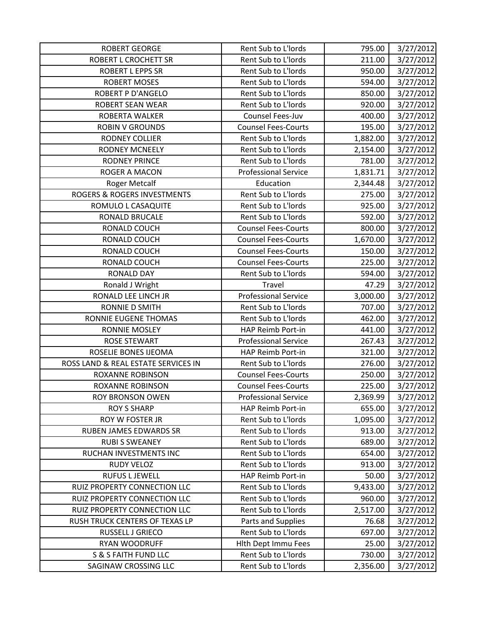| <b>ROBERT GEORGE</b>                | Rent Sub to L'Iords         | 795.00   | 3/27/2012 |
|-------------------------------------|-----------------------------|----------|-----------|
| <b>ROBERT L CROCHETT SR</b>         | Rent Sub to L'Iords         | 211.00   | 3/27/2012 |
| <b>ROBERT L EPPS SR</b>             | Rent Sub to L'Iords         | 950.00   | 3/27/2012 |
| <b>ROBERT MOSES</b>                 | Rent Sub to L'Iords         | 594.00   | 3/27/2012 |
| <b>ROBERT P D'ANGELO</b>            | Rent Sub to L'Iords         | 850.00   | 3/27/2012 |
| <b>ROBERT SEAN WEAR</b>             | Rent Sub to L'Iords         | 920.00   | 3/27/2012 |
| <b>ROBERTA WALKER</b>               | Counsel Fees-Juv            | 400.00   | 3/27/2012 |
| <b>ROBIN V GROUNDS</b>              | <b>Counsel Fees-Courts</b>  | 195.00   | 3/27/2012 |
| <b>RODNEY COLLIER</b>               | Rent Sub to L'Iords         | 1,882.00 | 3/27/2012 |
| <b>RODNEY MCNEELY</b>               | Rent Sub to L'Iords         | 2,154.00 | 3/27/2012 |
| <b>RODNEY PRINCE</b>                | Rent Sub to L'Iords         | 781.00   | 3/27/2012 |
| ROGER A MACON                       | <b>Professional Service</b> | 1,831.71 | 3/27/2012 |
| <b>Roger Metcalf</b>                | Education                   | 2,344.48 | 3/27/2012 |
| ROGERS & ROGERS INVESTMENTS         | Rent Sub to L'Iords         | 275.00   | 3/27/2012 |
| ROMULO L CASAQUITE                  | Rent Sub to L'Iords         | 925.00   | 3/27/2012 |
| RONALD BRUCALE                      | Rent Sub to L'Iords         | 592.00   | 3/27/2012 |
| RONALD COUCH                        | <b>Counsel Fees-Courts</b>  | 800.00   | 3/27/2012 |
| RONALD COUCH                        | <b>Counsel Fees-Courts</b>  | 1,670.00 | 3/27/2012 |
| RONALD COUCH                        | <b>Counsel Fees-Courts</b>  | 150.00   | 3/27/2012 |
| RONALD COUCH                        | <b>Counsel Fees-Courts</b>  | 225.00   | 3/27/2012 |
| <b>RONALD DAY</b>                   | Rent Sub to L'Iords         | 594.00   | 3/27/2012 |
| Ronald J Wright                     | Travel                      | 47.29    | 3/27/2012 |
| RONALD LEE LINCH JR                 | <b>Professional Service</b> | 3,000.00 | 3/27/2012 |
| RONNIE D SMITH                      | Rent Sub to L'Iords         | 707.00   | 3/27/2012 |
| RONNIE EUGENE THOMAS                | Rent Sub to L'Iords         | 462.00   | 3/27/2012 |
| <b>RONNIE MOSLEY</b>                | HAP Reimb Port-in           | 441.00   | 3/27/2012 |
| ROSE STEWART                        | <b>Professional Service</b> | 267.43   | 3/27/2012 |
| ROSELIE BONES IJEOMA                | HAP Reimb Port-in           | 321.00   | 3/27/2012 |
| ROSS LAND & REAL ESTATE SERVICES IN | Rent Sub to L'Iords         | 276.00   | 3/27/2012 |
| <b>ROXANNE ROBINSON</b>             | <b>Counsel Fees-Courts</b>  | 250.00   | 3/27/2012 |
| <b>ROXANNE ROBINSON</b>             | <b>Counsel Fees-Courts</b>  | 225.00   | 3/27/2012 |
| ROY BRONSON OWEN                    | <b>Professional Service</b> | 2,369.99 | 3/27/2012 |
| <b>ROY S SHARP</b>                  | HAP Reimb Port-in           | 655.00   | 3/27/2012 |
| ROY W FOSTER JR                     | Rent Sub to L'Iords         | 1,095.00 | 3/27/2012 |
| <b>RUBEN JAMES EDWARDS SR</b>       | Rent Sub to L'Iords         | 913.00   | 3/27/2012 |
| <b>RUBI S SWEANEY</b>               | Rent Sub to L'Iords         | 689.00   | 3/27/2012 |
| RUCHAN INVESTMENTS INC              | Rent Sub to L'Iords         | 654.00   | 3/27/2012 |
| <b>RUDY VELOZ</b>                   | Rent Sub to L'Iords         | 913.00   | 3/27/2012 |
| <b>RUFUS L JEWELL</b>               | HAP Reimb Port-in           | 50.00    | 3/27/2012 |
| RUIZ PROPERTY CONNECTION LLC        | Rent Sub to L'Iords         | 9,433.00 | 3/27/2012 |
| RUIZ PROPERTY CONNECTION LLC        | Rent Sub to L'Iords         | 960.00   | 3/27/2012 |
| RUIZ PROPERTY CONNECTION LLC        | Rent Sub to L'Iords         | 2,517.00 | 3/27/2012 |
| RUSH TRUCK CENTERS OF TEXAS LP      | Parts and Supplies          | 76.68    | 3/27/2012 |
| RUSSELL J GRIECO                    | Rent Sub to L'Iords         | 697.00   | 3/27/2012 |
| RYAN WOODRUFF                       | <b>Hith Dept Immu Fees</b>  | 25.00    | 3/27/2012 |
| S & S FAITH FUND LLC                | Rent Sub to L'Iords         | 730.00   | 3/27/2012 |
| SAGINAW CROSSING LLC                | Rent Sub to L'Iords         | 2,356.00 | 3/27/2012 |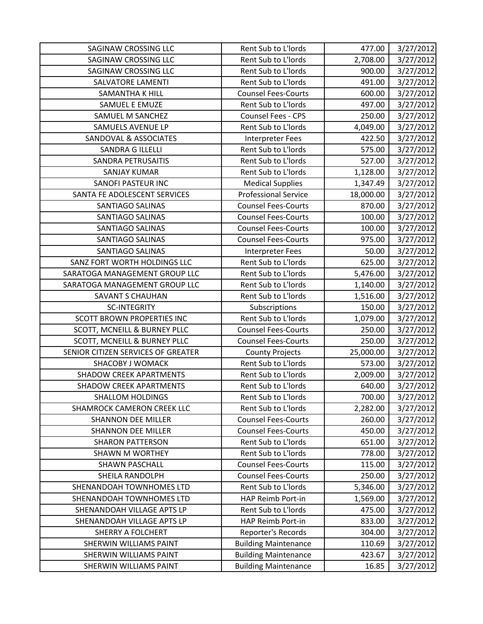| SAGINAW CROSSING LLC                    | Rent Sub to L'Iords         | 477.00    | 3/27/2012 |
|-----------------------------------------|-----------------------------|-----------|-----------|
| <b>SAGINAW CROSSING LLC</b>             | Rent Sub to L'Iords         | 2,708.00  | 3/27/2012 |
| SAGINAW CROSSING LLC                    | Rent Sub to L'Iords         | 900.00    | 3/27/2012 |
| <b>SALVATORE LAMENTI</b>                | Rent Sub to L'Iords         | 491.00    | 3/27/2012 |
| <b>SAMANTHA K HILL</b>                  | <b>Counsel Fees-Courts</b>  | 600.00    | 3/27/2012 |
| SAMUEL E EMUZE                          | Rent Sub to L'Iords         | 497.00    | 3/27/2012 |
| SAMUEL M SANCHEZ                        | Counsel Fees - CPS          | 250.00    | 3/27/2012 |
| SAMUELS AVENUE LP                       | Rent Sub to L'Iords         | 4,049.00  | 3/27/2012 |
| SANDOVAL & ASSOCIATES                   | <b>Interpreter Fees</b>     | 422.50    | 3/27/2012 |
| <b>SANDRA G ILLELLI</b>                 | Rent Sub to L'Iords         | 575.00    | 3/27/2012 |
| SANDRA PETRUSAITIS                      | Rent Sub to L'Iords         | 527.00    | 3/27/2012 |
| <b>SANJAY KUMAR</b>                     | Rent Sub to L'Iords         | 1,128.00  | 3/27/2012 |
| <b>SANOFI PASTEUR INC</b>               | <b>Medical Supplies</b>     | 1,347.49  | 3/27/2012 |
| SANTA FE ADOLESCENT SERVICES            | <b>Professional Service</b> | 18,000.00 | 3/27/2012 |
| <b>SANTIAGO SALINAS</b>                 | <b>Counsel Fees-Courts</b>  | 870.00    | 3/27/2012 |
| SANTIAGO SALINAS                        | <b>Counsel Fees-Courts</b>  | 100.00    | 3/27/2012 |
| SANTIAGO SALINAS                        | <b>Counsel Fees-Courts</b>  | 100.00    | 3/27/2012 |
| <b>SANTIAGO SALINAS</b>                 | <b>Counsel Fees-Courts</b>  | 975.00    | 3/27/2012 |
| <b>SANTIAGO SALINAS</b>                 | <b>Interpreter Fees</b>     | 50.00     | 3/27/2012 |
| SANZ FORT WORTH HOLDINGS LLC            | Rent Sub to L'Iords         | 625.00    | 3/27/2012 |
| SARATOGA MANAGEMENT GROUP LLC           | Rent Sub to L'Iords         | 5,476.00  | 3/27/2012 |
| SARATOGA MANAGEMENT GROUP LLC           | Rent Sub to L'Iords         | 1,140.00  | 3/27/2012 |
| <b>SAVANT S CHAUHAN</b>                 | Rent Sub to L'Iords         | 1,516.00  | 3/27/2012 |
| <b>SC-INTEGRITY</b>                     | Subscriptions               | 150.00    | 3/27/2012 |
| <b>SCOTT BROWN PROPERTIES INC</b>       | Rent Sub to L'Iords         | 1,079.00  | 3/27/2012 |
| SCOTT, MCNEILL & BURNEY PLLC            | <b>Counsel Fees-Courts</b>  | 250.00    | 3/27/2012 |
| <b>SCOTT, MCNEILL &amp; BURNEY PLLC</b> | <b>Counsel Fees-Courts</b>  | 250.00    | 3/27/2012 |
| SENIOR CITIZEN SERVICES OF GREATER      | <b>County Projects</b>      | 25,000.00 | 3/27/2012 |
| <b>SHACOBY J WOMACK</b>                 | Rent Sub to L'Iords         | 573.00    | 3/27/2012 |
| <b>SHADOW CREEK APARTMENTS</b>          | Rent Sub to L'Iords         | 2,009.00  | 3/27/2012 |
| <b>SHADOW CREEK APARTMENTS</b>          | Rent Sub to L'Iords         | 640.00    | 3/27/2012 |
| <b>SHALLOM HOLDINGS</b>                 | Rent Sub to L'Iords         | 700.00    | 3/27/2012 |
| SHAMROCK CAMERON CREEK LLC              | Rent Sub to L'Iords         | 2,282.00  | 3/27/2012 |
| <b>SHANNON DEE MILLER</b>               | <b>Counsel Fees-Courts</b>  | 260.00    | 3/27/2012 |
| <b>SHANNON DEE MILLER</b>               | <b>Counsel Fees-Courts</b>  | 450.00    | 3/27/2012 |
| <b>SHARON PATTERSON</b>                 | Rent Sub to L'Iords         | 651.00    | 3/27/2012 |
| <b>SHAWN M WORTHEY</b>                  | Rent Sub to L'Iords         | 778.00    | 3/27/2012 |
| <b>SHAWN PASCHALL</b>                   | <b>Counsel Fees-Courts</b>  | 115.00    | 3/27/2012 |
| <b>SHEILA RANDOLPH</b>                  | <b>Counsel Fees-Courts</b>  | 250.00    | 3/27/2012 |
| SHENANDOAH TOWNHOMES LTD                | Rent Sub to L'Iords         | 5,346.00  | 3/27/2012 |
| SHENANDOAH TOWNHOMES LTD                | HAP Reimb Port-in           | 1,569.00  | 3/27/2012 |
| SHENANDOAH VILLAGE APTS LP              | Rent Sub to L'Iords         | 475.00    | 3/27/2012 |
| SHENANDOAH VILLAGE APTS LP              | HAP Reimb Port-in           | 833.00    | 3/27/2012 |
| <b>SHERRY A FOLCHERT</b>                | Reporter's Records          | 304.00    | 3/27/2012 |
| <b>SHERWIN WILLIAMS PAINT</b>           | <b>Building Maintenance</b> | 110.69    | 3/27/2012 |
| SHERWIN WILLIAMS PAINT                  | <b>Building Maintenance</b> | 423.67    | 3/27/2012 |
| SHERWIN WILLIAMS PAINT                  | <b>Building Maintenance</b> | 16.85     | 3/27/2012 |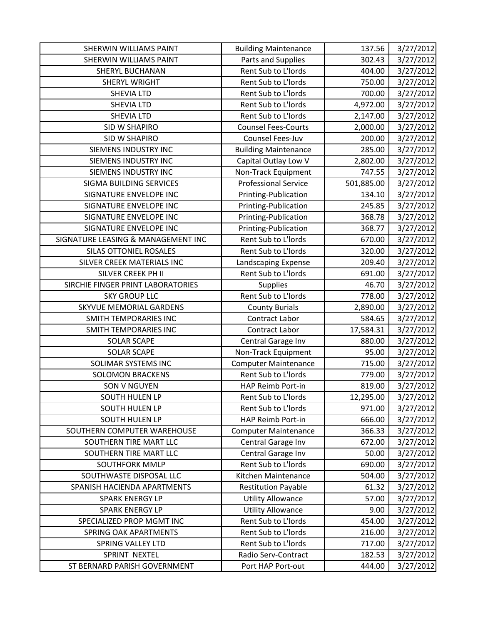| <b>SHERWIN WILLIAMS PAINT</b>      | <b>Building Maintenance</b> | 137.56     | 3/27/2012 |
|------------------------------------|-----------------------------|------------|-----------|
| <b>SHERWIN WILLIAMS PAINT</b>      | Parts and Supplies          | 302.43     | 3/27/2012 |
| <b>SHERYL BUCHANAN</b>             | Rent Sub to L'Iords         | 404.00     | 3/27/2012 |
| SHERYL WRIGHT                      | Rent Sub to L'Iords         | 750.00     | 3/27/2012 |
| <b>SHEVIA LTD</b>                  | Rent Sub to L'Iords         | 700.00     | 3/27/2012 |
| <b>SHEVIA LTD</b>                  | Rent Sub to L'Iords         | 4,972.00   | 3/27/2012 |
| <b>SHEVIA LTD</b>                  | Rent Sub to L'Iords         | 2,147.00   | 3/27/2012 |
| <b>SID W SHAPIRO</b>               | <b>Counsel Fees-Courts</b>  | 2,000.00   | 3/27/2012 |
| SID W SHAPIRO                      | Counsel Fees-Juv            | 200.00     | 3/27/2012 |
| <b>SIEMENS INDUSTRY INC</b>        | <b>Building Maintenance</b> | 285.00     | 3/27/2012 |
| SIEMENS INDUSTRY INC               | Capital Outlay Low V        | 2,802.00   | 3/27/2012 |
| SIEMENS INDUSTRY INC               | Non-Track Equipment         | 747.55     | 3/27/2012 |
| SIGMA BUILDING SERVICES            | <b>Professional Service</b> | 501,885.00 | 3/27/2012 |
| SIGNATURE ENVELOPE INC             | Printing-Publication        | 134.10     | 3/27/2012 |
| SIGNATURE ENVELOPE INC             | Printing-Publication        | 245.85     | 3/27/2012 |
| SIGNATURE ENVELOPE INC             | Printing-Publication        | 368.78     | 3/27/2012 |
| SIGNATURE ENVELOPE INC             | Printing-Publication        | 368.77     | 3/27/2012 |
| SIGNATURE LEASING & MANAGEMENT INC | Rent Sub to L'Iords         | 670.00     | 3/27/2012 |
| <b>SILAS OTTONIEL ROSALES</b>      | Rent Sub to L'Iords         | 320.00     | 3/27/2012 |
| SILVER CREEK MATERIALS INC         | Landscaping Expense         | 209.40     | 3/27/2012 |
| SILVER CREEK PH II                 | Rent Sub to L'Iords         | 691.00     | 3/27/2012 |
| SIRCHIE FINGER PRINT LABORATORIES  | Supplies                    | 46.70      | 3/27/2012 |
| <b>SKY GROUP LLC</b>               | Rent Sub to L'Iords         | 778.00     | 3/27/2012 |
| SKYVUE MEMORIAL GARDENS            | <b>County Burials</b>       | 2,890.00   | 3/27/2012 |
| SMITH TEMPORARIES INC              | Contract Labor              | 584.65     | 3/27/2012 |
| SMITH TEMPORARIES INC              | Contract Labor              | 17,584.31  | 3/27/2012 |
| <b>SOLAR SCAPE</b>                 | Central Garage Inv          | 880.00     | 3/27/2012 |
| <b>SOLAR SCAPE</b>                 | Non-Track Equipment         | 95.00      | 3/27/2012 |
| SOLIMAR SYSTEMS INC                | <b>Computer Maintenance</b> | 715.00     | 3/27/2012 |
| <b>SOLOMON BRACKENS</b>            | Rent Sub to L'Iords         | 779.00     | 3/27/2012 |
| <b>SON V NGUYEN</b>                | HAP Reimb Port-in           | 819.00     | 3/27/2012 |
| SOUTH HULEN LP                     | Rent Sub to L'Iords         | 12,295.00  | 3/27/2012 |
| SOUTH HULEN LP                     | Rent Sub to L'Iords         | 971.00     | 3/27/2012 |
| <b>SOUTH HULEN LP</b>              | HAP Reimb Port-in           | 666.00     | 3/27/2012 |
| SOUTHERN COMPUTER WAREHOUSE        | <b>Computer Maintenance</b> | 366.33     | 3/27/2012 |
| SOUTHERN TIRE MART LLC             | Central Garage Inv          | 672.00     | 3/27/2012 |
| SOUTHERN TIRE MART LLC             | Central Garage Inv          | 50.00      | 3/27/2012 |
| <b>SOUTHFORK MMLP</b>              | Rent Sub to L'Iords         | 690.00     | 3/27/2012 |
| SOUTHWASTE DISPOSAL LLC            | Kitchen Maintenance         | 504.00     | 3/27/2012 |
| SPANISH HACIENDA APARTMENTS        | <b>Restitution Payable</b>  | 61.32      | 3/27/2012 |
| <b>SPARK ENERGY LP</b>             | <b>Utility Allowance</b>    | 57.00      | 3/27/2012 |
| <b>SPARK ENERGY LP</b>             | <b>Utility Allowance</b>    | 9.00       | 3/27/2012 |
| SPECIALIZED PROP MGMT INC          | Rent Sub to L'Iords         | 454.00     | 3/27/2012 |
| SPRING OAK APARTMENTS              | Rent Sub to L'Iords         | 216.00     | 3/27/2012 |
| <b>SPRING VALLEY LTD</b>           | Rent Sub to L'Iords         | 717.00     | 3/27/2012 |
| SPRINT NEXTEL                      | Radio Serv-Contract         | 182.53     | 3/27/2012 |
| ST BERNARD PARISH GOVERNMENT       | Port HAP Port-out           | 444.00     | 3/27/2012 |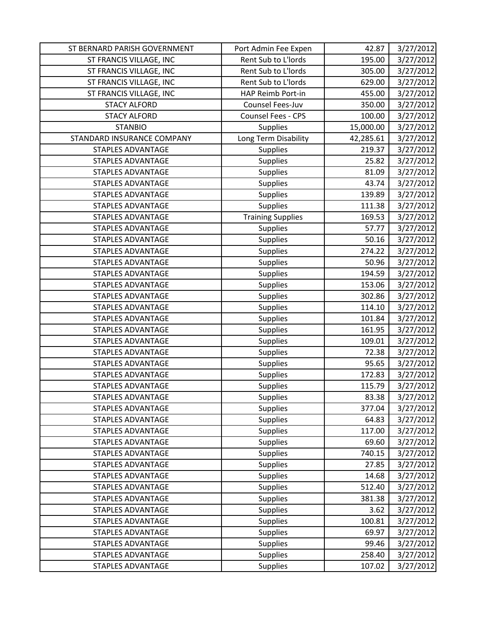| ST BERNARD PARISH GOVERNMENT | Port Admin Fee Expen     | 42.87     | 3/27/2012 |
|------------------------------|--------------------------|-----------|-----------|
| ST FRANCIS VILLAGE, INC      | Rent Sub to L'Iords      | 195.00    | 3/27/2012 |
| ST FRANCIS VILLAGE, INC      | Rent Sub to L'Iords      | 305.00    | 3/27/2012 |
| ST FRANCIS VILLAGE, INC      | Rent Sub to L'Iords      | 629.00    | 3/27/2012 |
| ST FRANCIS VILLAGE, INC      | HAP Reimb Port-in        | 455.00    | 3/27/2012 |
| <b>STACY ALFORD</b>          | Counsel Fees-Juv         | 350.00    | 3/27/2012 |
| <b>STACY ALFORD</b>          | Counsel Fees - CPS       | 100.00    | 3/27/2012 |
| <b>STANBIO</b>               | Supplies                 | 15,000.00 | 3/27/2012 |
| STANDARD INSURANCE COMPANY   | Long Term Disability     | 42,285.61 | 3/27/2012 |
| <b>STAPLES ADVANTAGE</b>     | Supplies                 | 219.37    | 3/27/2012 |
| <b>STAPLES ADVANTAGE</b>     | <b>Supplies</b>          | 25.82     | 3/27/2012 |
| <b>STAPLES ADVANTAGE</b>     | Supplies                 | 81.09     | 3/27/2012 |
| <b>STAPLES ADVANTAGE</b>     | Supplies                 | 43.74     | 3/27/2012 |
| STAPLES ADVANTAGE            | Supplies                 | 139.89    | 3/27/2012 |
| <b>STAPLES ADVANTAGE</b>     | <b>Supplies</b>          | 111.38    | 3/27/2012 |
| <b>STAPLES ADVANTAGE</b>     | <b>Training Supplies</b> | 169.53    | 3/27/2012 |
| <b>STAPLES ADVANTAGE</b>     | Supplies                 | 57.77     | 3/27/2012 |
| <b>STAPLES ADVANTAGE</b>     | <b>Supplies</b>          | 50.16     | 3/27/2012 |
| <b>STAPLES ADVANTAGE</b>     | Supplies                 | 274.22    | 3/27/2012 |
| <b>STAPLES ADVANTAGE</b>     | <b>Supplies</b>          | 50.96     | 3/27/2012 |
| <b>STAPLES ADVANTAGE</b>     | Supplies                 | 194.59    | 3/27/2012 |
| <b>STAPLES ADVANTAGE</b>     | <b>Supplies</b>          | 153.06    | 3/27/2012 |
| <b>STAPLES ADVANTAGE</b>     | <b>Supplies</b>          | 302.86    | 3/27/2012 |
| <b>STAPLES ADVANTAGE</b>     | Supplies                 | 114.10    | 3/27/2012 |
| STAPLES ADVANTAGE            | Supplies                 | 101.84    | 3/27/2012 |
| <b>STAPLES ADVANTAGE</b>     | <b>Supplies</b>          | 161.95    | 3/27/2012 |
| STAPLES ADVANTAGE            | Supplies                 | 109.01    | 3/27/2012 |
| <b>STAPLES ADVANTAGE</b>     | Supplies                 | 72.38     | 3/27/2012 |
| <b>STAPLES ADVANTAGE</b>     | Supplies                 | 95.65     | 3/27/2012 |
| STAPLES ADVANTAGE            | Supplies                 | 172.83    | 3/27/2012 |
| <b>STAPLES ADVANTAGE</b>     | Supplies                 | 115.79    | 3/27/2012 |
| <b>STAPLES ADVANTAGE</b>     | Supplies                 | 83.38     | 3/27/2012 |
| <b>STAPLES ADVANTAGE</b>     | <b>Supplies</b>          | 377.04    | 3/27/2012 |
| <b>STAPLES ADVANTAGE</b>     | Supplies                 | 64.83     | 3/27/2012 |
| <b>STAPLES ADVANTAGE</b>     | <b>Supplies</b>          | 117.00    | 3/27/2012 |
| <b>STAPLES ADVANTAGE</b>     | <b>Supplies</b>          | 69.60     | 3/27/2012 |
| <b>STAPLES ADVANTAGE</b>     | Supplies                 | 740.15    | 3/27/2012 |
| STAPLES ADVANTAGE            | Supplies                 | 27.85     | 3/27/2012 |
| <b>STAPLES ADVANTAGE</b>     | Supplies                 | 14.68     | 3/27/2012 |
| <b>STAPLES ADVANTAGE</b>     | <b>Supplies</b>          | 512.40    | 3/27/2012 |
| <b>STAPLES ADVANTAGE</b>     | <b>Supplies</b>          | 381.38    | 3/27/2012 |
| <b>STAPLES ADVANTAGE</b>     | Supplies                 | 3.62      | 3/27/2012 |
| STAPLES ADVANTAGE            | <b>Supplies</b>          | 100.81    | 3/27/2012 |
| <b>STAPLES ADVANTAGE</b>     | <b>Supplies</b>          | 69.97     | 3/27/2012 |
| <b>STAPLES ADVANTAGE</b>     | <b>Supplies</b>          | 99.46     | 3/27/2012 |
| STAPLES ADVANTAGE            | <b>Supplies</b>          | 258.40    | 3/27/2012 |
| <b>STAPLES ADVANTAGE</b>     | <b>Supplies</b>          | 107.02    | 3/27/2012 |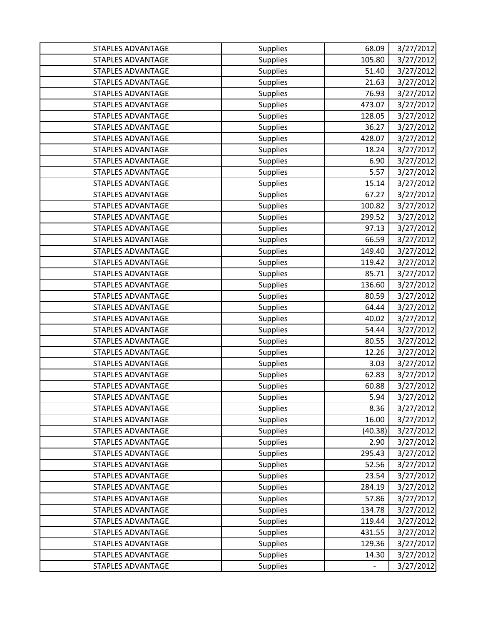| STAPLES ADVANTAGE        | Supplies        | 68.09   | 3/27/2012 |
|--------------------------|-----------------|---------|-----------|
| <b>STAPLES ADVANTAGE</b> | <b>Supplies</b> | 105.80  | 3/27/2012 |
| <b>STAPLES ADVANTAGE</b> | <b>Supplies</b> | 51.40   | 3/27/2012 |
| <b>STAPLES ADVANTAGE</b> | Supplies        | 21.63   | 3/27/2012 |
| <b>STAPLES ADVANTAGE</b> | Supplies        | 76.93   | 3/27/2012 |
| STAPLES ADVANTAGE        | Supplies        | 473.07  | 3/27/2012 |
| <b>STAPLES ADVANTAGE</b> | Supplies        | 128.05  | 3/27/2012 |
| STAPLES ADVANTAGE        | Supplies        | 36.27   | 3/27/2012 |
| STAPLES ADVANTAGE        | <b>Supplies</b> | 428.07  | 3/27/2012 |
| <b>STAPLES ADVANTAGE</b> | Supplies        | 18.24   | 3/27/2012 |
| <b>STAPLES ADVANTAGE</b> | Supplies        | 6.90    | 3/27/2012 |
| <b>STAPLES ADVANTAGE</b> | Supplies        | 5.57    | 3/27/2012 |
| <b>STAPLES ADVANTAGE</b> | Supplies        | 15.14   | 3/27/2012 |
| <b>STAPLES ADVANTAGE</b> | Supplies        | 67.27   | 3/27/2012 |
| <b>STAPLES ADVANTAGE</b> | <b>Supplies</b> | 100.82  | 3/27/2012 |
| <b>STAPLES ADVANTAGE</b> | Supplies        | 299.52  | 3/27/2012 |
| <b>STAPLES ADVANTAGE</b> | <b>Supplies</b> | 97.13   | 3/27/2012 |
| <b>STAPLES ADVANTAGE</b> | Supplies        | 66.59   | 3/27/2012 |
| <b>STAPLES ADVANTAGE</b> | <b>Supplies</b> | 149.40  | 3/27/2012 |
| <b>STAPLES ADVANTAGE</b> | Supplies        | 119.42  | 3/27/2012 |
| <b>STAPLES ADVANTAGE</b> | <b>Supplies</b> | 85.71   | 3/27/2012 |
| STAPLES ADVANTAGE        | Supplies        | 136.60  | 3/27/2012 |
| <b>STAPLES ADVANTAGE</b> | Supplies        | 80.59   | 3/27/2012 |
| <b>STAPLES ADVANTAGE</b> | Supplies        | 64.44   | 3/27/2012 |
| <b>STAPLES ADVANTAGE</b> | <b>Supplies</b> | 40.02   | 3/27/2012 |
| <b>STAPLES ADVANTAGE</b> | Supplies        | 54.44   | 3/27/2012 |
| STAPLES ADVANTAGE        | Supplies        | 80.55   | 3/27/2012 |
| <b>STAPLES ADVANTAGE</b> | Supplies        | 12.26   | 3/27/2012 |
| <b>STAPLES ADVANTAGE</b> | Supplies        | 3.03    | 3/27/2012 |
| <b>STAPLES ADVANTAGE</b> | Supplies        | 62.83   | 3/27/2012 |
| <b>STAPLES ADVANTAGE</b> | Supplies        | 60.88   | 3/27/2012 |
| <b>STAPLES ADVANTAGE</b> | Supplies        | 5.94    | 3/27/2012 |
| <b>STAPLES ADVANTAGE</b> | <b>Supplies</b> | 8.36    | 3/27/2012 |
| <b>STAPLES ADVANTAGE</b> | Supplies        | 16.00   | 3/27/2012 |
| STAPLES ADVANTAGE        | <b>Supplies</b> | (40.38) | 3/27/2012 |
| <b>STAPLES ADVANTAGE</b> | <b>Supplies</b> | 2.90    | 3/27/2012 |
| <b>STAPLES ADVANTAGE</b> | Supplies        | 295.43  | 3/27/2012 |
| <b>STAPLES ADVANTAGE</b> | Supplies        | 52.56   | 3/27/2012 |
| <b>STAPLES ADVANTAGE</b> | Supplies        | 23.54   | 3/27/2012 |
| <b>STAPLES ADVANTAGE</b> | <b>Supplies</b> | 284.19  | 3/27/2012 |
| <b>STAPLES ADVANTAGE</b> | <b>Supplies</b> | 57.86   | 3/27/2012 |
| <b>STAPLES ADVANTAGE</b> | <b>Supplies</b> | 134.78  | 3/27/2012 |
| STAPLES ADVANTAGE        | Supplies        | 119.44  | 3/27/2012 |
| <b>STAPLES ADVANTAGE</b> | <b>Supplies</b> | 431.55  | 3/27/2012 |
| <b>STAPLES ADVANTAGE</b> | <b>Supplies</b> | 129.36  | 3/27/2012 |
| <b>STAPLES ADVANTAGE</b> | Supplies        | 14.30   | 3/27/2012 |
| STAPLES ADVANTAGE        | Supplies        |         | 3/27/2012 |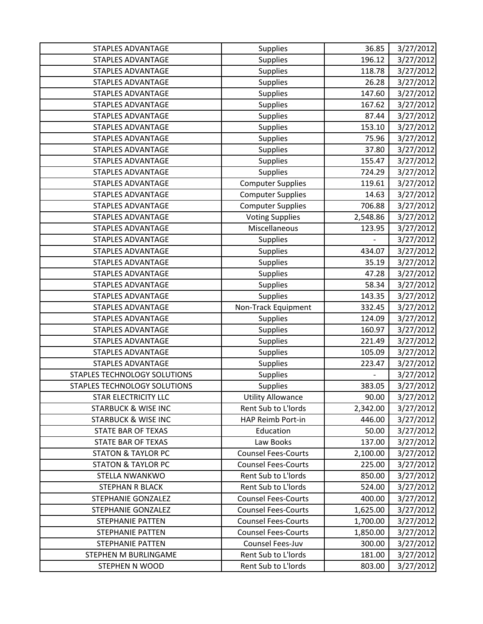| STAPLES ADVANTAGE              | Supplies                   | 36.85    | 3/27/2012 |
|--------------------------------|----------------------------|----------|-----------|
| <b>STAPLES ADVANTAGE</b>       | <b>Supplies</b>            | 196.12   | 3/27/2012 |
| <b>STAPLES ADVANTAGE</b>       | Supplies                   | 118.78   | 3/27/2012 |
| <b>STAPLES ADVANTAGE</b>       | <b>Supplies</b>            | 26.28    | 3/27/2012 |
| <b>STAPLES ADVANTAGE</b>       | Supplies                   | 147.60   | 3/27/2012 |
| <b>STAPLES ADVANTAGE</b>       | <b>Supplies</b>            | 167.62   | 3/27/2012 |
| <b>STAPLES ADVANTAGE</b>       | <b>Supplies</b>            | 87.44    | 3/27/2012 |
| <b>STAPLES ADVANTAGE</b>       | Supplies                   | 153.10   | 3/27/2012 |
| STAPLES ADVANTAGE              | Supplies                   | 75.96    | 3/27/2012 |
| <b>STAPLES ADVANTAGE</b>       | <b>Supplies</b>            | 37.80    | 3/27/2012 |
| <b>STAPLES ADVANTAGE</b>       | <b>Supplies</b>            | 155.47   | 3/27/2012 |
| <b>STAPLES ADVANTAGE</b>       | <b>Supplies</b>            | 724.29   | 3/27/2012 |
| <b>STAPLES ADVANTAGE</b>       | <b>Computer Supplies</b>   | 119.61   | 3/27/2012 |
| <b>STAPLES ADVANTAGE</b>       | <b>Computer Supplies</b>   | 14.63    | 3/27/2012 |
| <b>STAPLES ADVANTAGE</b>       | <b>Computer Supplies</b>   | 706.88   | 3/27/2012 |
| <b>STAPLES ADVANTAGE</b>       | <b>Voting Supplies</b>     | 2,548.86 | 3/27/2012 |
| STAPLES ADVANTAGE              | Miscellaneous              | 123.95   | 3/27/2012 |
| STAPLES ADVANTAGE              | Supplies                   |          | 3/27/2012 |
| <b>STAPLES ADVANTAGE</b>       | <b>Supplies</b>            | 434.07   | 3/27/2012 |
| <b>STAPLES ADVANTAGE</b>       | Supplies                   | 35.19    | 3/27/2012 |
| <b>STAPLES ADVANTAGE</b>       | Supplies                   | 47.28    | 3/27/2012 |
| STAPLES ADVANTAGE              | Supplies                   | 58.34    | 3/27/2012 |
| <b>STAPLES ADVANTAGE</b>       | <b>Supplies</b>            | 143.35   | 3/27/2012 |
| <b>STAPLES ADVANTAGE</b>       | Non-Track Equipment        | 332.45   | 3/27/2012 |
| STAPLES ADVANTAGE              | Supplies                   | 124.09   | 3/27/2012 |
| <b>STAPLES ADVANTAGE</b>       | Supplies                   | 160.97   | 3/27/2012 |
| <b>STAPLES ADVANTAGE</b>       | <b>Supplies</b>            | 221.49   | 3/27/2012 |
| <b>STAPLES ADVANTAGE</b>       | <b>Supplies</b>            | 105.09   | 3/27/2012 |
| STAPLES ADVANTAGE              | <b>Supplies</b>            | 223.47   | 3/27/2012 |
| STAPLES TECHNOLOGY SOLUTIONS   | Supplies                   | -        | 3/27/2012 |
| STAPLES TECHNOLOGY SOLUTIONS   | Supplies                   | 383.05   | 3/27/2012 |
| <b>STAR ELECTRICITY LLC</b>    | <b>Utility Allowance</b>   | 90.00    | 3/27/2012 |
| <b>STARBUCK &amp; WISE INC</b> | Rent Sub to L'Iords        | 2,342.00 | 3/27/2012 |
| <b>STARBUCK &amp; WISE INC</b> | HAP Reimb Port-in          | 446.00   | 3/27/2012 |
| STATE BAR OF TEXAS             | Education                  | 50.00    | 3/27/2012 |
| <b>STATE BAR OF TEXAS</b>      | Law Books                  | 137.00   | 3/27/2012 |
| <b>STATON &amp; TAYLOR PC</b>  | <b>Counsel Fees-Courts</b> | 2,100.00 | 3/27/2012 |
| <b>STATON &amp; TAYLOR PC</b>  | <b>Counsel Fees-Courts</b> | 225.00   | 3/27/2012 |
| STELLA NWANKWO                 | Rent Sub to L'Iords        | 850.00   | 3/27/2012 |
| <b>STEPHAN R BLACK</b>         | Rent Sub to L'Iords        | 524.00   | 3/27/2012 |
| STEPHANIE GONZALEZ             | <b>Counsel Fees-Courts</b> | 400.00   | 3/27/2012 |
| STEPHANIE GONZALEZ             | <b>Counsel Fees-Courts</b> | 1,625.00 | 3/27/2012 |
| <b>STEPHANIE PATTEN</b>        | <b>Counsel Fees-Courts</b> | 1,700.00 | 3/27/2012 |
| <b>STEPHANIE PATTEN</b>        | <b>Counsel Fees-Courts</b> | 1,850.00 | 3/27/2012 |
| <b>STEPHANIE PATTEN</b>        | Counsel Fees-Juv           | 300.00   | 3/27/2012 |
| STEPHEN M BURLINGAME           | Rent Sub to L'Iords        | 181.00   | 3/27/2012 |
| STEPHEN N WOOD                 | Rent Sub to L'Iords        | 803.00   | 3/27/2012 |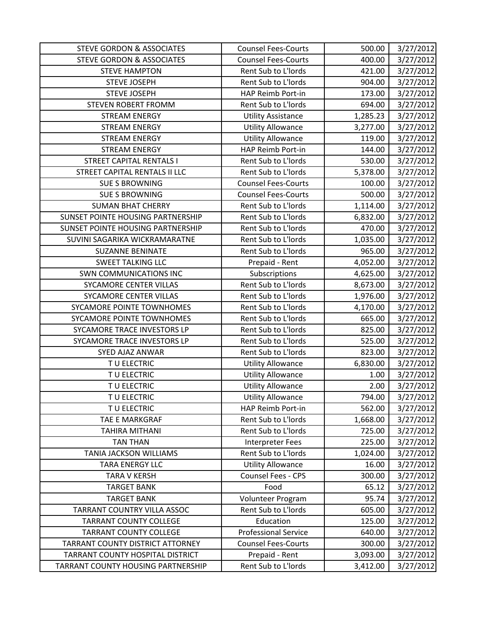| <b>STEVE GORDON &amp; ASSOCIATES</b> | <b>Counsel Fees-Courts</b>  | 500.00   | 3/27/2012 |
|--------------------------------------|-----------------------------|----------|-----------|
| <b>STEVE GORDON &amp; ASSOCIATES</b> | <b>Counsel Fees-Courts</b>  | 400.00   | 3/27/2012 |
| <b>STEVE HAMPTON</b>                 | Rent Sub to L'Iords         | 421.00   | 3/27/2012 |
| <b>STEVE JOSEPH</b>                  | Rent Sub to L'Iords         | 904.00   | 3/27/2012 |
| <b>STEVE JOSEPH</b>                  | HAP Reimb Port-in           | 173.00   | 3/27/2012 |
| <b>STEVEN ROBERT FROMM</b>           | Rent Sub to L'Iords         | 694.00   | 3/27/2012 |
| <b>STREAM ENERGY</b>                 | <b>Utility Assistance</b>   | 1,285.23 | 3/27/2012 |
| <b>STREAM ENERGY</b>                 | <b>Utility Allowance</b>    | 3,277.00 | 3/27/2012 |
| <b>STREAM ENERGY</b>                 | <b>Utility Allowance</b>    | 119.00   | 3/27/2012 |
| <b>STREAM ENERGY</b>                 | HAP Reimb Port-in           | 144.00   | 3/27/2012 |
| <b>STREET CAPITAL RENTALS I</b>      | Rent Sub to L'Iords         | 530.00   | 3/27/2012 |
| STREET CAPITAL RENTALS II LLC        | Rent Sub to L'Iords         | 5,378.00 | 3/27/2012 |
| <b>SUE S BROWNING</b>                | <b>Counsel Fees-Courts</b>  | 100.00   | 3/27/2012 |
| <b>SUE S BROWNING</b>                | <b>Counsel Fees-Courts</b>  | 500.00   | 3/27/2012 |
| <b>SUMAN BHAT CHERRY</b>             | Rent Sub to L'Iords         | 1,114.00 | 3/27/2012 |
| SUNSET POINTE HOUSING PARTNERSHIP    | Rent Sub to L'Iords         | 6,832.00 | 3/27/2012 |
| SUNSET POINTE HOUSING PARTNERSHIP    | Rent Sub to L'Iords         | 470.00   | 3/27/2012 |
| SUVINI SAGARIKA WICKRAMARATNE        | Rent Sub to L'Iords         | 1,035.00 | 3/27/2012 |
| <b>SUZANNE BENINATE</b>              | Rent Sub to L'Iords         | 965.00   | 3/27/2012 |
| <b>SWEET TALKING LLC</b>             | Prepaid - Rent              | 4,052.00 | 3/27/2012 |
| <b>SWN COMMUNICATIONS INC</b>        | Subscriptions               | 4,625.00 | 3/27/2012 |
| SYCAMORE CENTER VILLAS               | Rent Sub to L'Iords         | 8,673.00 | 3/27/2012 |
| SYCAMORE CENTER VILLAS               | Rent Sub to L'Iords         | 1,976.00 | 3/27/2012 |
| SYCAMORE POINTE TOWNHOMES            | Rent Sub to L'Iords         | 4,170.00 | 3/27/2012 |
| SYCAMORE POINTE TOWNHOMES            | Rent Sub to L'Iords         | 665.00   | 3/27/2012 |
| SYCAMORE TRACE INVESTORS LP          | Rent Sub to L'Iords         | 825.00   | 3/27/2012 |
| SYCAMORE TRACE INVESTORS LP          | Rent Sub to L'Iords         | 525.00   | 3/27/2012 |
| SYED AJAZ ANWAR                      | Rent Sub to L'Iords         | 823.00   | 3/27/2012 |
| TU ELECTRIC                          | <b>Utility Allowance</b>    | 6,830.00 | 3/27/2012 |
| TU ELECTRIC                          | <b>Utility Allowance</b>    | 1.00     | 3/27/2012 |
| TU ELECTRIC                          | <b>Utility Allowance</b>    | 2.00     | 3/27/2012 |
| TU ELECTRIC                          | <b>Utility Allowance</b>    | 794.00   | 3/27/2012 |
| TU ELECTRIC                          | HAP Reimb Port-in           | 562.00   | 3/27/2012 |
| TAE E MARKGRAF                       | Rent Sub to L'Iords         | 1,668.00 | 3/27/2012 |
| TAHIRA MITHANI                       | Rent Sub to L'Iords         | 725.00   | 3/27/2012 |
| <b>TAN THAN</b>                      | Interpreter Fees            | 225.00   | 3/27/2012 |
| <b>TANIA JACKSON WILLIAMS</b>        | Rent Sub to L'Iords         | 1,024.00 | 3/27/2012 |
| TARA ENERGY LLC                      | <b>Utility Allowance</b>    | 16.00    | 3/27/2012 |
| <b>TARA V KERSH</b>                  | Counsel Fees - CPS          | 300.00   | 3/27/2012 |
| <b>TARGET BANK</b>                   | Food                        | 65.12    | 3/27/2012 |
| <b>TARGET BANK</b>                   | Volunteer Program           | 95.74    | 3/27/2012 |
| TARRANT COUNTRY VILLA ASSOC          | Rent Sub to L'Iords         | 605.00   | 3/27/2012 |
| <b>TARRANT COUNTY COLLEGE</b>        | Education                   | 125.00   | 3/27/2012 |
| <b>TARRANT COUNTY COLLEGE</b>        | <b>Professional Service</b> | 640.00   | 3/27/2012 |
| TARRANT COUNTY DISTRICT ATTORNEY     | <b>Counsel Fees-Courts</b>  | 300.00   | 3/27/2012 |
| TARRANT COUNTY HOSPITAL DISTRICT     | Prepaid - Rent              | 3,093.00 | 3/27/2012 |
| TARRANT COUNTY HOUSING PARTNERSHIP   | Rent Sub to L'Iords         | 3,412.00 | 3/27/2012 |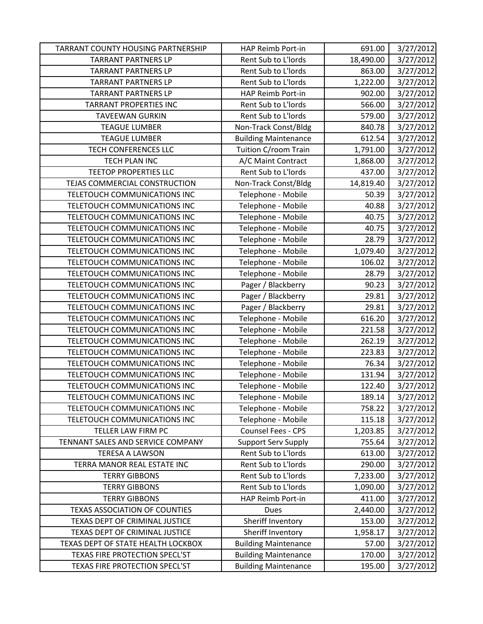| TARRANT COUNTY HOUSING PARTNERSHIP   | HAP Reimb Port-in           | 691.00    | 3/27/2012 |
|--------------------------------------|-----------------------------|-----------|-----------|
| <b>TARRANT PARTNERS LP</b>           | Rent Sub to L'Iords         | 18,490.00 | 3/27/2012 |
| <b>TARRANT PARTNERS LP</b>           | Rent Sub to L'Iords         | 863.00    | 3/27/2012 |
| <b>TARRANT PARTNERS LP</b>           | Rent Sub to L'Iords         | 1,222.00  | 3/27/2012 |
| <b>TARRANT PARTNERS LP</b>           | HAP Reimb Port-in           | 902.00    | 3/27/2012 |
| <b>TARRANT PROPERTIES INC</b>        | Rent Sub to L'Iords         | 566.00    | 3/27/2012 |
| <b>TAVEEWAN GURKIN</b>               | Rent Sub to L'Iords         | 579.00    | 3/27/2012 |
| <b>TEAGUE LUMBER</b>                 | Non-Track Const/Bldg        | 840.78    | 3/27/2012 |
| <b>TEAGUE LUMBER</b>                 | <b>Building Maintenance</b> | 612.54    | 3/27/2012 |
| <b>TECH CONFERENCES LLC</b>          | Tuition C/room Train        | 1,791.00  | 3/27/2012 |
| <b>TECH PLAN INC</b>                 | A/C Maint Contract          | 1,868.00  | 3/27/2012 |
| <b>TEETOP PROPERTIES LLC</b>         | Rent Sub to L'Iords         | 437.00    | 3/27/2012 |
| TEJAS COMMERCIAL CONSTRUCTION        | Non-Track Const/Bldg        | 14,819.40 | 3/27/2012 |
| TELETOUCH COMMUNICATIONS INC         | Telephone - Mobile          | 50.39     | 3/27/2012 |
| TELETOUCH COMMUNICATIONS INC         | Telephone - Mobile          | 40.88     | 3/27/2012 |
| TELETOUCH COMMUNICATIONS INC         | Telephone - Mobile          | 40.75     | 3/27/2012 |
| TELETOUCH COMMUNICATIONS INC         | Telephone - Mobile          | 40.75     | 3/27/2012 |
| TELETOUCH COMMUNICATIONS INC         | Telephone - Mobile          | 28.79     | 3/27/2012 |
| TELETOUCH COMMUNICATIONS INC         | Telephone - Mobile          | 1,079.40  | 3/27/2012 |
| TELETOUCH COMMUNICATIONS INC         | Telephone - Mobile          | 106.02    | 3/27/2012 |
| TELETOUCH COMMUNICATIONS INC         | Telephone - Mobile          | 28.79     | 3/27/2012 |
| TELETOUCH COMMUNICATIONS INC         | Pager / Blackberry          | 90.23     | 3/27/2012 |
| TELETOUCH COMMUNICATIONS INC         | Pager / Blackberry          | 29.81     | 3/27/2012 |
| TELETOUCH COMMUNICATIONS INC         | Pager / Blackberry          | 29.81     | 3/27/2012 |
| TELETOUCH COMMUNICATIONS INC         | Telephone - Mobile          | 616.20    | 3/27/2012 |
| TELETOUCH COMMUNICATIONS INC         | Telephone - Mobile          | 221.58    | 3/27/2012 |
| TELETOUCH COMMUNICATIONS INC         | Telephone - Mobile          | 262.19    | 3/27/2012 |
| TELETOUCH COMMUNICATIONS INC         | Telephone - Mobile          | 223.83    | 3/27/2012 |
| TELETOUCH COMMUNICATIONS INC         | Telephone - Mobile          | 76.34     | 3/27/2012 |
| TELETOUCH COMMUNICATIONS INC         | Telephone - Mobile          | 131.94    | 3/27/2012 |
| TELETOUCH COMMUNICATIONS INC         | Telephone - Mobile          | 122.40    | 3/27/2012 |
| TELETOUCH COMMUNICATIONS INC         | Telephone - Mobile          | 189.14    | 3/27/2012 |
| TELETOUCH COMMUNICATIONS INC         | Telephone - Mobile          | 758.22    | 3/27/2012 |
| TELETOUCH COMMUNICATIONS INC         | Telephone - Mobile          | 115.18    | 3/27/2012 |
| TELLER LAW FIRM PC                   | Counsel Fees - CPS          | 1,203.85  | 3/27/2012 |
| TENNANT SALES AND SERVICE COMPANY    | <b>Support Serv Supply</b>  | 755.64    | 3/27/2012 |
| <b>TERESA A LAWSON</b>               | Rent Sub to L'Iords         | 613.00    | 3/27/2012 |
| TERRA MANOR REAL ESTATE INC          | Rent Sub to L'Iords         | 290.00    | 3/27/2012 |
| <b>TERRY GIBBONS</b>                 | Rent Sub to L'Iords         | 7,233.00  | 3/27/2012 |
| <b>TERRY GIBBONS</b>                 | Rent Sub to L'Iords         | 1,090.00  | 3/27/2012 |
| <b>TERRY GIBBONS</b>                 | HAP Reimb Port-in           | 411.00    | 3/27/2012 |
| <b>TEXAS ASSOCIATION OF COUNTIES</b> | Dues                        | 2,440.00  | 3/27/2012 |
| TEXAS DEPT OF CRIMINAL JUSTICE       | Sheriff Inventory           | 153.00    | 3/27/2012 |
| TEXAS DEPT OF CRIMINAL JUSTICE       | Sheriff Inventory           | 1,958.17  | 3/27/2012 |
| TEXAS DEPT OF STATE HEALTH LOCKBOX   | <b>Building Maintenance</b> | 57.00     | 3/27/2012 |
| TEXAS FIRE PROTECTION SPECL'ST       | <b>Building Maintenance</b> | 170.00    | 3/27/2012 |
| TEXAS FIRE PROTECTION SPECL'ST       | <b>Building Maintenance</b> | 195.00    | 3/27/2012 |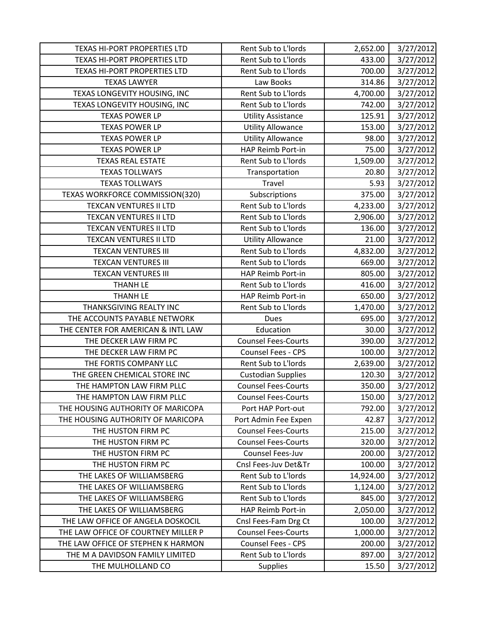| TEXAS HI-PORT PROPERTIES LTD        | Rent Sub to L'Iords        | 2,652.00  | 3/27/2012 |
|-------------------------------------|----------------------------|-----------|-----------|
| TEXAS HI-PORT PROPERTIES LTD        | Rent Sub to L'Iords        | 433.00    | 3/27/2012 |
| TEXAS HI-PORT PROPERTIES LTD        | Rent Sub to L'Iords        | 700.00    | 3/27/2012 |
| <b>TEXAS LAWYER</b>                 | Law Books                  | 314.86    | 3/27/2012 |
| TEXAS LONGEVITY HOUSING, INC        | Rent Sub to L'Iords        | 4,700.00  | 3/27/2012 |
| TEXAS LONGEVITY HOUSING, INC        | Rent Sub to L'Iords        | 742.00    | 3/27/2012 |
| <b>TEXAS POWER LP</b>               | <b>Utility Assistance</b>  | 125.91    | 3/27/2012 |
| <b>TEXAS POWER LP</b>               | <b>Utility Allowance</b>   | 153.00    | 3/27/2012 |
| <b>TEXAS POWER LP</b>               | <b>Utility Allowance</b>   | 98.00     | 3/27/2012 |
| <b>TEXAS POWER LP</b>               | HAP Reimb Port-in          | 75.00     | 3/27/2012 |
| <b>TEXAS REAL ESTATE</b>            | Rent Sub to L'Iords        | 1,509.00  | 3/27/2012 |
| <b>TEXAS TOLLWAYS</b>               | Transportation             | 20.80     | 3/27/2012 |
| <b>TEXAS TOLLWAYS</b>               | Travel                     | 5.93      | 3/27/2012 |
| TEXAS WORKFORCE COMMISSION(320)     | Subscriptions              | 375.00    | 3/27/2012 |
| <b>TEXCAN VENTURES II LTD</b>       | Rent Sub to L'Iords        | 4,233.00  | 3/27/2012 |
| TEXCAN VENTURES II LTD              | Rent Sub to L'Iords        | 2,906.00  | 3/27/2012 |
| TEXCAN VENTURES II LTD              | Rent Sub to L'Iords        | 136.00    | 3/27/2012 |
| TEXCAN VENTURES II LTD              | <b>Utility Allowance</b>   | 21.00     | 3/27/2012 |
| <b>TEXCAN VENTURES III</b>          | Rent Sub to L'Iords        | 4,832.00  | 3/27/2012 |
| <b>TEXCAN VENTURES III</b>          | Rent Sub to L'Iords        | 669.00    | 3/27/2012 |
| <b>TEXCAN VENTURES III</b>          | HAP Reimb Port-in          | 805.00    | 3/27/2012 |
| <b>THANH LE</b>                     | Rent Sub to L'Iords        | 416.00    | 3/27/2012 |
| <b>THANH LE</b>                     | HAP Reimb Port-in          | 650.00    | 3/27/2012 |
| THANKSGIVING REALTY INC             | Rent Sub to L'Iords        | 1,470.00  | 3/27/2012 |
| THE ACCOUNTS PAYABLE NETWORK        | <b>Dues</b>                | 695.00    | 3/27/2012 |
| THE CENTER FOR AMERICAN & INTL LAW  | Education                  | 30.00     | 3/27/2012 |
| THE DECKER LAW FIRM PC              | <b>Counsel Fees-Courts</b> | 390.00    | 3/27/2012 |
| THE DECKER LAW FIRM PC              | Counsel Fees - CPS         | 100.00    | 3/27/2012 |
| THE FORTIS COMPANY LLC              | Rent Sub to L'Iords        | 2,639.00  | 3/27/2012 |
| THE GREEN CHEMICAL STORE INC        | <b>Custodian Supplies</b>  | 120.30    | 3/27/2012 |
| THE HAMPTON LAW FIRM PLLC           | <b>Counsel Fees-Courts</b> | 350.00    | 3/27/2012 |
| THE HAMPTON LAW FIRM PLLC           | <b>Counsel Fees-Courts</b> | 150.00    | 3/27/2012 |
| THE HOUSING AUTHORITY OF MARICOPA   | Port HAP Port-out          | 792.00    | 3/27/2012 |
| THE HOUSING AUTHORITY OF MARICOPA   | Port Admin Fee Expen       | 42.87     | 3/27/2012 |
| THE HUSTON FIRM PC                  | <b>Counsel Fees-Courts</b> | 215.00    | 3/27/2012 |
| THE HUSTON FIRM PC                  | <b>Counsel Fees-Courts</b> | 320.00    | 3/27/2012 |
| THE HUSTON FIRM PC                  | Counsel Fees-Juv           | 200.00    | 3/27/2012 |
| THE HUSTON FIRM PC                  | Cnsl Fees-Juv Det&Tr       | 100.00    | 3/27/2012 |
| THE LAKES OF WILLIAMSBERG           | Rent Sub to L'Iords        | 14,924.00 | 3/27/2012 |
| THE LAKES OF WILLIAMSBERG           | <b>Rent Sub to L'Iords</b> | 1,124.00  | 3/27/2012 |
| THE LAKES OF WILLIAMSBERG           | Rent Sub to L'Iords        | 845.00    | 3/27/2012 |
| THE LAKES OF WILLIAMSBERG           | HAP Reimb Port-in          | 2,050.00  | 3/27/2012 |
| THE LAW OFFICE OF ANGELA DOSKOCIL   | Cnsl Fees-Fam Drg Ct       | 100.00    | 3/27/2012 |
| THE LAW OFFICE OF COURTNEY MILLER P | <b>Counsel Fees-Courts</b> | 1,000.00  | 3/27/2012 |
| THE LAW OFFICE OF STEPHEN K HARMON  | <b>Counsel Fees - CPS</b>  | 200.00    | 3/27/2012 |
| THE M A DAVIDSON FAMILY LIMITED     | Rent Sub to L'Iords        | 897.00    | 3/27/2012 |
| THE MULHOLLAND CO                   | Supplies                   | 15.50     | 3/27/2012 |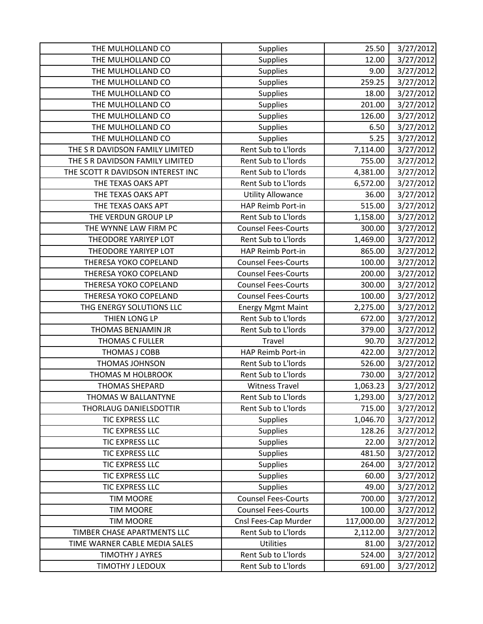| THE MULHOLLAND CO                 | Supplies                   | 25.50      | 3/27/2012 |
|-----------------------------------|----------------------------|------------|-----------|
| THE MULHOLLAND CO                 | Supplies                   | 12.00      | 3/27/2012 |
| THE MULHOLLAND CO                 | <b>Supplies</b>            | 9.00       | 3/27/2012 |
| THE MULHOLLAND CO                 | Supplies                   | 259.25     | 3/27/2012 |
| THE MULHOLLAND CO                 | <b>Supplies</b>            | 18.00      | 3/27/2012 |
| THE MULHOLLAND CO                 | <b>Supplies</b>            | 201.00     | 3/27/2012 |
| THE MULHOLLAND CO                 | Supplies                   | 126.00     | 3/27/2012 |
| THE MULHOLLAND CO                 | <b>Supplies</b>            | 6.50       | 3/27/2012 |
| THE MULHOLLAND CO                 | <b>Supplies</b>            | 5.25       | 3/27/2012 |
| THE S R DAVIDSON FAMILY LIMITED   | Rent Sub to L'Iords        | 7,114.00   | 3/27/2012 |
| THE S R DAVIDSON FAMILY LIMITED   | Rent Sub to L'Iords        | 755.00     | 3/27/2012 |
| THE SCOTT R DAVIDSON INTEREST INC | Rent Sub to L'Iords        | 4,381.00   | 3/27/2012 |
| THE TEXAS OAKS APT                | Rent Sub to L'Iords        | 6,572.00   | 3/27/2012 |
| THE TEXAS OAKS APT                | <b>Utility Allowance</b>   | 36.00      | 3/27/2012 |
| THE TEXAS OAKS APT                | HAP Reimb Port-in          | 515.00     | 3/27/2012 |
| THE VERDUN GROUP LP               | Rent Sub to L'Iords        | 1,158.00   | 3/27/2012 |
| THE WYNNE LAW FIRM PC             | <b>Counsel Fees-Courts</b> | 300.00     | 3/27/2012 |
| THEODORE YARIYEP LOT              | Rent Sub to L'Iords        | 1,469.00   | 3/27/2012 |
| THEODORE YARIYEP LOT              | HAP Reimb Port-in          | 865.00     | 3/27/2012 |
| THERESA YOKO COPELAND             | <b>Counsel Fees-Courts</b> | 100.00     | 3/27/2012 |
| THERESA YOKO COPELAND             | <b>Counsel Fees-Courts</b> | 200.00     | 3/27/2012 |
| THERESA YOKO COPELAND             | <b>Counsel Fees-Courts</b> | 300.00     | 3/27/2012 |
| THERESA YOKO COPELAND             | <b>Counsel Fees-Courts</b> | 100.00     | 3/27/2012 |
| THG ENERGY SOLUTIONS LLC          | <b>Energy Mgmt Maint</b>   | 2,275.00   | 3/27/2012 |
| THIEN LONG LP                     | Rent Sub to L'Iords        | 672.00     | 3/27/2012 |
| THOMAS BENJAMIN JR                | Rent Sub to L'Iords        | 379.00     | 3/27/2012 |
| <b>THOMAS C FULLER</b>            | Travel                     | 90.70      | 3/27/2012 |
| THOMAS J COBB                     | HAP Reimb Port-in          | 422.00     | 3/27/2012 |
| THOMAS JOHNSON                    | Rent Sub to L'Iords        | 526.00     | 3/27/2012 |
| THOMAS M HOLBROOK                 | Rent Sub to L'Iords        | 730.00     | 3/27/2012 |
| <b>THOMAS SHEPARD</b>             | <b>Witness Travel</b>      | 1,063.23   | 3/27/2012 |
| THOMAS W BALLANTYNE               | Rent Sub to L'Iords        | 1,293.00   | 3/27/2012 |
| THORLAUG DANIELSDOTTIR            | Rent Sub to L'Iords        | 715.00     | 3/27/2012 |
| TIC EXPRESS LLC                   | <b>Supplies</b>            | 1,046.70   | 3/27/2012 |
| TIC EXPRESS LLC                   | <b>Supplies</b>            | 128.26     | 3/27/2012 |
| TIC EXPRESS LLC                   | <b>Supplies</b>            | 22.00      | 3/27/2012 |
| TIC EXPRESS LLC                   | <b>Supplies</b>            | 481.50     | 3/27/2012 |
| TIC EXPRESS LLC                   | <b>Supplies</b>            | 264.00     | 3/27/2012 |
| TIC EXPRESS LLC                   | <b>Supplies</b>            | 60.00      | 3/27/2012 |
| TIC EXPRESS LLC                   | <b>Supplies</b>            | 49.00      | 3/27/2012 |
| <b>TIM MOORE</b>                  | <b>Counsel Fees-Courts</b> | 700.00     | 3/27/2012 |
| <b>TIM MOORE</b>                  | <b>Counsel Fees-Courts</b> | 100.00     | 3/27/2012 |
| <b>TIM MOORE</b>                  | Cnsl Fees-Cap Murder       | 117,000.00 | 3/27/2012 |
| TIMBER CHASE APARTMENTS LLC       | Rent Sub to L'Iords        | 2,112.00   | 3/27/2012 |
| TIME WARNER CABLE MEDIA SALES     | Utilities                  | 81.00      | 3/27/2012 |
| <b>TIMOTHY J AYRES</b>            | Rent Sub to L'Iords        | 524.00     | 3/27/2012 |
| TIMOTHY J LEDOUX                  | Rent Sub to L'Iords        | 691.00     | 3/27/2012 |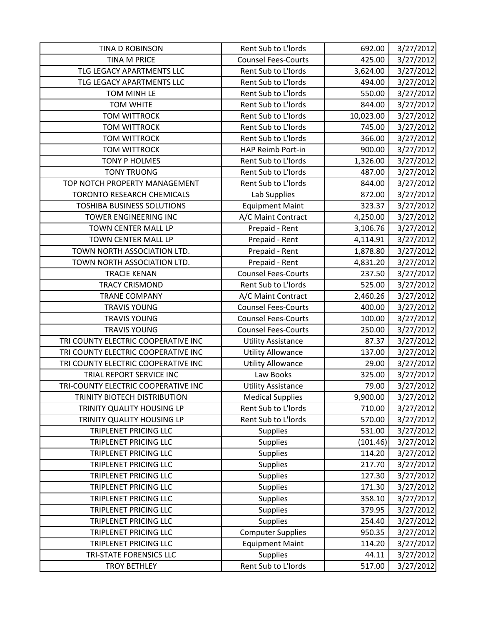| TINA D ROBINSON                     | Rent Sub to L'Iords        | 692.00    | 3/27/2012 |
|-------------------------------------|----------------------------|-----------|-----------|
| <b>TINA M PRICE</b>                 | <b>Counsel Fees-Courts</b> | 425.00    | 3/27/2012 |
| TLG LEGACY APARTMENTS LLC           | Rent Sub to L'Iords        | 3,624.00  | 3/27/2012 |
| TLG LEGACY APARTMENTS LLC           | Rent Sub to L'Iords        | 494.00    | 3/27/2012 |
| TOM MINH LE                         | Rent Sub to L'Iords        | 550.00    | 3/27/2012 |
| <b>TOM WHITE</b>                    | Rent Sub to L'Iords        | 844.00    | 3/27/2012 |
| <b>TOM WITTROCK</b>                 | Rent Sub to L'Iords        | 10,023.00 | 3/27/2012 |
| <b>TOM WITTROCK</b>                 | Rent Sub to L'Iords        | 745.00    | 3/27/2012 |
| <b>TOM WITTROCK</b>                 | Rent Sub to L'Iords        | 366.00    | 3/27/2012 |
| <b>TOM WITTROCK</b>                 | HAP Reimb Port-in          | 900.00    | 3/27/2012 |
| <b>TONY P HOLMES</b>                | Rent Sub to L'Iords        | 1,326.00  | 3/27/2012 |
| <b>TONY TRUONG</b>                  | Rent Sub to L'Iords        | 487.00    | 3/27/2012 |
| TOP NOTCH PROPERTY MANAGEMENT       | Rent Sub to L'Iords        | 844.00    | 3/27/2012 |
| TORONTO RESEARCH CHEMICALS          | Lab Supplies               | 872.00    | 3/27/2012 |
| <b>TOSHIBA BUSINESS SOLUTIONS</b>   | <b>Equipment Maint</b>     | 323.37    | 3/27/2012 |
| TOWER ENGINEERING INC               | A/C Maint Contract         | 4,250.00  | 3/27/2012 |
| TOWN CENTER MALL LP                 | Prepaid - Rent             | 3,106.76  | 3/27/2012 |
| TOWN CENTER MALL LP                 | Prepaid - Rent             | 4,114.91  | 3/27/2012 |
| TOWN NORTH ASSOCIATION LTD.         | Prepaid - Rent             | 1,878.80  | 3/27/2012 |
| TOWN NORTH ASSOCIATION LTD.         | Prepaid - Rent             | 4,831.20  | 3/27/2012 |
| <b>TRACIE KENAN</b>                 | <b>Counsel Fees-Courts</b> | 237.50    | 3/27/2012 |
| <b>TRACY CRISMOND</b>               | Rent Sub to L'Iords        | 525.00    | 3/27/2012 |
| <b>TRANE COMPANY</b>                | A/C Maint Contract         | 2,460.26  | 3/27/2012 |
| <b>TRAVIS YOUNG</b>                 | <b>Counsel Fees-Courts</b> | 400.00    | 3/27/2012 |
| <b>TRAVIS YOUNG</b>                 | <b>Counsel Fees-Courts</b> | 100.00    | 3/27/2012 |
| <b>TRAVIS YOUNG</b>                 | <b>Counsel Fees-Courts</b> | 250.00    | 3/27/2012 |
| TRI COUNTY ELECTRIC COOPERATIVE INC | <b>Utility Assistance</b>  | 87.37     | 3/27/2012 |
| TRI COUNTY ELECTRIC COOPERATIVE INC | <b>Utility Allowance</b>   | 137.00    | 3/27/2012 |
| TRI COUNTY ELECTRIC COOPERATIVE INC | <b>Utility Allowance</b>   | 29.00     | 3/27/2012 |
| TRIAL REPORT SERVICE INC            | Law Books                  | 325.00    | 3/27/2012 |
| TRI-COUNTY ELECTRIC COOPERATIVE INC | <b>Utility Assistance</b>  | 79.00     | 3/27/2012 |
| TRINITY BIOTECH DISTRIBUTION        | <b>Medical Supplies</b>    | 9,900.00  | 3/27/2012 |
| TRINITY QUALITY HOUSING LP          | Rent Sub to L'Iords        | 710.00    | 3/27/2012 |
| TRINITY QUALITY HOUSING LP          | Rent Sub to L'Iords        | 570.00    | 3/27/2012 |
| <b>TRIPLENET PRICING LLC</b>        | <b>Supplies</b>            | 531.00    | 3/27/2012 |
| TRIPLENET PRICING LLC               | <b>Supplies</b>            | (101.46)  | 3/27/2012 |
| TRIPLENET PRICING LLC               | <b>Supplies</b>            | 114.20    | 3/27/2012 |
| <b>TRIPLENET PRICING LLC</b>        | Supplies                   | 217.70    | 3/27/2012 |
| <b>TRIPLENET PRICING LLC</b>        | Supplies                   | 127.30    | 3/27/2012 |
| TRIPLENET PRICING LLC               | <b>Supplies</b>            | 171.30    | 3/27/2012 |
| TRIPLENET PRICING LLC               | <b>Supplies</b>            | 358.10    | 3/27/2012 |
| TRIPLENET PRICING LLC               | <b>Supplies</b>            | 379.95    | 3/27/2012 |
| TRIPLENET PRICING LLC               | <b>Supplies</b>            | 254.40    | 3/27/2012 |
| TRIPLENET PRICING LLC               | <b>Computer Supplies</b>   | 950.35    | 3/27/2012 |
| TRIPLENET PRICING LLC               | <b>Equipment Maint</b>     | 114.20    | 3/27/2012 |
| TRI-STATE FORENSICS LLC             | <b>Supplies</b>            | 44.11     | 3/27/2012 |
| <b>TROY BETHLEY</b>                 | Rent Sub to L'Iords        | 517.00    | 3/27/2012 |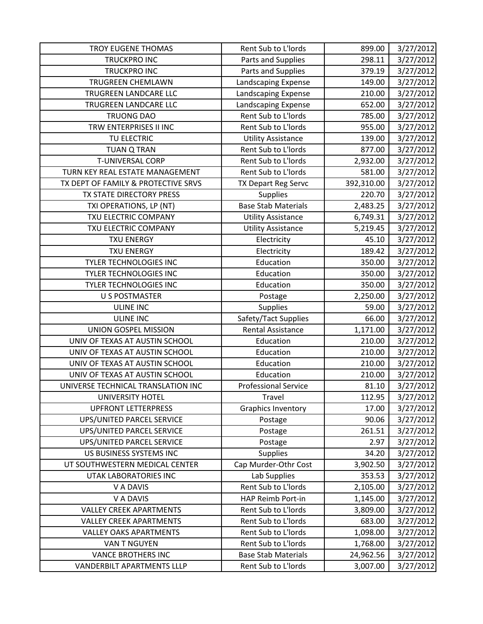| TROY EUGENE THOMAS                  | Rent Sub to L'Iords         | 899.00     | 3/27/2012 |
|-------------------------------------|-----------------------------|------------|-----------|
| <b>TRUCKPRO INC</b>                 | Parts and Supplies          | 298.11     | 3/27/2012 |
| <b>TRUCKPRO INC</b>                 | Parts and Supplies          | 379.19     | 3/27/2012 |
| <b>TRUGREEN CHEMLAWN</b>            | Landscaping Expense         | 149.00     | 3/27/2012 |
| TRUGREEN LANDCARE LLC               | Landscaping Expense         | 210.00     | 3/27/2012 |
| TRUGREEN LANDCARE LLC               | Landscaping Expense         | 652.00     | 3/27/2012 |
| <b>TRUONG DAO</b>                   | Rent Sub to L'Iords         | 785.00     | 3/27/2012 |
| TRW ENTERPRISES II INC              | Rent Sub to L'Iords         | 955.00     | 3/27/2012 |
| TU ELECTRIC                         | <b>Utility Assistance</b>   | 139.00     | 3/27/2012 |
| <b>TUAN Q TRAN</b>                  | Rent Sub to L'Iords         | 877.00     | 3/27/2012 |
| <b>T-UNIVERSAL CORP</b>             | Rent Sub to L'Iords         | 2,932.00   | 3/27/2012 |
| TURN KEY REAL ESTATE MANAGEMENT     | Rent Sub to L'Iords         | 581.00     | 3/27/2012 |
| TX DEPT OF FAMILY & PROTECTIVE SRVS | TX Depart Reg Servc         | 392,310.00 | 3/27/2012 |
| TX STATE DIRECTORY PRESS            | Supplies                    | 220.70     | 3/27/2012 |
| TXI OPERATIONS, LP (NT)             | <b>Base Stab Materials</b>  | 2,483.25   | 3/27/2012 |
| TXU ELECTRIC COMPANY                | <b>Utility Assistance</b>   | 6,749.31   | 3/27/2012 |
| TXU ELECTRIC COMPANY                | <b>Utility Assistance</b>   | 5,219.45   | 3/27/2012 |
| <b>TXU ENERGY</b>                   | Electricity                 | 45.10      | 3/27/2012 |
| <b>TXU ENERGY</b>                   | Electricity                 | 189.42     | 3/27/2012 |
| <b>TYLER TECHNOLOGIES INC</b>       | Education                   | 350.00     | 3/27/2012 |
| <b>TYLER TECHNOLOGIES INC</b>       | Education                   | 350.00     | 3/27/2012 |
| TYLER TECHNOLOGIES INC              | Education                   | 350.00     | 3/27/2012 |
| <b>U S POSTMASTER</b>               | Postage                     | 2,250.00   | 3/27/2012 |
| <b>ULINE INC</b>                    | Supplies                    | 59.00      | 3/27/2012 |
| <b>ULINE INC</b>                    | Safety/Tact Supplies        | 66.00      | 3/27/2012 |
| UNION GOSPEL MISSION                | <b>Rental Assistance</b>    | 1,171.00   | 3/27/2012 |
| UNIV OF TEXAS AT AUSTIN SCHOOL      | Education                   | 210.00     | 3/27/2012 |
| UNIV OF TEXAS AT AUSTIN SCHOOL      | Education                   | 210.00     | 3/27/2012 |
| UNIV OF TEXAS AT AUSTIN SCHOOL      | Education                   | 210.00     | 3/27/2012 |
| UNIV OF TEXAS AT AUSTIN SCHOOL      | Education                   | 210.00     | 3/27/2012 |
| UNIVERSE TECHNICAL TRANSLATION INC  | <b>Professional Service</b> | 81.10      | 3/27/2012 |
| <b>UNIVERSITY HOTEL</b>             | Travel                      | 112.95     | 3/27/2012 |
| <b>UPFRONT LETTERPRESS</b>          | <b>Graphics Inventory</b>   | 17.00      | 3/27/2012 |
| <b>UPS/UNITED PARCEL SERVICE</b>    | Postage                     | 90.06      | 3/27/2012 |
| UPS/UNITED PARCEL SERVICE           | Postage                     | 261.51     | 3/27/2012 |
| UPS/UNITED PARCEL SERVICE           | Postage                     | 2.97       | 3/27/2012 |
| US BUSINESS SYSTEMS INC             | Supplies                    | 34.20      | 3/27/2012 |
| UT SOUTHWESTERN MEDICAL CENTER      | Cap Murder-Othr Cost        | 3,902.50   | 3/27/2012 |
| <b>UTAK LABORATORIES INC</b>        | Lab Supplies                | 353.53     | 3/27/2012 |
| V A DAVIS                           | Rent Sub to L'Iords         | 2,105.00   | 3/27/2012 |
| V A DAVIS                           | HAP Reimb Port-in           | 1,145.00   | 3/27/2012 |
| <b>VALLEY CREEK APARTMENTS</b>      | Rent Sub to L'Iords         | 3,809.00   | 3/27/2012 |
| <b>VALLEY CREEK APARTMENTS</b>      | Rent Sub to L'Iords         | 683.00     | 3/27/2012 |
| <b>VALLEY OAKS APARTMENTS</b>       | Rent Sub to L'Iords         | 1,098.00   | 3/27/2012 |
| VAN T NGUYEN                        | Rent Sub to L'Iords         | 1,768.00   | 3/27/2012 |
| <b>VANCE BROTHERS INC</b>           | <b>Base Stab Materials</b>  | 24,962.56  | 3/27/2012 |
| VANDERBILT APARTMENTS LLLP          | Rent Sub to L'Iords         | 3,007.00   | 3/27/2012 |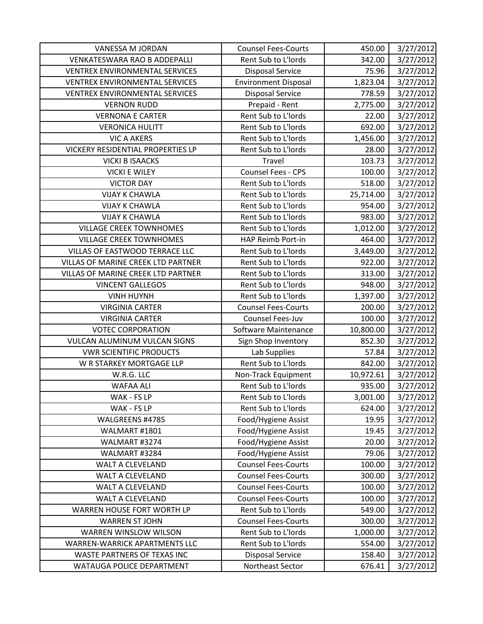| VANESSA M JORDAN                      | <b>Counsel Fees-Courts</b>  | 450.00    | 3/27/2012 |
|---------------------------------------|-----------------------------|-----------|-----------|
| <b>VENKATESWARA RAO B ADDEPALLI</b>   | Rent Sub to L'Iords         | 342.00    | 3/27/2012 |
| <b>VENTREX ENVIRONMENTAL SERVICES</b> | <b>Disposal Service</b>     | 75.96     | 3/27/2012 |
| <b>VENTREX ENVIRONMENTAL SERVICES</b> | <b>Environment Disposal</b> | 1,823.04  | 3/27/2012 |
| <b>VENTREX ENVIRONMENTAL SERVICES</b> | <b>Disposal Service</b>     | 778.59    | 3/27/2012 |
| <b>VERNON RUDD</b>                    | Prepaid - Rent              | 2,775.00  | 3/27/2012 |
| <b>VERNONA E CARTER</b>               | Rent Sub to L'Iords         | 22.00     | 3/27/2012 |
| <b>VERONICA HULITT</b>                | Rent Sub to L'Iords         | 692.00    | 3/27/2012 |
| <b>VIC A AKERS</b>                    | Rent Sub to L'Iords         | 1,456.00  | 3/27/2012 |
| VICKERY RESIDENTIAL PROPERTIES LP     | Rent Sub to L'Iords         | 28.00     | 3/27/2012 |
| <b>VICKI B ISAACKS</b>                | Travel                      | 103.73    | 3/27/2012 |
| <b>VICKI E WILEY</b>                  | Counsel Fees - CPS          | 100.00    | 3/27/2012 |
| <b>VICTOR DAY</b>                     | Rent Sub to L'Iords         | 518.00    | 3/27/2012 |
| <b>VIJAY K CHAWLA</b>                 | Rent Sub to L'Iords         | 25,714.00 | 3/27/2012 |
| <b>VIJAY K CHAWLA</b>                 | Rent Sub to L'Iords         | 954.00    | 3/27/2012 |
| <b>VIJAY K CHAWLA</b>                 | Rent Sub to L'Iords         | 983.00    | 3/27/2012 |
| <b>VILLAGE CREEK TOWNHOMES</b>        | Rent Sub to L'Iords         | 1,012.00  | 3/27/2012 |
| <b>VILLAGE CREEK TOWNHOMES</b>        | HAP Reimb Port-in           | 464.00    | 3/27/2012 |
| VILLAS OF EASTWOOD TERRACE LLC        | Rent Sub to L'Iords         | 3,449.00  | 3/27/2012 |
| VILLAS OF MARINE CREEK LTD PARTNER    | Rent Sub to L'Iords         | 922.00    | 3/27/2012 |
| VILLAS OF MARINE CREEK LTD PARTNER    | Rent Sub to L'Iords         | 313.00    | 3/27/2012 |
| <b>VINCENT GALLEGOS</b>               | Rent Sub to L'Iords         | 948.00    | 3/27/2012 |
| <b>VINH HUYNH</b>                     | Rent Sub to L'Iords         | 1,397.00  | 3/27/2012 |
| <b>VIRGINIA CARTER</b>                | <b>Counsel Fees-Courts</b>  | 200.00    | 3/27/2012 |
| <b>VIRGINIA CARTER</b>                | Counsel Fees-Juv            | 100.00    | 3/27/2012 |
| <b>VOTEC CORPORATION</b>              | Software Maintenance        | 10,800.00 | 3/27/2012 |
| VULCAN ALUMINUM VULCAN SIGNS          | Sign Shop Inventory         | 852.30    | 3/27/2012 |
| <b>VWR SCIENTIFIC PRODUCTS</b>        | Lab Supplies                | 57.84     | 3/27/2012 |
| W R STARKEY MORTGAGE LLP              | Rent Sub to L'Iords         | 842.00    | 3/27/2012 |
| W.R.G. LLC                            | Non-Track Equipment         | 10,972.61 | 3/27/2012 |
| <b>WAFAA ALI</b>                      | Rent Sub to L'Iords         | 935.00    | 3/27/2012 |
| WAK - FS LP                           | Rent Sub to L'Iords         | 3,001.00  | 3/27/2012 |
| WAK - FS LP                           | Rent Sub to L'Iords         | 624.00    | 3/27/2012 |
| WALGREENS #4785                       | Food/Hygiene Assist         | 19.95     | 3/27/2012 |
| WALMART #1801                         | Food/Hygiene Assist         | 19.45     | 3/27/2012 |
| WALMART #3274                         | Food/Hygiene Assist         | 20.00     | 3/27/2012 |
| WALMART #3284                         | Food/Hygiene Assist         | 79.06     | 3/27/2012 |
| WALT A CLEVELAND                      | <b>Counsel Fees-Courts</b>  | 100.00    | 3/27/2012 |
| <b>WALT A CLEVELAND</b>               | <b>Counsel Fees-Courts</b>  | 300.00    | 3/27/2012 |
| <b>WALT A CLEVELAND</b>               | <b>Counsel Fees-Courts</b>  | 100.00    | 3/27/2012 |
| WALT A CLEVELAND                      | <b>Counsel Fees-Courts</b>  | 100.00    | 3/27/2012 |
| WARREN HOUSE FORT WORTH LP            | Rent Sub to L'Iords         | 549.00    | 3/27/2012 |
| <b>WARREN ST JOHN</b>                 | <b>Counsel Fees-Courts</b>  | 300.00    | 3/27/2012 |
| <b>WARREN WINSLOW WILSON</b>          | Rent Sub to L'Iords         | 1,000.00  | 3/27/2012 |
| WARREN-WARRICK APARTMENTS LLC         | Rent Sub to L'Iords         | 554.00    | 3/27/2012 |
| WASTE PARTNERS OF TEXAS INC           | <b>Disposal Service</b>     | 158.40    | 3/27/2012 |
| WATAUGA POLICE DEPARTMENT             | Northeast Sector            | 676.41    | 3/27/2012 |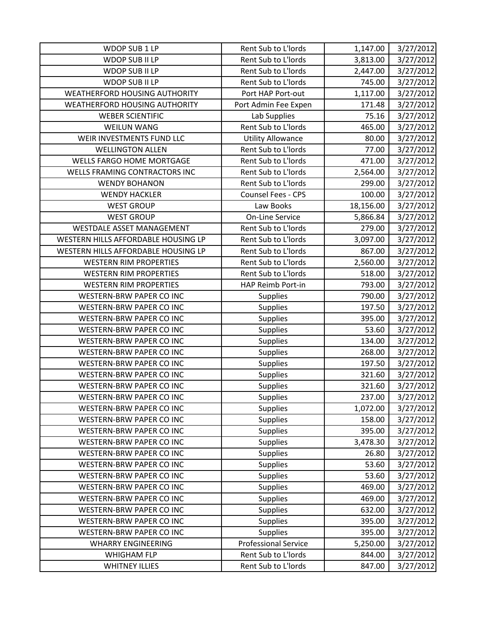| WDOP SUB 1 LP                        | Rent Sub to L'Iords         | 1,147.00  | 3/27/2012 |
|--------------------------------------|-----------------------------|-----------|-----------|
| WDOP SUB II LP                       | Rent Sub to L'Iords         | 3,813.00  | 3/27/2012 |
| <b>WDOP SUB II LP</b>                | Rent Sub to L'Iords         | 2,447.00  | 3/27/2012 |
| WDOP SUB II LP                       | Rent Sub to L'Iords         | 745.00    | 3/27/2012 |
| <b>WEATHERFORD HOUSING AUTHORITY</b> | Port HAP Port-out           | 1,117.00  | 3/27/2012 |
| <b>WEATHERFORD HOUSING AUTHORITY</b> | Port Admin Fee Expen        | 171.48    | 3/27/2012 |
| <b>WEBER SCIENTIFIC</b>              | Lab Supplies                | 75.16     | 3/27/2012 |
| <b>WEILUN WANG</b>                   | Rent Sub to L'Iords         | 465.00    | 3/27/2012 |
| WEIR INVESTMENTS FUND LLC            | <b>Utility Allowance</b>    | 80.00     | 3/27/2012 |
| <b>WELLINGTON ALLEN</b>              | Rent Sub to L'Iords         | 77.00     | 3/27/2012 |
| WELLS FARGO HOME MORTGAGE            | Rent Sub to L'Iords         | 471.00    | 3/27/2012 |
| WELLS FRAMING CONTRACTORS INC        | Rent Sub to L'Iords         | 2,564.00  | 3/27/2012 |
| <b>WENDY BOHANON</b>                 | Rent Sub to L'Iords         | 299.00    | 3/27/2012 |
| <b>WENDY HACKLER</b>                 | Counsel Fees - CPS          | 100.00    | 3/27/2012 |
| <b>WEST GROUP</b>                    | Law Books                   | 18,156.00 | 3/27/2012 |
| <b>WEST GROUP</b>                    | <b>On-Line Service</b>      | 5,866.84  | 3/27/2012 |
| WESTDALE ASSET MANAGEMENT            | Rent Sub to L'Iords         | 279.00    | 3/27/2012 |
| WESTERN HILLS AFFORDABLE HOUSING LP  | Rent Sub to L'Iords         | 3,097.00  | 3/27/2012 |
| WESTERN HILLS AFFORDABLE HOUSING LP  | Rent Sub to L'Iords         | 867.00    | 3/27/2012 |
| <b>WESTERN RIM PROPERTIES</b>        | Rent Sub to L'Iords         | 2,560.00  | 3/27/2012 |
| <b>WESTERN RIM PROPERTIES</b>        | Rent Sub to L'Iords         | 518.00    | 3/27/2012 |
| <b>WESTERN RIM PROPERTIES</b>        | HAP Reimb Port-in           | 793.00    | 3/27/2012 |
| <b>WESTERN-BRW PAPER CO INC</b>      | <b>Supplies</b>             | 790.00    | 3/27/2012 |
| WESTERN-BRW PAPER CO INC             | Supplies                    | 197.50    | 3/27/2012 |
| WESTERN-BRW PAPER CO INC             | Supplies                    | 395.00    | 3/27/2012 |
| WESTERN-BRW PAPER CO INC             | Supplies                    | 53.60     | 3/27/2012 |
| <b>WESTERN-BRW PAPER CO INC</b>      | <b>Supplies</b>             | 134.00    | 3/27/2012 |
| WESTERN-BRW PAPER CO INC             | Supplies                    | 268.00    | 3/27/2012 |
| WESTERN-BRW PAPER CO INC             | <b>Supplies</b>             | 197.50    | 3/27/2012 |
| WESTERN-BRW PAPER CO INC             | <b>Supplies</b>             | 321.60    | 3/27/2012 |
| WESTERN-BRW PAPER CO INC             | Supplies                    | 321.60    | 3/27/2012 |
| WESTERN-BRW PAPER CO INC             | Supplies                    | 237.00    | 3/27/2012 |
| <b>WESTERN-BRW PAPER CO INC</b>      | <b>Supplies</b>             | 1,072.00  | 3/27/2012 |
| <b>WESTERN-BRW PAPER CO INC</b>      | <b>Supplies</b>             | 158.00    | 3/27/2012 |
| WESTERN-BRW PAPER CO INC             | <b>Supplies</b>             | 395.00    | 3/27/2012 |
| <b>WESTERN-BRW PAPER CO INC</b>      | <b>Supplies</b>             | 3,478.30  | 3/27/2012 |
| WESTERN-BRW PAPER CO INC             | Supplies                    | 26.80     | 3/27/2012 |
| WESTERN-BRW PAPER CO INC             | <b>Supplies</b>             | 53.60     | 3/27/2012 |
| WESTERN-BRW PAPER CO INC             | <b>Supplies</b>             | 53.60     | 3/27/2012 |
| <b>WESTERN-BRW PAPER CO INC</b>      | <b>Supplies</b>             | 469.00    | 3/27/2012 |
| WESTERN-BRW PAPER CO INC             | <b>Supplies</b>             | 469.00    | 3/27/2012 |
| WESTERN-BRW PAPER CO INC             | <b>Supplies</b>             | 632.00    | 3/27/2012 |
| WESTERN-BRW PAPER CO INC             | Supplies                    | 395.00    | 3/27/2012 |
| WESTERN-BRW PAPER CO INC             | <b>Supplies</b>             | 395.00    | 3/27/2012 |
| <b>WHARRY ENGINEERING</b>            | <b>Professional Service</b> | 5,250.00  | 3/27/2012 |
| <b>WHIGHAM FLP</b>                   | Rent Sub to L'Iords         | 844.00    | 3/27/2012 |
| <b>WHITNEY ILLIES</b>                | Rent Sub to L'Iords         | 847.00    | 3/27/2012 |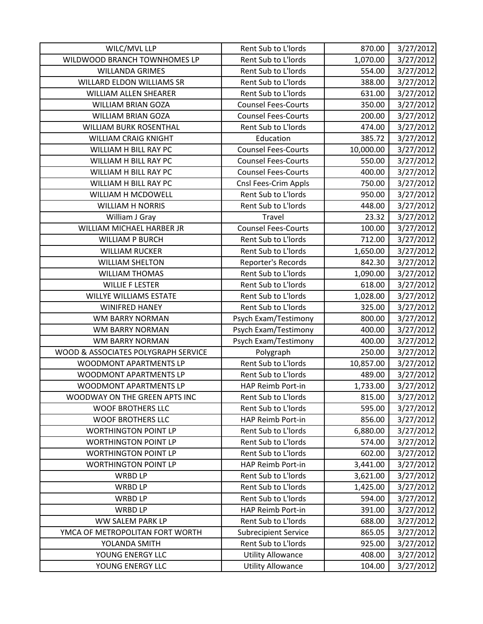| WILC/MVL LLP                        | Rent Sub to L'Iords         | 870.00    | 3/27/2012 |
|-------------------------------------|-----------------------------|-----------|-----------|
| WILDWOOD BRANCH TOWNHOMES LP        | Rent Sub to L'Iords         | 1,070.00  | 3/27/2012 |
| <b>WILLANDA GRIMES</b>              | Rent Sub to L'Iords         | 554.00    | 3/27/2012 |
| WILLARD ELDON WILLIAMS SR           | Rent Sub to L'Iords         | 388.00    | 3/27/2012 |
| WILLIAM ALLEN SHEARER               | Rent Sub to L'Iords         | 631.00    | 3/27/2012 |
| <b>WILLIAM BRIAN GOZA</b>           | <b>Counsel Fees-Courts</b>  | 350.00    | 3/27/2012 |
| <b>WILLIAM BRIAN GOZA</b>           | <b>Counsel Fees-Courts</b>  | 200.00    | 3/27/2012 |
| WILLIAM BURK ROSENTHAL              | Rent Sub to L'Iords         | 474.00    | 3/27/2012 |
| <b>WILLIAM CRAIG KNIGHT</b>         | Education                   | 385.72    | 3/27/2012 |
| WILLIAM H BILL RAY PC               | <b>Counsel Fees-Courts</b>  | 10,000.00 | 3/27/2012 |
| WILLIAM H BILL RAY PC               | <b>Counsel Fees-Courts</b>  | 550.00    | 3/27/2012 |
| WILLIAM H BILL RAY PC               | <b>Counsel Fees-Courts</b>  | 400.00    | 3/27/2012 |
| WILLIAM H BILL RAY PC               | Cnsl Fees-Crim Appls        | 750.00    | 3/27/2012 |
| WILLIAM H MCDOWELL                  | Rent Sub to L'Iords         | 950.00    | 3/27/2012 |
| <b>WILLIAM H NORRIS</b>             | Rent Sub to L'Iords         | 448.00    | 3/27/2012 |
| William J Gray                      | Travel                      | 23.32     | 3/27/2012 |
| WILLIAM MICHAEL HARBER JR           | <b>Counsel Fees-Courts</b>  | 100.00    | 3/27/2012 |
| <b>WILLIAM P BURCH</b>              | Rent Sub to L'Iords         | 712.00    | 3/27/2012 |
| <b>WILLIAM RUCKER</b>               | Rent Sub to L'Iords         | 1,650.00  | 3/27/2012 |
| <b>WILLIAM SHELTON</b>              | Reporter's Records          | 842.30    | 3/27/2012 |
| <b>WILLIAM THOMAS</b>               | Rent Sub to L'Iords         | 1,090.00  | 3/27/2012 |
| <b>WILLIE F LESTER</b>              | Rent Sub to L'Iords         | 618.00    | 3/27/2012 |
| <b>WILLYE WILLIAMS ESTATE</b>       | Rent Sub to L'Iords         | 1,028.00  | 3/27/2012 |
| <b>WINIFRED HANEY</b>               | Rent Sub to L'Iords         | 325.00    | 3/27/2012 |
| <b>WM BARRY NORMAN</b>              | Psych Exam/Testimony        | 800.00    | 3/27/2012 |
| <b>WM BARRY NORMAN</b>              | Psych Exam/Testimony        | 400.00    | 3/27/2012 |
| <b>WM BARRY NORMAN</b>              | Psych Exam/Testimony        | 400.00    | 3/27/2012 |
| WOOD & ASSOCIATES POLYGRAPH SERVICE | Polygraph                   | 250.00    | 3/27/2012 |
| WOODMONT APARTMENTS LP              | Rent Sub to L'Iords         | 10,857.00 | 3/27/2012 |
| WOODMONT APARTMENTS LP              | Rent Sub to L'Iords         | 489.00    | 3/27/2012 |
| WOODMONT APARTMENTS LP              | HAP Reimb Port-in           | 1,733.00  | 3/27/2012 |
| WOODWAY ON THE GREEN APTS INC       | Rent Sub to L'Iords         | 815.00    | 3/27/2012 |
| <b>WOOF BROTHERS LLC</b>            | Rent Sub to L'Iords         | 595.00    | 3/27/2012 |
| <b>WOOF BROTHERS LLC</b>            | HAP Reimb Port-in           | 856.00    | 3/27/2012 |
| <b>WORTHINGTON POINT LP</b>         | Rent Sub to L'Iords         | 6,880.00  | 3/27/2012 |
| <b>WORTHINGTON POINT LP</b>         | Rent Sub to L'Iords         | 574.00    | 3/27/2012 |
| <b>WORTHINGTON POINT LP</b>         | Rent Sub to L'Iords         | 602.00    | 3/27/2012 |
| <b>WORTHINGTON POINT LP</b>         | HAP Reimb Port-in           | 3,441.00  | 3/27/2012 |
| <b>WRBD LP</b>                      | Rent Sub to L'Iords         | 3,621.00  | 3/27/2012 |
| <b>WRBD LP</b>                      | Rent Sub to L'Iords         | 1,425.00  | 3/27/2012 |
| <b>WRBD LP</b>                      | Rent Sub to L'Iords         | 594.00    | 3/27/2012 |
| <b>WRBD LP</b>                      | HAP Reimb Port-in           | 391.00    | 3/27/2012 |
| WW SALEM PARK LP                    | Rent Sub to L'Iords         | 688.00    | 3/27/2012 |
| YMCA OF METROPOLITAN FORT WORTH     | <b>Subrecipient Service</b> | 865.05    | 3/27/2012 |
| YOLANDA SMITH                       | Rent Sub to L'Iords         | 925.00    | 3/27/2012 |
| YOUNG ENERGY LLC                    | <b>Utility Allowance</b>    | 408.00    | 3/27/2012 |
| YOUNG ENERGY LLC                    | <b>Utility Allowance</b>    | 104.00    | 3/27/2012 |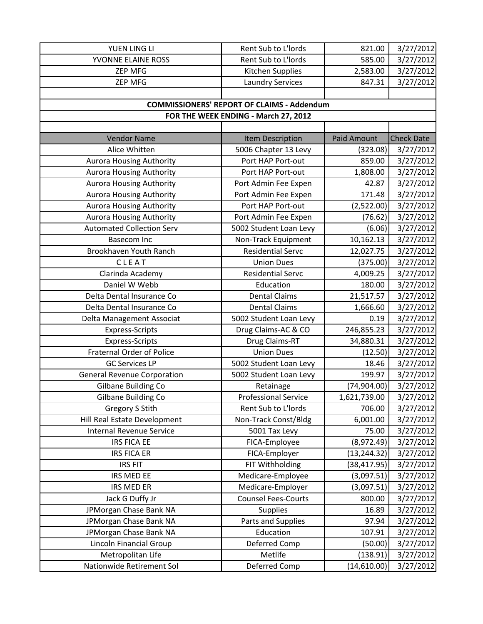| YUEN LING LI                       | Rent Sub to L'Iords                               | 821.00             | 3/27/2012         |
|------------------------------------|---------------------------------------------------|--------------------|-------------------|
| YVONNE ELAINE ROSS                 | Rent Sub to L'Iords                               | 585.00             | 3/27/2012         |
| <b>ZEP MFG</b>                     | Kitchen Supplies                                  | 2,583.00           | 3/27/2012         |
| <b>ZEP MFG</b>                     | <b>Laundry Services</b>                           | 847.31             | 3/27/2012         |
|                                    |                                                   |                    |                   |
|                                    | <b>COMMISSIONERS' REPORT OF CLAIMS - Addendum</b> |                    |                   |
|                                    | FOR THE WEEK ENDING - March 27, 2012              |                    |                   |
|                                    |                                                   |                    |                   |
| <b>Vendor Name</b>                 | Item Description                                  | <b>Paid Amount</b> | <b>Check Date</b> |
| Alice Whitten                      | 5006 Chapter 13 Levy                              | (323.08)           | 3/27/2012         |
| <b>Aurora Housing Authority</b>    | Port HAP Port-out                                 | 859.00             | 3/27/2012         |
| <b>Aurora Housing Authority</b>    | Port HAP Port-out                                 | 1,808.00           | 3/27/2012         |
| Aurora Housing Authority           | Port Admin Fee Expen                              | 42.87              | 3/27/2012         |
| <b>Aurora Housing Authority</b>    | Port Admin Fee Expen                              | 171.48             | 3/27/2012         |
| <b>Aurora Housing Authority</b>    | Port HAP Port-out                                 | (2,522.00)         | 3/27/2012         |
| <b>Aurora Housing Authority</b>    | Port Admin Fee Expen                              | (76.62)            | 3/27/2012         |
| <b>Automated Collection Serv</b>   | 5002 Student Loan Levy                            | (6.06)             | 3/27/2012         |
| Basecom Inc                        | Non-Track Equipment                               | 10,162.13          | 3/27/2012         |
| Brookhaven Youth Ranch             | <b>Residential Servc</b>                          | 12,027.75          | 3/27/2012         |
| CLEAT                              | <b>Union Dues</b>                                 | (375.00)           | 3/27/2012         |
| Clarinda Academy                   | <b>Residential Servc</b>                          | 4,009.25           | 3/27/2012         |
| Daniel W Webb                      | Education                                         | 180.00             | 3/27/2012         |
| Delta Dental Insurance Co          | <b>Dental Claims</b>                              | 21,517.57          | 3/27/2012         |
| Delta Dental Insurance Co          | <b>Dental Claims</b>                              | 1,666.60           | 3/27/2012         |
| Delta Management Associat          | 5002 Student Loan Levy                            | 0.19               | 3/27/2012         |
| Express-Scripts                    | Drug Claims-AC & CO                               | 246,855.23         | 3/27/2012         |
| <b>Express-Scripts</b>             | Drug Claims-RT                                    | 34,880.31          | 3/27/2012         |
| <b>Fraternal Order of Police</b>   | <b>Union Dues</b>                                 | (12.50)            | 3/27/2012         |
| <b>GC Services LP</b>              | 5002 Student Loan Levy                            | 18.46              | 3/27/2012         |
| <b>General Revenue Corporation</b> | 5002 Student Loan Levy                            | 199.97             | 3/27/2012         |
| Gilbane Building Co                | Retainage                                         | (74,904.00)        | 3/27/2012         |
| Gilbane Building Co                | <b>Professional Service</b>                       | 1,621,739.00       | 3/27/2012         |
| <b>Gregory S Stith</b>             | Rent Sub to L'Iords                               | 706.00             | 3/27/2012         |
| Hill Real Estate Development       | Non-Track Const/Bldg                              | 6,001.00           | 3/27/2012         |
| <b>Internal Revenue Service</b>    | 5001 Tax Levy                                     | 75.00              | 3/27/2012         |
| <b>IRS FICA EE</b>                 | FICA-Employee                                     | (8,972.49)         | 3/27/2012         |
| <b>IRS FICA ER</b>                 | FICA-Employer                                     | (13, 244.32)       | 3/27/2012         |
| <b>IRS FIT</b>                     | FIT Withholding                                   | (38, 417.95)       | 3/27/2012         |
| IRS MED EE                         | Medicare-Employee                                 | (3,097.51)         | 3/27/2012         |
| <b>IRS MED ER</b>                  | Medicare-Employer                                 | (3,097.51)         | 3/27/2012         |
| Jack G Duffy Jr                    | <b>Counsel Fees-Courts</b>                        | 800.00             | 3/27/2012         |
| JPMorgan Chase Bank NA             | Supplies                                          | 16.89              | 3/27/2012         |
| JPMorgan Chase Bank NA             | Parts and Supplies                                | 97.94              | 3/27/2012         |
| JPMorgan Chase Bank NA             | Education                                         | 107.91             | 3/27/2012         |
| Lincoln Financial Group            | Deferred Comp                                     | (50.00)            | 3/27/2012         |
| Metropolitan Life                  | Metlife                                           | (138.91)           | 3/27/2012         |
| Nationwide Retirement Sol          | Deferred Comp                                     | (14,610.00)        | 3/27/2012         |